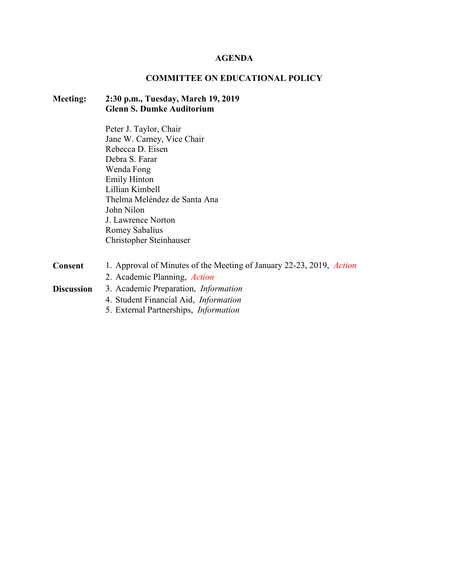#### **AGENDA**

## **COMMITTEE ON EDUCATIONAL POLICY**

## **Meeting: 2:30 p.m., Tuesday, March 19, 2019 Glenn S. Dumke Auditorium**

Peter J. Taylor, Chair Jane W. Carney, Vice Chair Rebecca D. Eisen Debra S. Farar Wenda Fong Emily Hinton Lillian Kimbell Thelma Meléndez de Santa Ana John Nilon J. Lawrence Norton Romey Sabalius Christopher Steinhauser

| 1. Approval of Minutes of the Meeting of January 22-23, 2019, Action |
|----------------------------------------------------------------------|
| 2. Academic Planning, <i>Action</i>                                  |
| 3. Academic Preparation, <i>Information</i>                          |
| 4. Student Financial Aid, <i>Information</i>                         |
| 5. External Partnerships, <i>Information</i>                         |
|                                                                      |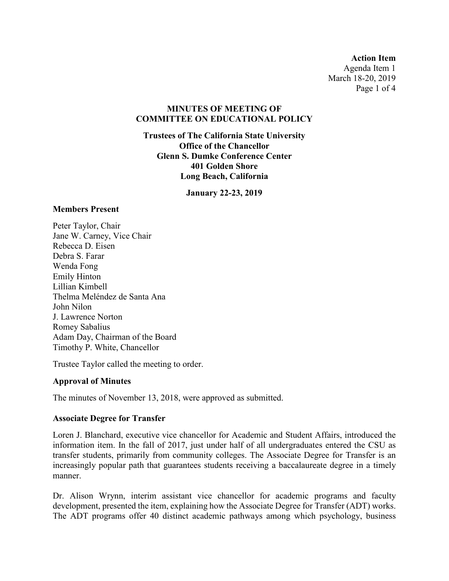**Action Item** Agenda Item 1 March 18-20, 2019 Page 1 of 4

#### **MINUTES OF MEETING OF COMMITTEE ON EDUCATIONAL POLICY**

**Trustees of The California State University Office of the Chancellor Glenn S. Dumke Conference Center 401 Golden Shore Long Beach, California**

**January 22-23, 2019**

#### **Members Present**

Peter Taylor, Chair Jane W. Carney, Vice Chair Rebecca D. Eisen Debra S. Farar Wenda Fong Emily Hinton Lillian Kimbell Thelma Meléndez de Santa Ana John Nilon J. Lawrence Norton Romey Sabalius Adam Day, Chairman of the Board Timothy P. White, Chancellor

Trustee Taylor called the meeting to order.

### **Approval of Minutes**

The minutes of November 13, 2018, were approved as submitted.

### **Associate Degree for Transfer**

Loren J. Blanchard, executive vice chancellor for Academic and Student Affairs, introduced the information item. In the fall of 2017, just under half of all undergraduates entered the CSU as transfer students, primarily from community colleges. The Associate Degree for Transfer is an increasingly popular path that guarantees students receiving a baccalaureate degree in a timely manner.

Dr. Alison Wrynn, interim assistant vice chancellor for academic programs and faculty development, presented the item, explaining how the Associate Degree for Transfer (ADT) works. The ADT programs offer 40 distinct academic pathways among which psychology, business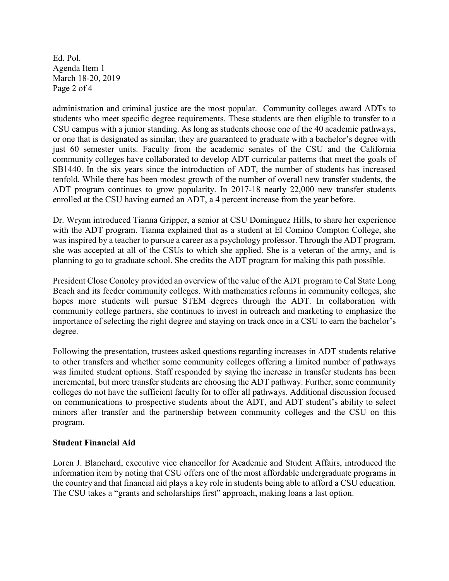Ed. Pol. Agenda Item 1 March 18-20, 2019 Page 2 of 4

administration and criminal justice are the most popular. Community colleges award ADTs to students who meet specific degree requirements. These students are then eligible to transfer to a CSU campus with a junior standing. As long as students choose one of the 40 academic pathways, or one that is designated as similar, they are guaranteed to graduate with a bachelor's degree with just 60 semester units. Faculty from the academic senates of the CSU and the California community colleges have collaborated to develop ADT curricular patterns that meet the goals of SB1440. In the six years since the introduction of ADT, the number of students has increased tenfold. While there has been modest growth of the number of overall new transfer students, the ADT program continues to grow popularity. In 2017-18 nearly 22,000 new transfer students enrolled at the CSU having earned an ADT, a 4 percent increase from the year before.

Dr. Wrynn introduced Tianna Gripper, a senior at CSU Dominguez Hills, to share her experience with the ADT program. Tianna explained that as a student at El Comino Compton College, she was inspired by a teacher to pursue a career as a psychology professor. Through the ADT program, she was accepted at all of the CSUs to which she applied. She is a veteran of the army, and is planning to go to graduate school. She credits the ADT program for making this path possible.

President Close Conoley provided an overview of the value of the ADT program to Cal State Long Beach and its feeder community colleges. With mathematics reforms in community colleges, she hopes more students will pursue STEM degrees through the ADT. In collaboration with community college partners, she continues to invest in outreach and marketing to emphasize the importance of selecting the right degree and staying on track once in a CSU to earn the bachelor's degree.

Following the presentation, trustees asked questions regarding increases in ADT students relative to other transfers and whether some community colleges offering a limited number of pathways was limited student options. Staff responded by saying the increase in transfer students has been incremental, but more transfer students are choosing the ADT pathway. Further, some community colleges do not have the sufficient faculty for to offer all pathways. Additional discussion focused on communications to prospective students about the ADT, and ADT student's ability to select minors after transfer and the partnership between community colleges and the CSU on this program.

### **Student Financial Aid**

Loren J. Blanchard, executive vice chancellor for Academic and Student Affairs, introduced the information item by noting that CSU offers one of the most affordable undergraduate programs in the country and that financial aid plays a key role in students being able to afford a CSU education. The CSU takes a "grants and scholarships first" approach, making loans a last option.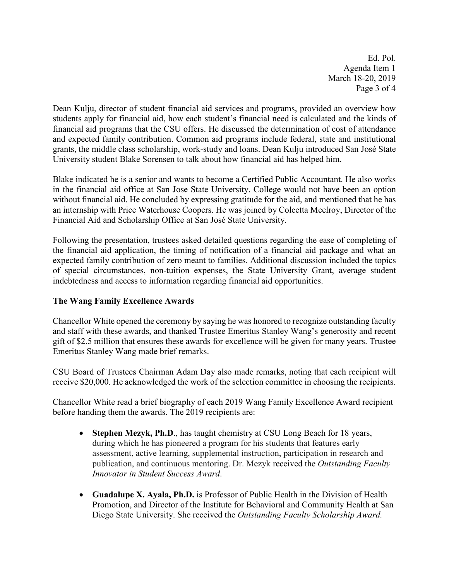Ed. Pol. Agenda Item 1 March 18-20, 2019 Page 3 of 4

Dean Kulju, director of student financial aid services and programs, provided an overview how students apply for financial aid, how each student's financial need is calculated and the kinds of financial aid programs that the CSU offers. He discussed the determination of cost of attendance and expected family contribution. Common aid programs include federal, state and institutional grants, the middle class scholarship, work-study and loans. Dean Kulju introduced San José State University student Blake Sorensen to talk about how financial aid has helped him.

Blake indicated he is a senior and wants to become a Certified Public Accountant. He also works in the financial aid office at San Jose State University. College would not have been an option without financial aid. He concluded by expressing gratitude for the aid, and mentioned that he has an internship with Price Waterhouse Coopers. He was joined by Coleetta Mcelroy, Director of the Financial Aid and Scholarship Office at San José State University.

Following the presentation, trustees asked detailed questions regarding the ease of completing of the financial aid application, the timing of notification of a financial aid package and what an expected family contribution of zero meant to families. Additional discussion included the topics of special circumstances, non-tuition expenses, the State University Grant, average student indebtedness and access to information regarding financial aid opportunities.

## **The Wang Family Excellence Awards**

Chancellor White opened the ceremony by saying he was honored to recognize outstanding faculty and staff with these awards, and thanked Trustee Emeritus Stanley Wang's generosity and recent gift of \$2.5 million that ensures these awards for excellence will be given for many years. Trustee Emeritus Stanley Wang made brief remarks.

CSU Board of Trustees Chairman Adam Day also made remarks, noting that each recipient will receive \$20,000. He acknowledged the work of the selection committee in choosing the recipients.

Chancellor White read a brief biography of each 2019 Wang Family Excellence Award recipient before handing them the awards. The 2019 recipients are:

- **Stephen Mezyk, Ph.D**., has taught chemistry at CSU Long Beach for 18 years, during which he has pioneered a program for his students that features early assessment, active learning, supplemental instruction, participation in research and publication, and continuous mentoring. Dr. Mezyk received the *Outstanding Faculty Innovator in Student Success Award*.
- **Guadalupe X. Ayala, Ph.D.** is Professor of Public Health in the Division of Health Promotion, and Director of the Institute for Behavioral and Community Health at San Diego State University. She received the *Outstanding Faculty Scholarship Award.*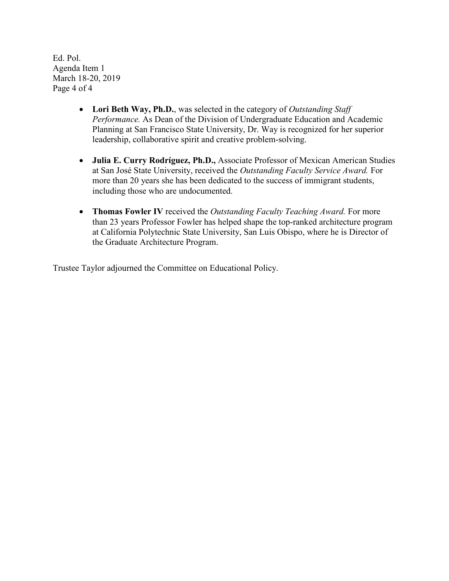Ed. Pol. Agenda Item 1 March 18-20, 2019 Page 4 of 4

- **Lori Beth Way, Ph.D.**, was selected in the category of *Outstanding Staff Performance.* As Dean of the Division of Undergraduate Education and Academic Planning at San Francisco State University, Dr. Way is recognized for her superior leadership, collaborative spirit and creative problem-solving.
- **Julia E. Curry Rodríguez, Ph.D.,** Associate Professor of Mexican American Studies at San José State University, received the *Outstanding Faculty Service Award.* For more than 20 years she has been dedicated to the success of immigrant students, including those who are undocumented.
- **Thomas Fowler IV** received the *Outstanding Faculty Teaching Award.* For more than 23 years Professor Fowler has helped shape the top-ranked architecture program at California Polytechnic State University, San Luis Obispo, where he is Director of the Graduate Architecture Program.

Trustee Taylor adjourned the Committee on Educational Policy.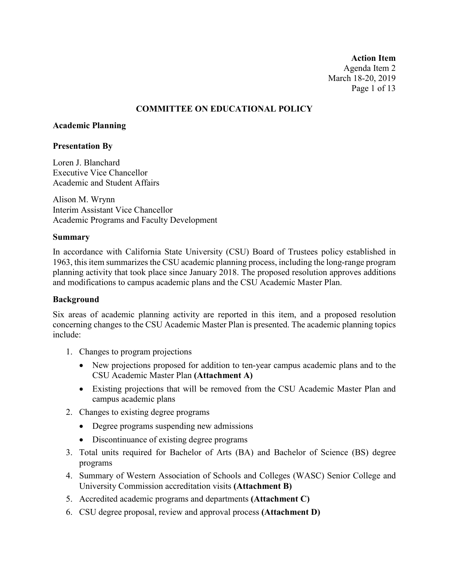**Action Item** Agenda Item 2 March 18-20, 2019 Page 1 of 13

### **COMMITTEE ON EDUCATIONAL POLICY**

#### **Academic Planning**

#### **Presentation By**

Loren J. Blanchard Executive Vice Chancellor Academic and Student Affairs

Alison M. Wrynn Interim Assistant Vice Chancellor Academic Programs and Faculty Development

#### **Summary**

In accordance with California State University (CSU) Board of Trustees policy established in 1963, this item summarizes the CSU academic planning process, including the long-range program planning activity that took place since January 2018. The proposed resolution approves additions and modifications to campus academic plans and the CSU Academic Master Plan.

### **Background**

Six areas of academic planning activity are reported in this item, and a proposed resolution concerning changes to the CSU Academic Master Plan is presented. The academic planning topics include:

- 1. Changes to program projections
	- New projections proposed for addition to ten-year campus academic plans and to the CSU Academic Master Plan **(Attachment A)**
	- Existing projections that will be removed from the CSU Academic Master Plan and campus academic plans
- 2. Changes to existing degree programs
	- Degree programs suspending new admissions
	- Discontinuance of existing degree programs
- 3. Total units required for Bachelor of Arts (BA) and Bachelor of Science (BS) degree programs
- 4. Summary of Western Association of Schools and Colleges (WASC) Senior College and University Commission accreditation visits **(Attachment B)**
- 5. Accredited academic programs and departments **(Attachment C)**
- 6. CSU degree proposal, review and approval process **(Attachment D)**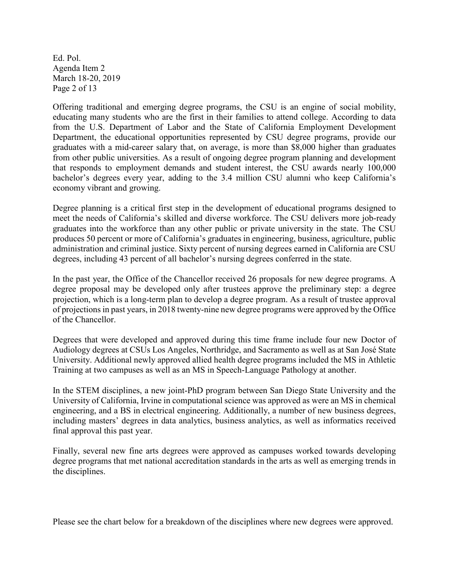Ed. Pol. Agenda Item 2 March 18-20, 2019 Page 2 of 13

Offering traditional and emerging degree programs, the CSU is an engine of social mobility, educating many students who are the first in their families to attend college. According to data from the U.S. Department of Labor and the State of California Employment Development Department, the educational opportunities represented by CSU degree programs, provide our graduates with a mid-career salary that, on average, is more than \$8,000 higher than graduates from other public universities. As a result of ongoing degree program planning and development that responds to employment demands and student interest, the CSU awards nearly 100,000 bachelor's degrees every year, adding to the 3.4 million CSU alumni who keep California's economy vibrant and growing.

Degree planning is a critical first step in the development of educational programs designed to meet the needs of California's skilled and diverse workforce. The CSU delivers more job-ready graduates into the workforce than any other public or private university in the state. The CSU produces 50 percent or more of California's graduates in engineering, business, agriculture, public administration and criminal justice. Sixty percent of nursing degrees earned in California are CSU degrees, including 43 percent of all bachelor's nursing degrees conferred in the state.

In the past year, the Office of the Chancellor received 26 proposals for new degree programs. A degree proposal may be developed only after trustees approve the preliminary step: a degree projection, which is a long-term plan to develop a degree program. As a result of trustee approval of projections in past years, in 2018 twenty-nine new degree programs were approved by the Office of the Chancellor.

Degrees that were developed and approved during this time frame include four new Doctor of Audiology degrees at CSUs Los Angeles, Northridge, and Sacramento as well as at San José State University. Additional newly approved allied health degree programs included the MS in Athletic Training at two campuses as well as an MS in Speech-Language Pathology at another.

In the STEM disciplines, a new joint-PhD program between San Diego State University and the University of California, Irvine in computational science was approved as were an MS in chemical engineering, and a BS in electrical engineering. Additionally, a number of new business degrees, including masters' degrees in data analytics, business analytics, as well as informatics received final approval this past year.

Finally, several new fine arts degrees were approved as campuses worked towards developing degree programs that met national accreditation standards in the arts as well as emerging trends in the disciplines.

Please see the chart below for a breakdown of the disciplines where new degrees were approved.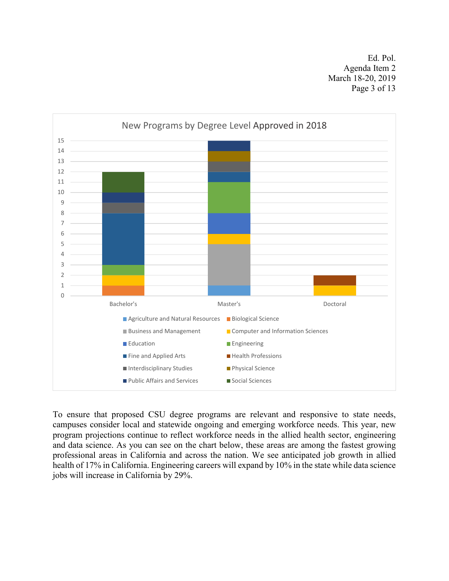Ed. Pol. Agenda Item 2 March 18-20, 2019 Page 3 of 13



To ensure that proposed CSU degree programs are relevant and responsive to state needs, campuses consider local and statewide ongoing and emerging workforce needs. This year, new program projections continue to reflect workforce needs in the allied health sector, engineering and data science. As you can see on the chart below, these areas are among the fastest growing professional areas in California and across the nation. We see anticipated job growth in allied health of 17% in California. Engineering careers will expand by 10% in the state while data science jobs will increase in California by 29%.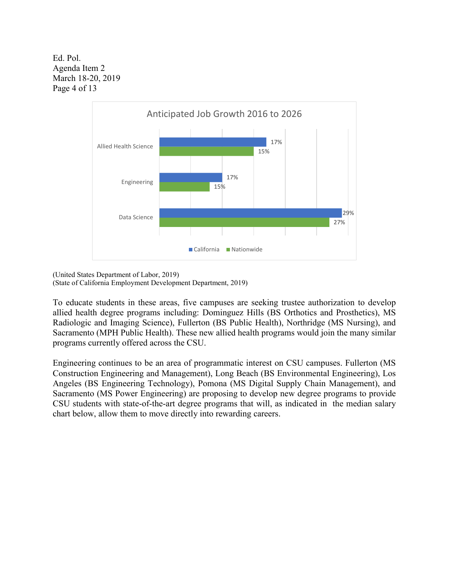Ed. Pol. Agenda Item 2 March 18-20, 2019 Page 4 of 13



(United States Department of Labor, 2019) (State of California Employment Development Department, 2019)

programs currently offered across the CSU.

To educate students in these areas, five campuses are seeking trustee authorization to develop allied health degree programs including: Dominguez Hills (BS Orthotics and Prosthetics), MS Radiologic and Imaging Science), Fullerton (BS Public Health), Northridge (MS Nursing), and Sacramento (MPH Public Health). These new allied health programs would join the many similar

Engineering continues to be an area of programmatic interest on CSU campuses. Fullerton (MS Construction Engineering and Management), Long Beach (BS Environmental Engineering), Los Angeles (BS Engineering Technology), Pomona (MS Digital Supply Chain Management), and Sacramento (MS Power Engineering) are proposing to develop new degree programs to provide CSU students with state-of-the-art degree programs that will, as indicated in the median salary chart below, allow them to move directly into rewarding careers.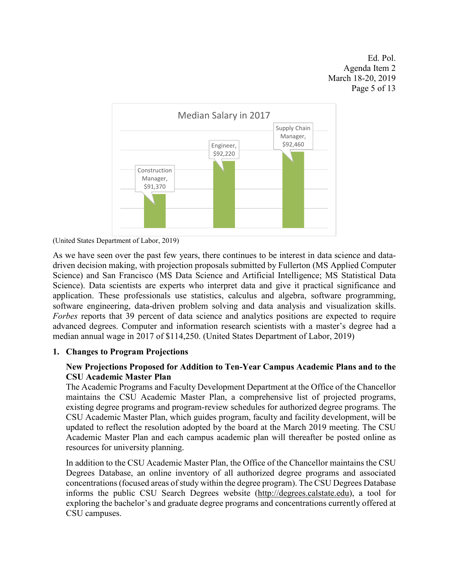Ed. Pol. Agenda Item 2 March 18-20, 2019 Page 5 of 13



<sup>(</sup>United States Department of Labor, 2019)

As we have seen over the past few years, there continues to be interest in data science and datadriven decision making, with projection proposals submitted by Fullerton (MS Applied Computer Science) and San Francisco (MS Data Science and Artificial Intelligence; MS Statistical Data Science). Data scientists are experts who interpret data and give it practical significance and application. These professionals use statistics, calculus and algebra, software programming, software engineering, data-driven problem solving and data analysis and visualization skills. *Forbes* reports that 39 percent of data science and analytics positions are expected to require advanced degrees. Computer and information research scientists with a master's degree had a median annual wage in 2017 of \$114,250. (United States Department of Labor, 2019)

### **1. Changes to Program Projections**

## **New Projections Proposed for Addition to Ten-Year Campus Academic Plans and to the CSU Academic Master Plan**

The Academic Programs and Faculty Development Department at the Office of the Chancellor maintains the CSU Academic Master Plan, a comprehensive list of projected programs, existing degree programs and program-review schedules for authorized degree programs. The CSU Academic Master Plan, which guides program, faculty and facility development, will be updated to reflect the resolution adopted by the board at the March 2019 meeting. The CSU Academic Master Plan and each campus academic plan will thereafter be posted online as resources for university planning.

In addition to the CSU Academic Master Plan, the Office of the Chancellor maintains the CSU Degrees Database, an online inventory of all authorized degree programs and associated concentrations (focused areas of study within the degree program). The CSU Degrees Database informs the public CSU Search Degrees website [\(http://degrees.calstate.edu\)](http://degrees.calstate.edu/), a tool for exploring the bachelor's and graduate degree programs and concentrations currently offered at CSU campuses.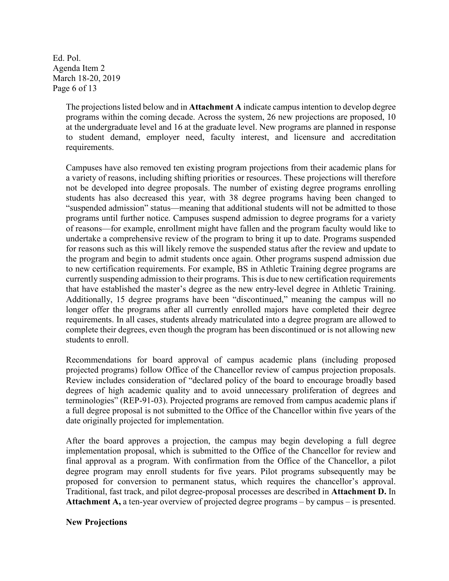Ed. Pol. Agenda Item 2 March 18-20, 2019 Page 6 of 13

> The projections listed below and in **Attachment A** indicate campus intention to develop degree programs within the coming decade. Across the system, 26 new projections are proposed, 10 at the undergraduate level and 16 at the graduate level. New programs are planned in response to student demand, employer need, faculty interest, and licensure and accreditation requirements.

> Campuses have also removed ten existing program projections from their academic plans for a variety of reasons, including shifting priorities or resources. These projections will therefore not be developed into degree proposals. The number of existing degree programs enrolling students has also decreased this year, with 38 degree programs having been changed to "suspended admission" status—meaning that additional students will not be admitted to those programs until further notice. Campuses suspend admission to degree programs for a variety of reasons—for example, enrollment might have fallen and the program faculty would like to undertake a comprehensive review of the program to bring it up to date. Programs suspended for reasons such as this will likely remove the suspended status after the review and update to the program and begin to admit students once again. Other programs suspend admission due to new certification requirements. For example, BS in Athletic Training degree programs are currently suspending admission to their programs. This is due to new certification requirements that have established the master's degree as the new entry-level degree in Athletic Training. Additionally, 15 degree programs have been "discontinued," meaning the campus will no longer offer the programs after all currently enrolled majors have completed their degree requirements. In all cases, students already matriculated into a degree program are allowed to complete their degrees, even though the program has been discontinued or is not allowing new students to enroll.

> Recommendations for board approval of campus academic plans (including proposed projected programs) follow Office of the Chancellor review of campus projection proposals. Review includes consideration of "declared policy of the board to encourage broadly based degrees of high academic quality and to avoid unnecessary proliferation of degrees and terminologies" (REP-91-03). Projected programs are removed from campus academic plans if a full degree proposal is not submitted to the Office of the Chancellor within five years of the date originally projected for implementation.

> After the board approves a projection, the campus may begin developing a full degree implementation proposal, which is submitted to the Office of the Chancellor for review and final approval as a program. With confirmation from the Office of the Chancellor, a pilot degree program may enroll students for five years. Pilot programs subsequently may be proposed for conversion to permanent status, which requires the chancellor's approval. Traditional, fast track, and pilot degree-proposal processes are described in **Attachment D.** In **Attachment A,** a ten-year overview of projected degree programs – by campus – is presented.

### **New Projections**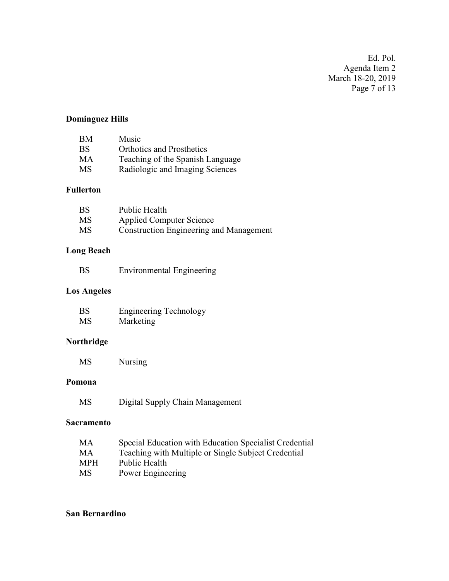Ed. Pol. Agenda Item 2 March 18-20, 2019 Page 7 of 13

# **Dominguez Hills**

| BM        | Music                            |
|-----------|----------------------------------|
| <b>BS</b> | <b>Orthotics and Prosthetics</b> |
| MA        | Teaching of the Spanish Language |
| <b>MS</b> | Radiologic and Imaging Sciences  |

## **Fullerton**

| <b>BS</b> | Public Health                                  |
|-----------|------------------------------------------------|
| <b>MS</b> | <b>Applied Computer Science</b>                |
| <b>MS</b> | <b>Construction Engineering and Management</b> |

## **Long Beach**

| BS | <b>Environmental Engineering</b> |  |
|----|----------------------------------|--|
|    |                                  |  |

## **Los Angeles**

| <b>BS</b> | <b>Engineering Technology</b> |
|-----------|-------------------------------|
| <b>MS</b> | Marketing                     |

# **Northridge**

MS Nursing

#### **Pomona**

MS Digital Supply Chain Management

#### **Sacramento**

| Special Education with Education Specialist Credential |
|--------------------------------------------------------|
| Teaching with Multiple or Single Subject Credential    |
| Public Health                                          |
| Power Engineering                                      |
|                                                        |

## **San Bernardino**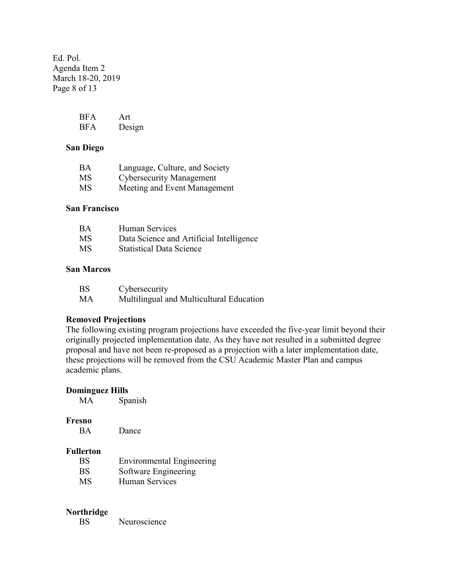Ed. Pol. Agenda Item 2 March 18-20, 2019 Page 8 of 13

| <b>BFA</b> | Art    |
|------------|--------|
| <b>BFA</b> | Design |

#### **San Diego**

| BA        | Language, Culture, and Society  |
|-----------|---------------------------------|
| <b>MS</b> | <b>Cybersecurity Management</b> |
| <b>MS</b> | Meeting and Event Management    |

#### **San Francisco**

| <b>BA</b> | Human Services                           |
|-----------|------------------------------------------|
| <b>MS</b> | Data Science and Artificial Intelligence |
| <b>MS</b> | <b>Statistical Data Science</b>          |

### **San Marcos**

| <b>BS</b> | Cybersecurity                            |
|-----------|------------------------------------------|
| МA        | Multilingual and Multicultural Education |

#### **Removed Projections**

The following existing program projections have exceeded the five-year limit beyond their originally projected implementation date. As they have not resulted in a submitted degree proposal and have not been re-proposed as a projection with a later implementation date, these projections will be removed from the CSU Academic Master Plan and campus academic plans.

| <b>Dominguez Hills</b> |                                  |
|------------------------|----------------------------------|
| MА                     | Spanish                          |
|                        |                                  |
| Fresno                 |                                  |
| <b>BA</b>              | Dance                            |
|                        |                                  |
| <b>Fullerton</b>       |                                  |
| <b>BS</b>              | <b>Environmental Engineering</b> |
| BS                     | Software Engineering             |
| MS                     | Human Services                   |
|                        |                                  |

## **Northridge**

BS Neuroscience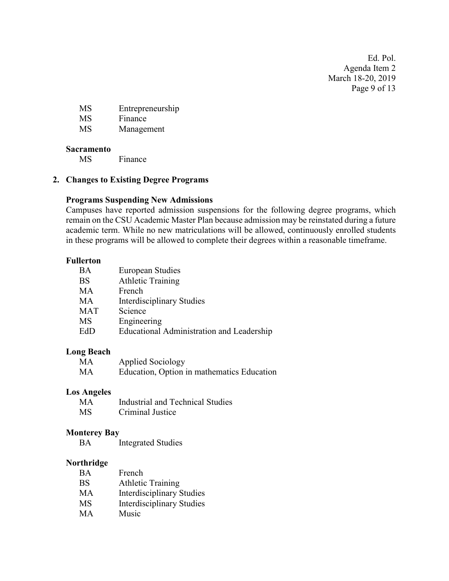Ed. Pol. Agenda Item 2 March 18-20, 2019 Page 9 of 13

MS Entrepreneurship

MS Finance

MS Management

## **Sacramento**

MS Finance

## **2. Changes to Existing Degree Programs**

## **Programs Suspending New Admissions**

Campuses have reported admission suspensions for the following degree programs, which remain on the CSU Academic Master Plan because admission may be reinstated during a future academic term. While no new matriculations will be allowed, continuously enrolled students in these programs will be allowed to complete their degrees within a reasonable timeframe.

## **Fullerton**

| BA         | <b>European Studies</b>                   |
|------------|-------------------------------------------|
| <b>BS</b>  | <b>Athletic Training</b>                  |
| MA         | French                                    |
| MА         | <b>Interdisciplinary Studies</b>          |
| <b>MAT</b> | Science                                   |
| MS         | Engineering                               |
| EdD        | Educational Administration and Leadership |

### **Long Beach**

| MA | <b>Applied Sociology</b>                   |
|----|--------------------------------------------|
| MA | Education, Option in mathematics Education |

### **Los Angeles**

| MA | Industrial and Technical Studies |
|----|----------------------------------|
| MS | Criminal Justice                 |

### **Monterey Bay**

BA Integrated Studies

### **Northridge**

| <b>BA</b> | French                           |
|-----------|----------------------------------|
| <b>BS</b> | <b>Athletic Training</b>         |
| MA        | <b>Interdisciplinary Studies</b> |
| MS        | <b>Interdisciplinary Studies</b> |
| <b>MA</b> | Music                            |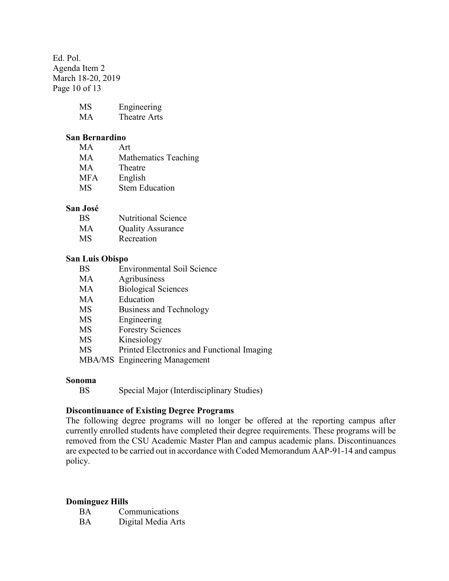Ed. Pol. Agenda Item 2 March 18-20, 2019 Page 10 of 13

| MS | Engineering  |
|----|--------------|
| MA | Theatre Arts |

#### **San Bernardino**

| MA.        | Art                         |
|------------|-----------------------------|
| MА         | <b>Mathematics Teaching</b> |
| MА         | Theatre                     |
| <b>MFA</b> | English                     |
| <b>MS</b>  | <b>Stem Education</b>       |

#### **San José**

| <b>BS</b> | <b>Nutritional Science</b> |
|-----------|----------------------------|
| MA        | <b>Ouality Assurance</b>   |

MS Recreation

#### **San Luis Obispo**

- MA Agribusiness
- MA Biological Sciences
- MA Education
- MS Business and Technology
- MS Engineering
- MS Forestry Sciences
- MS Kinesiology
- MS Printed Electronics and Functional Imaging
- MBA/MS Engineering Management

#### **Sonoma**

```
BS Special Major (Interdisciplinary Studies)
```
### **Discontinuance of Existing Degree Programs**

The following degree programs will no longer be offered at the reporting campus after currently enrolled students have completed their degree requirements. These programs will be removed from the CSU Academic Master Plan and campus academic plans. Discontinuances are expected to be carried out in accordance with Coded Memorandum AAP-91-14 and campus policy.

### **Dominguez Hills**

| BA | Communications     |
|----|--------------------|
| BA | Digital Media Arts |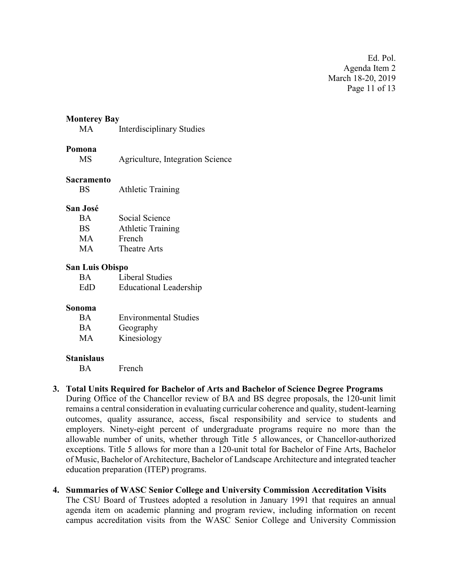Ed. Pol. Agenda Item 2 March 18-20, 2019 Page 11 of 13

#### **Monterey Bay**

MA Interdisciplinary Studies

#### **Pomona**

| MS | Agriculture, Integration Science |  |
|----|----------------------------------|--|
|    |                                  |  |

#### **Sacramento**

BS Athletic Training

#### **San José**

| <b>BA</b> | Social Science           |
|-----------|--------------------------|
| <b>BS</b> | <b>Athletic Training</b> |
| <b>MA</b> | French                   |
| <b>MA</b> | Theatre Arts             |

#### **San Luis Obispo**

| <b>BA</b> | Liberal Studies               |
|-----------|-------------------------------|
| EdD       | <b>Educational Leadership</b> |

#### **Sonoma**

| <b>BA</b> | <b>Environmental Studies</b> |
|-----------|------------------------------|
| <b>BA</b> | Geography                    |
| MA        | Kinesiology                  |

#### **Stanislaus**

BA French

#### **3. Total Units Required for Bachelor of Arts and Bachelor of Science Degree Programs**

During Office of the Chancellor review of BA and BS degree proposals, the 120-unit limit remains a central consideration in evaluating curricular coherence and quality, student-learning outcomes, quality assurance, access, fiscal responsibility and service to students and employers. Ninety-eight percent of undergraduate programs require no more than the allowable number of units, whether through Title 5 allowances, or Chancellor-authorized exceptions. Title 5 allows for more than a 120-unit total for Bachelor of Fine Arts, Bachelor of Music, Bachelor of Architecture, Bachelor of Landscape Architecture and integrated teacher education preparation (ITEP) programs.

#### **4. Summaries of WASC Senior College and University Commission Accreditation Visits**

The CSU Board of Trustees adopted a resolution in January 1991 that requires an annual agenda item on academic planning and program review, including information on recent campus accreditation visits from the WASC Senior College and University Commission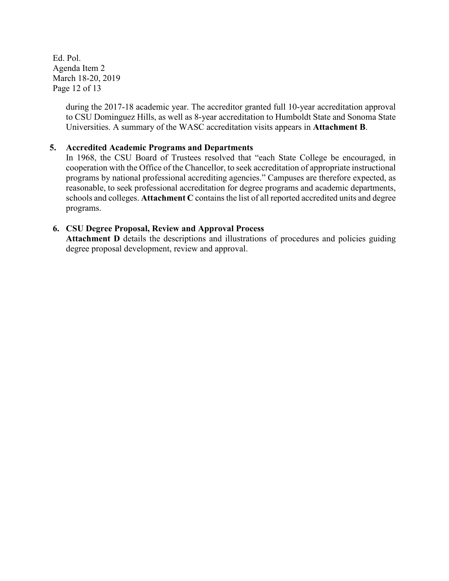Ed. Pol. Agenda Item 2 March 18-20, 2019 Page 12 of 13

> during the 2017-18 academic year. The accreditor granted full 10-year accreditation approval to CSU Dominguez Hills, as well as 8-year accreditation to Humboldt State and Sonoma State Universities. A summary of the WASC accreditation visits appears in **Attachment B**.

### **5. Accredited Academic Programs and Departments**

In 1968, the CSU Board of Trustees resolved that "each State College be encouraged, in cooperation with the Office of the Chancellor, to seek accreditation of appropriate instructional programs by national professional accrediting agencies." Campuses are therefore expected, as reasonable, to seek professional accreditation for degree programs and academic departments, schools and colleges. **Attachment C** contains the list of all reported accredited units and degree programs.

#### **6. CSU Degree Proposal, Review and Approval Process**

Attachment **D** details the descriptions and illustrations of procedures and policies guiding degree proposal development, review and approval.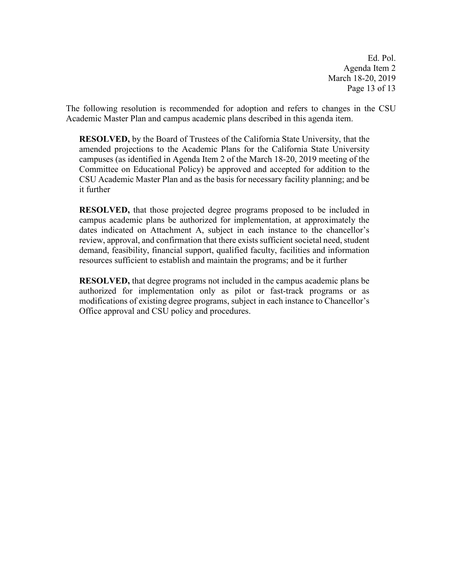Ed. Pol. Agenda Item 2 March 18-20, 2019 Page 13 of 13

The following resolution is recommended for adoption and refers to changes in the CSU Academic Master Plan and campus academic plans described in this agenda item.

**RESOLVED,** by the Board of Trustees of the California State University, that the amended projections to the Academic Plans for the California State University campuses (as identified in Agenda Item 2 of the March 18-20, 2019 meeting of the Committee on Educational Policy) be approved and accepted for addition to the CSU Academic Master Plan and as the basis for necessary facility planning; and be it further

**RESOLVED,** that those projected degree programs proposed to be included in campus academic plans be authorized for implementation, at approximately the dates indicated on Attachment A, subject in each instance to the chancellor's review, approval, and confirmation that there exists sufficient societal need, student demand, feasibility, financial support, qualified faculty, facilities and information resources sufficient to establish and maintain the programs; and be it further

**RESOLVED,** that degree programs not included in the campus academic plans be authorized for implementation only as pilot or fast-track programs or as modifications of existing degree programs, subject in each instance to Chancellor's Office approval and CSU policy and procedures.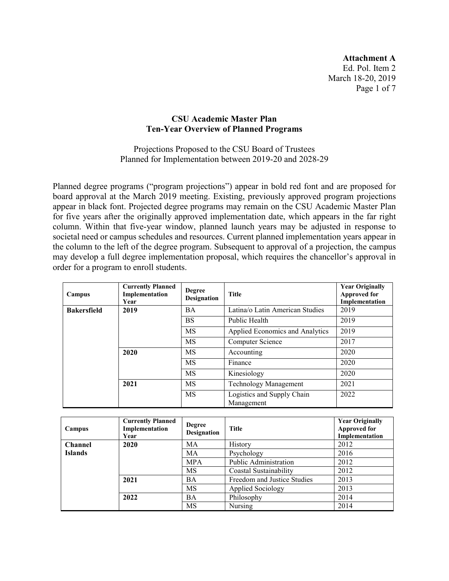**Attachment A** Ed. Pol. Item 2 March 18-20, 2019 Page 1 of 7

#### **CSU Academic Master Plan Ten-Year Overview of Planned Programs**

Projections Proposed to the CSU Board of Trustees Planned for Implementation between 2019-20 and 2028-29

Planned degree programs ("program projections") appear in bold red font and are proposed for board approval at the March 2019 meeting. Existing, previously approved program projections appear in black font. Projected degree programs may remain on the CSU Academic Master Plan for five years after the originally approved implementation date, which appears in the far right column. Within that five-year window, planned launch years may be adjusted in response to societal need or campus schedules and resources. Current planned implementation years appear in the column to the left of the degree program. Subsequent to approval of a projection, the campus may develop a full degree implementation proposal, which requires the chancellor's approval in order for a program to enroll students.

| Campus             | <b>Currently Planned</b><br>Implementation<br>Year | <b>Degree</b><br>Designation | <b>Title</b>                             | <b>Year Originally</b><br><b>Approved for</b><br>Implementation |
|--------------------|----------------------------------------------------|------------------------------|------------------------------------------|-----------------------------------------------------------------|
| <b>Bakersfield</b> | 2019                                               | <b>BA</b>                    | Latina/o Latin American Studies          | 2019                                                            |
|                    |                                                    | <b>BS</b>                    | Public Health                            | 2019                                                            |
|                    |                                                    | MS                           | Applied Economics and Analytics          | 2019                                                            |
|                    |                                                    | MS                           | Computer Science                         | 2017                                                            |
|                    | 2020                                               | MS                           | Accounting                               | 2020                                                            |
|                    |                                                    | <b>MS</b>                    | Finance                                  | 2020                                                            |
|                    |                                                    | <b>MS</b>                    | Kinesiology                              | 2020                                                            |
|                    | 2021                                               | <b>MS</b>                    | <b>Technology Management</b>             | 2021                                                            |
|                    |                                                    | MS                           | Logistics and Supply Chain<br>Management | 2022                                                            |

| Campus         | <b>Currently Planned</b><br>Implementation<br>Year | <b>Degree</b><br><b>Designation</b> | <b>Title</b>                | <b>Year Originally</b><br><b>Approved for</b><br>Implementation |
|----------------|----------------------------------------------------|-------------------------------------|-----------------------------|-----------------------------------------------------------------|
| <b>Channel</b> | 2020                                               | MA                                  | History                     | 2012                                                            |
| <b>Islands</b> |                                                    | MA                                  | Psychology                  | 2016                                                            |
|                |                                                    | <b>MPA</b>                          | Public Administration       | 2012                                                            |
|                |                                                    | MS                                  | Coastal Sustainability      | 2012                                                            |
|                | 2021                                               | <b>BA</b>                           | Freedom and Justice Studies | 2013                                                            |
|                |                                                    | MS                                  | Applied Sociology           | 2013                                                            |
|                | 2022                                               | BA                                  | Philosophy                  | 2014                                                            |
|                |                                                    | MS                                  | Nursing                     | 2014                                                            |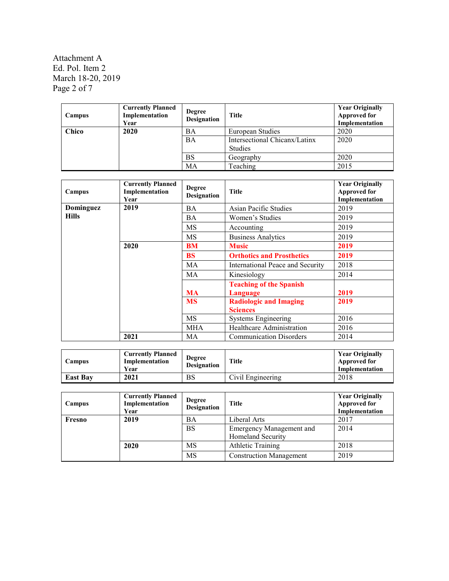Attachment A Ed. Pol. Item 2 March 18-20, 2019 Page 2 of 7

| Campus | <b>Currently Planned</b><br>Implementation<br>Year | <b>Degree</b><br><b>Designation</b> | <b>Title</b>                                    | <b>Year Originally</b><br><b>Approved for</b><br>Implementation |
|--------|----------------------------------------------------|-------------------------------------|-------------------------------------------------|-----------------------------------------------------------------|
| Chico  | 2020                                               | BA                                  | European Studies                                | 2020                                                            |
|        |                                                    | BA                                  | Intersectional Chicanx/Latinx<br><b>Studies</b> | 2020                                                            |
|        |                                                    | <b>BS</b>                           | Geography                                       | 2020                                                            |
|        |                                                    | MA                                  | Teaching                                        | 2015                                                            |

| Campus       | <b>Currently Planned</b><br>Implementation<br>Year | <b>Degree</b><br><b>Designation</b> | <b>Title</b>                     | <b>Year Originally</b><br><b>Approved for</b><br>Implementation |
|--------------|----------------------------------------------------|-------------------------------------|----------------------------------|-----------------------------------------------------------------|
| Dominguez    | 2019                                               | <b>BA</b>                           | Asian Pacific Studies            | 2019                                                            |
| <b>Hills</b> |                                                    | BA                                  | Women's Studies                  | 2019                                                            |
|              |                                                    | MS                                  | Accounting                       | 2019                                                            |
|              |                                                    | <b>MS</b>                           | <b>Business Analytics</b>        | 2019                                                            |
|              | 2020                                               | BM                                  | <b>Music</b>                     | 2019                                                            |
|              |                                                    | <b>BS</b>                           | <b>Orthotics and Prosthetics</b> | 2019                                                            |
|              |                                                    | MA                                  | International Peace and Security | 2018                                                            |
|              |                                                    | MA                                  | Kinesiology                      | 2014                                                            |
|              |                                                    |                                     | <b>Teaching of the Spanish</b>   |                                                                 |
|              |                                                    | <b>MA</b>                           | Language                         | 2019                                                            |
|              |                                                    | <b>MS</b>                           | <b>Radiologic and Imaging</b>    | 2019                                                            |
|              |                                                    |                                     | <b>Sciences</b>                  |                                                                 |
|              |                                                    | MS                                  | <b>Systems Engineering</b>       | 2016                                                            |
|              |                                                    | <b>MHA</b>                          | Healthcare Administration        | 2016                                                            |
|              | 2021                                               | MA                                  | <b>Communication Disorders</b>   | 2014                                                            |

| <b>Campus</b>   | <b>Currently Planned</b><br>Implementation<br>Year | <b>Degree</b><br><b>Designation</b> | <b>Title</b>      | <b>Year Originally</b><br><b>Approved for</b><br>Implementation |
|-----------------|----------------------------------------------------|-------------------------------------|-------------------|-----------------------------------------------------------------|
| <b>East Bay</b> | 2021                                               | <b>BS</b>                           | Civil Engineering | 2018                                                            |

| Campus | <b>Currently Planned</b><br>Implementation<br>Year | <b>Degree</b><br><b>Designation</b> | <b>Title</b>                    | <b>Year Originally</b><br><b>Approved for</b><br>Implementation |
|--------|----------------------------------------------------|-------------------------------------|---------------------------------|-----------------------------------------------------------------|
| Fresno | 2019                                               | ΒA                                  | Liberal Arts                    | 2017                                                            |
|        |                                                    | <b>BS</b>                           | <b>Emergency Management and</b> | 2014                                                            |
|        |                                                    |                                     | Homeland Security               |                                                                 |
|        | 2020                                               | MS                                  | <b>Athletic Training</b>        | 2018                                                            |
|        |                                                    | MS                                  | <b>Construction Management</b>  | 2019                                                            |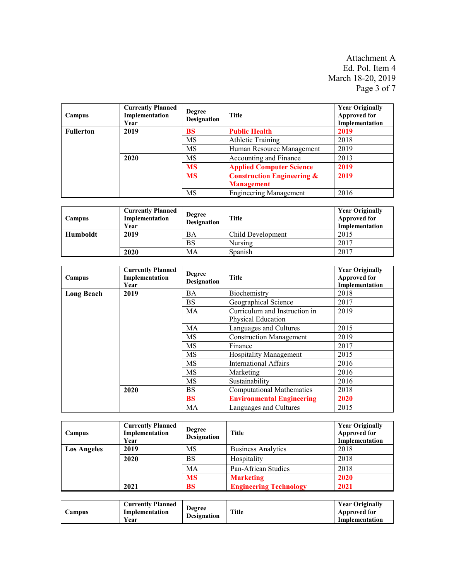Attachment A Ed. Pol. Item 4 March 18-20, 2019 Page 3 of 7

| Campus           | <b>Currently Planned</b><br>Implementation<br>Year | <b>Degree</b><br><b>Designation</b> | <b>Title</b>                                               | <b>Year Originally</b><br><b>Approved for</b><br>Implementation |
|------------------|----------------------------------------------------|-------------------------------------|------------------------------------------------------------|-----------------------------------------------------------------|
| <b>Fullerton</b> | 2019                                               | BS                                  | <b>Public Health</b>                                       | 2019                                                            |
|                  |                                                    | MS                                  | <b>Athletic Training</b>                                   | 2018                                                            |
|                  |                                                    | MS                                  | Human Resource Management                                  | 2019                                                            |
|                  | 2020                                               | MS                                  | Accounting and Finance                                     | 2013                                                            |
|                  |                                                    | <b>MS</b>                           | <b>Applied Computer Science</b>                            | 2019                                                            |
|                  |                                                    | <b>MS</b>                           | <b>Construction Engineering &amp;</b><br><b>Management</b> | 2019                                                            |
|                  |                                                    | MS                                  | <b>Engineering Management</b>                              | 2016                                                            |

| Campus   | <b>Currently Planned</b><br>Implementation<br>Year | <b>Degree</b><br><b>Designation</b> | <b>Title</b>      | <b>Year Originally</b><br><b>Approved for</b><br>Implementation |
|----------|----------------------------------------------------|-------------------------------------|-------------------|-----------------------------------------------------------------|
| Humboldt | 2019                                               | BA                                  | Child Development | 2015                                                            |
|          |                                                    | BS                                  | Nursing           | 2017                                                            |
|          | 2020                                               | MA                                  | Spanish           | 2017                                                            |

| Campus            | <b>Currently Planned</b><br>Implementation<br>Year | <b>Degree</b><br><b>Designation</b> | <b>Title</b>                     | <b>Year Originally</b><br><b>Approved for</b><br>Implementation |
|-------------------|----------------------------------------------------|-------------------------------------|----------------------------------|-----------------------------------------------------------------|
| <b>Long Beach</b> | 2019                                               | <b>BA</b>                           | Biochemistry                     | 2018                                                            |
|                   |                                                    | <b>BS</b>                           | Geographical Science             | 2017                                                            |
|                   |                                                    | MA                                  | Curriculum and Instruction in    | 2019                                                            |
|                   |                                                    |                                     | Physical Education               |                                                                 |
|                   |                                                    | <b>MA</b>                           | Languages and Cultures           | 2015                                                            |
|                   |                                                    | <b>MS</b>                           | <b>Construction Management</b>   | 2019                                                            |
|                   |                                                    | <b>MS</b>                           | Finance                          | 2017                                                            |
|                   |                                                    | <b>MS</b>                           | <b>Hospitality Management</b>    | 2015                                                            |
|                   |                                                    | MS                                  | <b>International Affairs</b>     | 2016                                                            |
|                   |                                                    | <b>MS</b>                           | Marketing                        | 2016                                                            |
|                   |                                                    | <b>MS</b>                           | Sustainability                   | 2016                                                            |
|                   | 2020                                               | <b>BS</b>                           | <b>Computational Mathematics</b> | 2018                                                            |
|                   |                                                    | <b>BS</b>                           | <b>Environmental Engineering</b> | 2020                                                            |
|                   |                                                    | MA                                  | Languages and Cultures           | 2015                                                            |

| Campus             | <b>Currently Planned</b><br>Implementation<br>Year | <b>Degree</b><br><b>Designation</b> | <b>Title</b>                  | <b>Year Originally</b><br><b>Approved for</b><br>Implementation |
|--------------------|----------------------------------------------------|-------------------------------------|-------------------------------|-----------------------------------------------------------------|
| <b>Los Angeles</b> | 2019                                               | MS                                  | <b>Business Analytics</b>     | 2018                                                            |
|                    | 2020                                               | <b>BS</b>                           | Hospitality                   | 2018                                                            |
|                    |                                                    | MA                                  | Pan-African Studies           | 2018                                                            |
|                    |                                                    | <b>MS</b>                           | <b>Marketing</b>              | 2020                                                            |
|                    | 2021                                               | <b>BS</b>                           | <b>Engineering Technology</b> | 2021                                                            |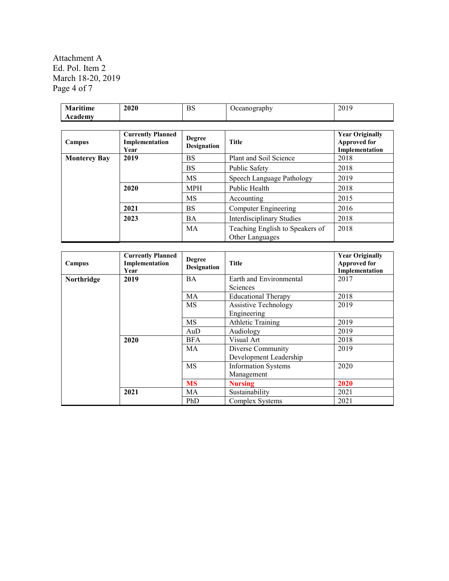Attachment A Ed. Pol. Item 2 March 18-20, 2019 Page 4 of 7

| <b>Maritime</b><br>Academy | 2020                                               | <b>BS</b>                    | Oceanography                                       | 2019                                                            |
|----------------------------|----------------------------------------------------|------------------------------|----------------------------------------------------|-----------------------------------------------------------------|
|                            |                                                    |                              |                                                    |                                                                 |
| Campus                     | <b>Currently Planned</b><br>Implementation<br>Year | Degree<br><b>Designation</b> | <b>Title</b>                                       | <b>Year Originally</b><br><b>Approved for</b><br>Implementation |
| <b>Monterey Bay</b>        | 2019                                               | <b>BS</b>                    | Plant and Soil Science                             | 2018                                                            |
|                            |                                                    | <b>BS</b>                    | Public Safety                                      | 2018                                                            |
|                            |                                                    | MS                           | Speech Language Pathology                          | 2019                                                            |
|                            | 2020                                               | <b>MPH</b>                   | Public Health                                      | 2018                                                            |
|                            |                                                    | MS                           | Accounting                                         | 2015                                                            |
|                            | 2021                                               | <b>BS</b>                    | Computer Engineering                               | 2016                                                            |
|                            | 2023                                               | <b>BA</b>                    | <b>Interdisciplinary Studies</b>                   | 2018                                                            |
|                            |                                                    | MA                           | Teaching English to Speakers of<br>Other Languages | 2018                                                            |

| Campus     | <b>Currently Planned</b><br>Implementation<br>Year | <b>Degree</b><br><b>Designation</b> | <b>Title</b>                | <b>Year Originally</b><br><b>Approved for</b><br>Implementation |
|------------|----------------------------------------------------|-------------------------------------|-----------------------------|-----------------------------------------------------------------|
| Northridge | 2019                                               | <b>BA</b>                           | Earth and Environmental     | 2017                                                            |
|            |                                                    |                                     | <b>Sciences</b>             |                                                                 |
|            |                                                    | MA                                  | <b>Educational Therapy</b>  | 2018                                                            |
|            |                                                    | <b>MS</b>                           | <b>Assistive Technology</b> | 2019                                                            |
|            |                                                    |                                     | Engineering                 |                                                                 |
|            |                                                    | <b>MS</b>                           | <b>Athletic Training</b>    | 2019                                                            |
|            |                                                    | AuD                                 | Audiology                   | 2019                                                            |
|            | 2020                                               | <b>BFA</b>                          | Visual Art                  | 2018                                                            |
|            |                                                    | MA                                  | Diverse Community           | 2019                                                            |
|            |                                                    |                                     | Development Leadership      |                                                                 |
|            |                                                    | <b>MS</b>                           | <b>Information Systems</b>  | 2020                                                            |
|            |                                                    |                                     | Management                  |                                                                 |
|            |                                                    | <b>MS</b>                           | <b>Nursing</b>              | 2020                                                            |
|            | 2021                                               | MA                                  | Sustainability              | 2021                                                            |
|            |                                                    | PhD                                 | Complex Systems             | 2021                                                            |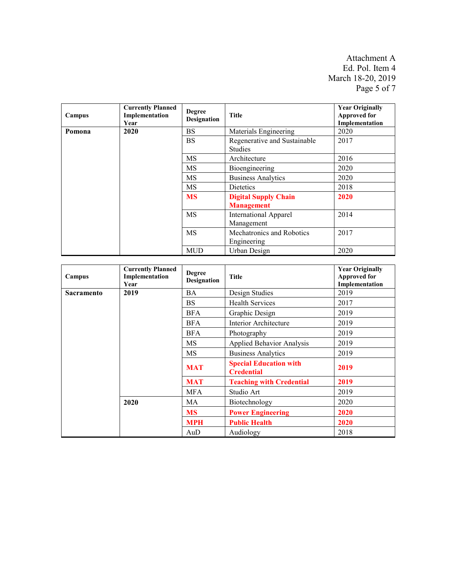Attachment A Ed. Pol. Item 4 March 18-20, 2019 Page 5 of 7

| Campus | <b>Currently Planned</b><br>Implementation<br>Year | <b>Degree</b><br><b>Designation</b>              | <b>Title</b>                               | <b>Year Originally</b><br><b>Approved for</b><br>Implementation |
|--------|----------------------------------------------------|--------------------------------------------------|--------------------------------------------|-----------------------------------------------------------------|
| Pomona | 2020                                               | <b>BS</b>                                        | Materials Engineering                      | 2020                                                            |
|        |                                                    | <b>BS</b>                                        | Regenerative and Sustainable<br>Studies    | 2017                                                            |
|        |                                                    | <b>MS</b>                                        | Architecture                               | 2016                                                            |
|        |                                                    | <b>MS</b>                                        | Bioengineering                             | 2020                                                            |
|        |                                                    | MS                                               | <b>Business Analytics</b>                  | 2020                                                            |
|        |                                                    | MS                                               | Dietetics                                  | 2018                                                            |
|        | <b>MS</b>                                          | <b>Digital Supply Chain</b><br><b>Management</b> | 2020                                       |                                                                 |
|        |                                                    | MS                                               | <b>International Apparel</b><br>Management | 2014                                                            |
|        | <b>MS</b>                                          | Mechatronics and Robotics<br>Engineering         | 2017                                       |                                                                 |
|        |                                                    | <b>MUD</b>                                       | Urban Design                               | 2020                                                            |

| Campus            | <b>Currently Planned</b><br>Implementation<br>Year | <b>Degree</b><br><b>Designation</b> | <b>Title</b>                                       | <b>Year Originally</b><br><b>Approved for</b><br>Implementation |
|-------------------|----------------------------------------------------|-------------------------------------|----------------------------------------------------|-----------------------------------------------------------------|
| <b>Sacramento</b> | 2019                                               | <b>BA</b>                           | Design Studies                                     | 2019                                                            |
|                   |                                                    | <b>BS</b>                           | <b>Health Services</b>                             | 2017                                                            |
|                   |                                                    | <b>BFA</b>                          | Graphic Design                                     | 2019                                                            |
|                   |                                                    | <b>BFA</b>                          | Interior Architecture                              | 2019                                                            |
|                   |                                                    | <b>BFA</b>                          | Photography                                        | 2019                                                            |
|                   |                                                    | MS                                  | <b>Applied Behavior Analysis</b>                   | 2019                                                            |
|                   |                                                    | MS                                  | <b>Business Analytics</b>                          | 2019                                                            |
|                   |                                                    | <b>MAT</b>                          | <b>Special Education with</b><br><b>Credential</b> | 2019                                                            |
|                   |                                                    | <b>MAT</b>                          | <b>Teaching with Credential</b>                    | 2019                                                            |
|                   |                                                    | <b>MFA</b>                          | Studio Art                                         | 2019                                                            |
|                   | 2020                                               | MA                                  | Biotechnology                                      | 2020                                                            |
|                   |                                                    | <b>MS</b>                           | <b>Power Engineering</b>                           | 2020                                                            |
|                   |                                                    | <b>MPH</b>                          | <b>Public Health</b>                               | 2020                                                            |
|                   |                                                    | AuD                                 | Audiology                                          | 2018                                                            |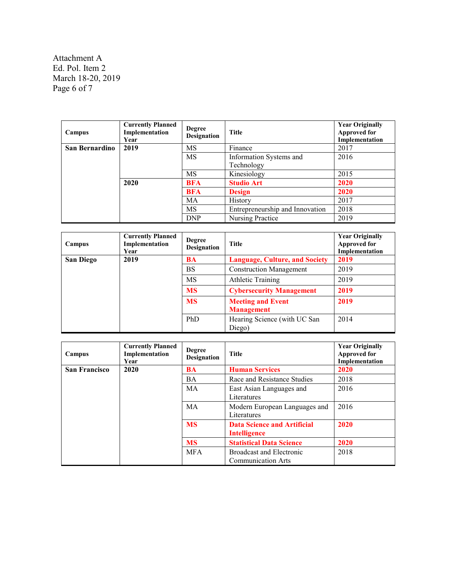Attachment A Ed. Pol. Item 2 March 18-20, 2019 Page 6 of 7

| Campus         | <b>Currently Planned</b><br>Implementation<br>Year | <b>Degree</b><br><b>Designation</b> | Title                           | <b>Year Originally</b><br><b>Approved for</b><br>Implementation |
|----------------|----------------------------------------------------|-------------------------------------|---------------------------------|-----------------------------------------------------------------|
| San Bernardino | 2019                                               | MS                                  | Finance                         | 2017                                                            |
|                |                                                    | MS                                  | Information Systems and         | 2016                                                            |
|                |                                                    |                                     | Technology                      |                                                                 |
|                |                                                    | MS                                  | Kinesiology                     | 2015                                                            |
|                | 2020                                               | <b>BFA</b>                          | <b>Studio Art</b>               | 2020                                                            |
|                |                                                    | <b>BFA</b>                          | <b>Design</b>                   | 2020                                                            |
|                |                                                    | MA                                  | History                         | 2017                                                            |
|                |                                                    | MS                                  | Entrepreneurship and Innovation | 2018                                                            |
|                |                                                    | <b>DNP</b>                          | Nursing Practice                | 2019                                                            |

| Campus    | <b>Currently Planned</b><br>Implementation<br>Year | <b>Degree</b><br><b>Designation</b> | Title                                         | <b>Year Originally</b><br><b>Approved for</b><br>Implementation |
|-----------|----------------------------------------------------|-------------------------------------|-----------------------------------------------|-----------------------------------------------------------------|
| San Diego | 2019                                               | <b>BA</b>                           | <b>Language, Culture, and Society</b>         | 2019                                                            |
|           |                                                    | <b>BS</b>                           | <b>Construction Management</b>                | 2019                                                            |
|           |                                                    | <b>MS</b>                           | <b>Athletic Training</b>                      | 2019                                                            |
|           |                                                    | <b>MS</b>                           | <b>Cybersecurity Management</b>               | 2019                                                            |
|           |                                                    | <b>MS</b>                           | <b>Meeting and Event</b><br><b>Management</b> | 2019                                                            |
|           |                                                    | PhD                                 | Hearing Science (with UC San<br>Diego)        | 2014                                                            |

| Campus               | <b>Currently Planned</b><br>Implementation<br>Year | <b>Degree</b><br><b>Designation</b> | <b>Title</b>                                              | <b>Year Originally</b><br><b>Approved for</b><br>Implementation |
|----------------------|----------------------------------------------------|-------------------------------------|-----------------------------------------------------------|-----------------------------------------------------------------|
| <b>San Francisco</b> | 2020                                               | <b>BA</b>                           | <b>Human Services</b>                                     | 2020                                                            |
|                      |                                                    | <b>BA</b>                           | Race and Resistance Studies                               | 2018                                                            |
|                      |                                                    | MA                                  | East Asian Languages and<br>Literatures                   | 2016                                                            |
|                      |                                                    | MA                                  | Modern European Languages and<br>Literatures              | 2016                                                            |
|                      |                                                    | <b>MS</b>                           | <b>Data Science and Artificial</b><br><b>Intelligence</b> | 2020                                                            |
|                      |                                                    | <b>MS</b>                           | <b>Statistical Data Science</b>                           | 2020                                                            |
|                      |                                                    | <b>MFA</b>                          | Broadcast and Electronic<br><b>Communication Arts</b>     | 2018                                                            |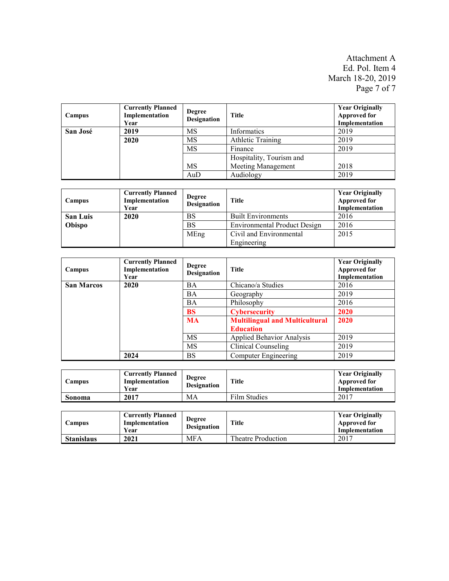Attachment A Ed. Pol. Item 4 March 18-20, 2019 Page 7 of 7

| Campus   | <b>Currently Planned</b><br>Implementation<br>Year | <b>Degree</b><br><b>Designation</b> | <b>Title</b>             | <b>Year Originally</b><br><b>Approved for</b><br>Implementation |
|----------|----------------------------------------------------|-------------------------------------|--------------------------|-----------------------------------------------------------------|
| San José | 2019                                               | MS                                  | Informatics              | 2019                                                            |
|          | 2020                                               | MS                                  | <b>Athletic Training</b> | 2019                                                            |
|          |                                                    | MS                                  | Finance                  | 2019                                                            |
|          |                                                    |                                     | Hospitality, Tourism and |                                                                 |
|          |                                                    | MS                                  | Meeting Management       | 2018                                                            |
|          |                                                    | AuD                                 | Audiology                | 2019                                                            |

| Campus          | <b>Currently Planned</b><br>Implementation<br>Year | <b>Degree</b><br><b>Designation</b> | <b>Title</b>                        | <b>Year Originally</b><br><b>Approved for</b><br>Implementation |
|-----------------|----------------------------------------------------|-------------------------------------|-------------------------------------|-----------------------------------------------------------------|
| <b>San Luis</b> | 2020                                               | BS                                  | <b>Built Environments</b>           | 2016                                                            |
| Obispo          |                                                    | BS                                  | <b>Environmental Product Design</b> | 2016                                                            |
|                 |                                                    | MEng                                | Civil and Environmental             | 2015                                                            |
|                 |                                                    |                                     | Engineering                         |                                                                 |

| Campus            | <b>Currently Planned</b><br>Implementation<br>Year | <b>Degree</b><br><b>Designation</b> | <b>Title</b>                          | <b>Year Originally</b><br><b>Approved for</b><br>Implementation |
|-------------------|----------------------------------------------------|-------------------------------------|---------------------------------------|-----------------------------------------------------------------|
| <b>San Marcos</b> | 2020                                               | <b>BA</b>                           | Chicano/a Studies                     | 2016                                                            |
|                   |                                                    | BA                                  | Geography                             | 2019                                                            |
|                   |                                                    | <b>BA</b>                           | Philosophy                            | 2016                                                            |
|                   |                                                    | <b>BS</b>                           | <b>Cybersecurity</b>                  | 2020                                                            |
|                   |                                                    | <b>MA</b>                           | <b>Multilingual and Multicultural</b> | 2020                                                            |
|                   |                                                    |                                     | <b>Education</b>                      |                                                                 |
|                   |                                                    | <b>MS</b>                           | Applied Behavior Analysis             | 2019                                                            |
|                   |                                                    | MS                                  | Clinical Counseling                   | 2019                                                            |
|                   | 2024                                               | <b>BS</b>                           | <b>Computer Engineering</b>           | 2019                                                            |

| <b>Campus</b> | <b>Currently Planned</b><br>Implementation<br>Year | <b>Degree</b><br><b>Designation</b> | Title        | <b>Year Originally</b><br><b>Approved for</b><br>Implementation |
|---------------|----------------------------------------------------|-------------------------------------|--------------|-----------------------------------------------------------------|
| Sonoma        | 2017                                               | MA                                  | Film Studies | 2017                                                            |

| Campus            | <b>Currently Planned</b><br>Implementation<br>Year | <b>Degree</b><br><b>Designation</b> | <b>Title</b>       | <b>Year Originally</b><br>Approved for<br>Implementation |
|-------------------|----------------------------------------------------|-------------------------------------|--------------------|----------------------------------------------------------|
| <b>Stanislaus</b> | 2021                                               | <b>MFA</b>                          | Theatre Production | 2017                                                     |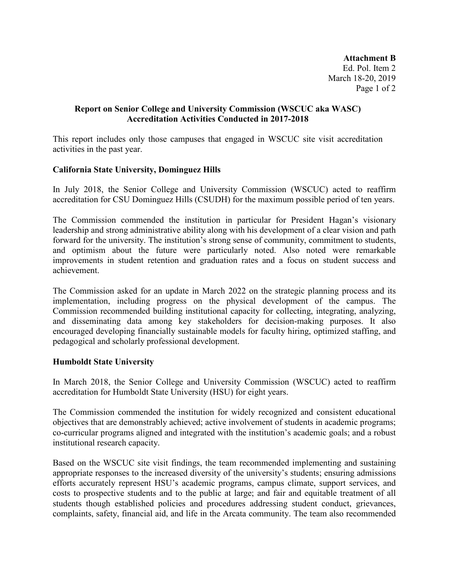**Attachment B** Ed. Pol. Item 2 March 18-20, 2019 Page 1 of 2

## **Report on Senior College and University Commission (WSCUC aka WASC) Accreditation Activities Conducted in 2017-2018**

This report includes only those campuses that engaged in WSCUC site visit accreditation activities in the past year.

### **California State University, Dominguez Hills**

In July 2018, the Senior College and University Commission (WSCUC) acted to reaffirm accreditation for CSU Dominguez Hills (CSUDH) for the maximum possible period of ten years.

The Commission commended the institution in particular for President Hagan's visionary leadership and strong administrative ability along with his development of a clear vision and path forward for the university. The institution's strong sense of community, commitment to students, and optimism about the future were particularly noted. Also noted were remarkable improvements in student retention and graduation rates and a focus on student success and achievement.

The Commission asked for an update in March 2022 on the strategic planning process and its implementation, including progress on the physical development of the campus. The Commission recommended building institutional capacity for collecting, integrating, analyzing, and disseminating data among key stakeholders for decision-making purposes. It also encouraged developing financially sustainable models for faculty hiring, optimized staffing, and pedagogical and scholarly professional development.

### **Humboldt State University**

In March 2018, the Senior College and University Commission (WSCUC) acted to reaffirm accreditation for Humboldt State University (HSU) for eight years.

The Commission commended the institution for widely recognized and consistent educational objectives that are demonstrably achieved; active involvement of students in academic programs; co-curricular programs aligned and integrated with the institution's academic goals; and a robust institutional research capacity.

Based on the WSCUC site visit findings, the team recommended implementing and sustaining appropriate responses to the increased diversity of the university's students; ensuring admissions efforts accurately represent HSU's academic programs, campus climate, support services, and costs to prospective students and to the public at large; and fair and equitable treatment of all students though established policies and procedures addressing student conduct, grievances, complaints, safety, financial aid, and life in the Arcata community. The team also recommended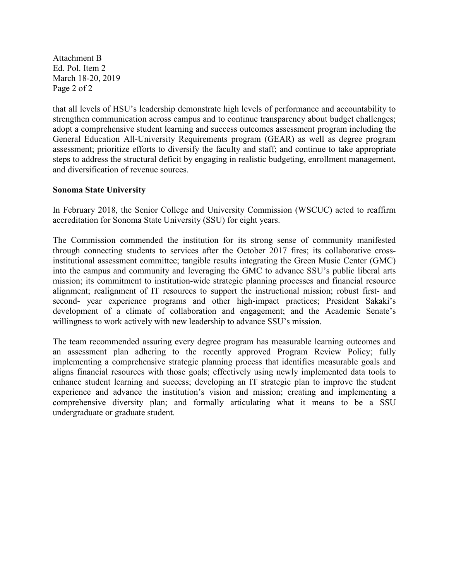Attachment B Ed. Pol. Item 2 March 18-20, 2019 Page 2 of 2

that all levels of HSU's leadership demonstrate high levels of performance and accountability to strengthen communication across campus and to continue transparency about budget challenges; adopt a comprehensive student learning and success outcomes assessment program including the General Education All-University Requirements program (GEAR) as well as degree program assessment; prioritize efforts to diversify the faculty and staff; and continue to take appropriate steps to address the structural deficit by engaging in realistic budgeting, enrollment management, and diversification of revenue sources.

### **Sonoma State University**

In February 2018, the Senior College and University Commission (WSCUC) acted to reaffirm accreditation for Sonoma State University (SSU) for eight years.

The Commission commended the institution for its strong sense of community manifested through connecting students to services after the October 2017 fires; its collaborative crossinstitutional assessment committee; tangible results integrating the Green Music Center (GMC) into the campus and community and leveraging the GMC to advance SSU's public liberal arts mission; its commitment to institution-wide strategic planning processes and financial resource alignment; realignment of IT resources to support the instructional mission; robust first- and second- year experience programs and other high-impact practices; President Sakaki's development of a climate of collaboration and engagement; and the Academic Senate's willingness to work actively with new leadership to advance SSU's mission.

The team recommended assuring every degree program has measurable learning outcomes and an assessment plan adhering to the recently approved Program Review Policy; fully implementing a comprehensive strategic planning process that identifies measurable goals and aligns financial resources with those goals; effectively using newly implemented data tools to enhance student learning and success; developing an IT strategic plan to improve the student experience and advance the institution's vision and mission; creating and implementing a comprehensive diversity plan; and formally articulating what it means to be a SSU undergraduate or graduate student.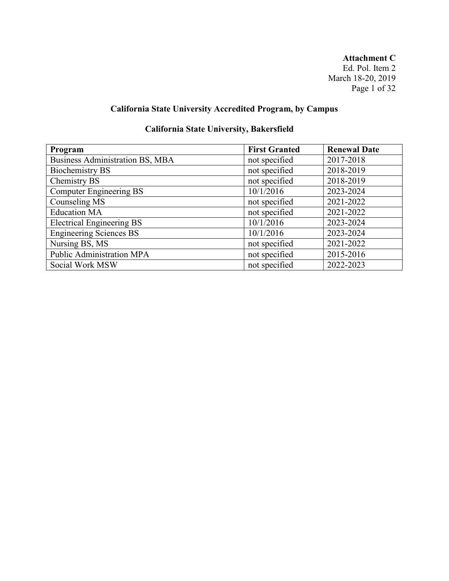**Attachment C** Ed. Pol. Item 2 March 18-20, 2019 Page 1 of 32

# **California State University Accredited Program, by Campus**

# **California State University, Bakersfield**

| Program                          | <b>First Granted</b> | <b>Renewal Date</b> |
|----------------------------------|----------------------|---------------------|
| Business Administration BS, MBA  | not specified        | 2017-2018           |
| <b>Biochemistry BS</b>           | not specified        | 2018-2019           |
| Chemistry BS                     | not specified        | 2018-2019           |
| <b>Computer Engineering BS</b>   | 10/1/2016            | 2023-2024           |
| Counseling MS                    | not specified        | 2021-2022           |
| <b>Education MA</b>              | not specified        | 2021-2022           |
| <b>Electrical Engineering BS</b> | 10/1/2016            | 2023-2024           |
| <b>Engineering Sciences BS</b>   | 10/1/2016            | 2023-2024           |
| Nursing BS, MS                   | not specified        | 2021-2022           |
| Public Administration MPA        | not specified        | 2015-2016           |
| Social Work MSW                  | not specified        | 2022-2023           |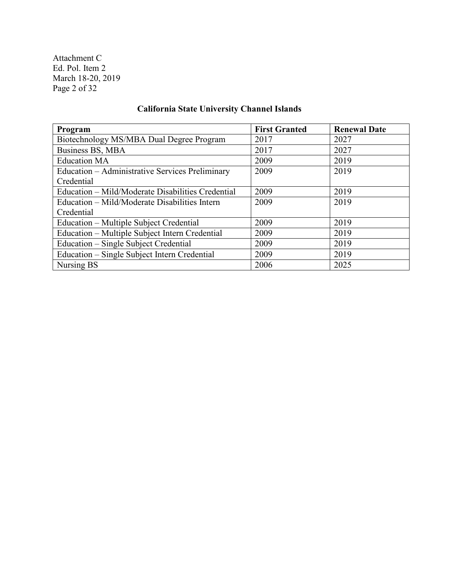Attachment C Ed. Pol. Item 2 March 18-20, 2019 Page 2 of 32

# **California State University Channel Islands**

| Program                                           | <b>First Granted</b> | <b>Renewal Date</b> |
|---------------------------------------------------|----------------------|---------------------|
| Biotechnology MS/MBA Dual Degree Program          | 2017                 | 2027                |
| Business BS, MBA                                  | 2017                 | 2027                |
| <b>Education MA</b>                               | 2009                 | 2019                |
| Education – Administrative Services Preliminary   | 2009                 | 2019                |
| Credential                                        |                      |                     |
| Education – Mild/Moderate Disabilities Credential | 2009                 | 2019                |
| Education – Mild/Moderate Disabilities Intern     | 2009                 | 2019                |
| Credential                                        |                      |                     |
| Education - Multiple Subject Credential           | 2009                 | 2019                |
| Education – Multiple Subject Intern Credential    | 2009                 | 2019                |
| Education – Single Subject Credential             | 2009                 | 2019                |
| Education – Single Subject Intern Credential      | 2009                 | 2019                |
| Nursing BS                                        | 2006                 | 2025                |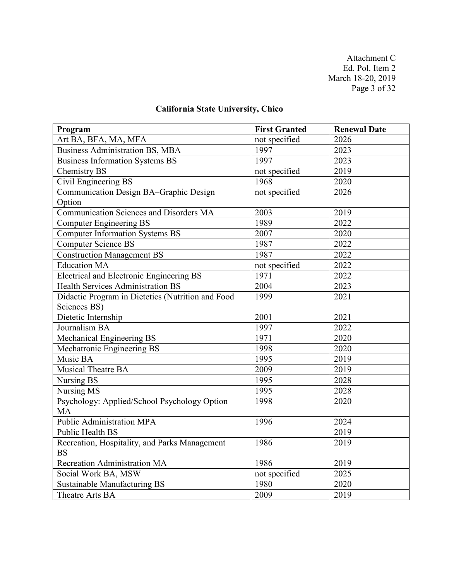Attachment C Ed. Pol. Item 2 March 18-20, 2019 Page 3 of 32

# **California State University, Chico**

| Program                                           | <b>First Granted</b> | <b>Renewal Date</b> |
|---------------------------------------------------|----------------------|---------------------|
| Art BA, BFA, MA, MFA                              | not specified        | 2026                |
| <b>Business Administration BS, MBA</b>            | 1997                 | 2023                |
| <b>Business Information Systems BS</b>            | 1997                 | 2023                |
| Chemistry BS                                      | not specified        | 2019                |
| Civil Engineering BS                              | 1968                 | 2020                |
| Communication Design BA-Graphic Design            | not specified        | 2026                |
| Option                                            |                      |                     |
| Communication Sciences and Disorders MA           | 2003                 | 2019                |
| <b>Computer Engineering BS</b>                    | 1989                 | 2022                |
| <b>Computer Information Systems BS</b>            | 2007                 | 2020                |
| <b>Computer Science BS</b>                        | 1987                 | 2022                |
| Construction Management BS                        | 1987                 | 2022                |
| <b>Education MA</b>                               | not specified        | 2022                |
| <b>Electrical and Electronic Engineering BS</b>   | 1971                 | 2022                |
| <b>Health Services Administration BS</b>          | 2004                 | 2023                |
| Didactic Program in Dietetics (Nutrition and Food | 1999                 | 2021                |
| Sciences BS)                                      |                      |                     |
| Dietetic Internship                               | 2001                 | 2021                |
| Journalism BA                                     | 1997                 | 2022                |
| Mechanical Engineering BS                         | 1971                 | 2020                |
| Mechatronic Engineering BS                        | 1998                 | 2020                |
| Music BA                                          | 1995                 | 2019                |
| Musical Theatre BA                                | 2009                 | 2019                |
| Nursing BS                                        | 1995                 | 2028                |
| Nursing MS                                        | 1995                 | 2028                |
| Psychology: Applied/School Psychology Option      | 1998                 | 2020                |
| <b>MA</b>                                         |                      |                     |
| <b>Public Administration MPA</b>                  | 1996                 | 2024                |
| <b>Public Health BS</b>                           |                      | 2019                |
| Recreation, Hospitality, and Parks Management     | 1986                 | 2019                |
| <b>BS</b>                                         |                      |                     |
| Recreation Administration MA                      | 1986                 | 2019                |
| Social Work BA, MSW                               | not specified        | 2025                |
| Sustainable Manufacturing BS                      | 1980                 | 2020                |
| Theatre Arts BA                                   | 2009                 | 2019                |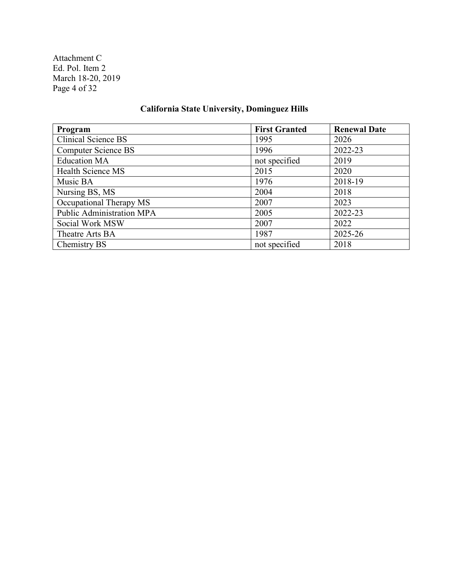Attachment C Ed. Pol. Item 2 March 18-20, 2019 Page 4 of 32

# **California State University, Dominguez Hills**

| Program                    | <b>First Granted</b> | <b>Renewal Date</b> |
|----------------------------|----------------------|---------------------|
| <b>Clinical Science BS</b> | 1995                 | 2026                |
| <b>Computer Science BS</b> | 1996                 | 2022-23             |
| <b>Education MA</b>        | not specified        | 2019                |
| Health Science MS          | 2015                 | 2020                |
| Music BA                   | 1976                 | 2018-19             |
| Nursing BS, MS             | 2004                 | 2018                |
| Occupational Therapy MS    | 2007                 | 2023                |
| Public Administration MPA  | 2005                 | 2022-23             |
| Social Work MSW            | 2007                 | 2022                |
| Theatre Arts BA            | 1987                 | 2025-26             |
| Chemistry BS               | not specified        | 2018                |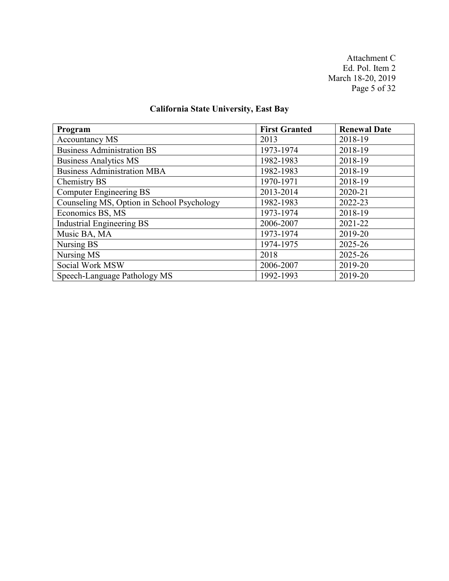Attachment C Ed. Pol. Item 2 March 18-20, 2019 Page 5 of 32

# **California State University, East Bay**

| Program                                    | <b>First Granted</b> | <b>Renewal Date</b> |
|--------------------------------------------|----------------------|---------------------|
| <b>Accountancy MS</b>                      | 2013                 | 2018-19             |
| <b>Business Administration BS</b>          | 1973-1974            | 2018-19             |
| <b>Business Analytics MS</b>               | 1982-1983            | 2018-19             |
| <b>Business Administration MBA</b>         | 1982-1983            | 2018-19             |
| Chemistry BS                               | 1970-1971            | 2018-19             |
| <b>Computer Engineering BS</b>             | 2013-2014            | 2020-21             |
| Counseling MS, Option in School Psychology | 1982-1983            | 2022-23             |
| Economics BS, MS                           | 1973-1974            | 2018-19             |
| <b>Industrial Engineering BS</b>           | 2006-2007            | 2021-22             |
| Music BA, MA                               | 1973-1974            | 2019-20             |
| Nursing BS                                 | 1974-1975            | 2025-26             |
| Nursing MS                                 | 2018                 | 2025-26             |
| Social Work MSW                            | 2006-2007            | 2019-20             |
| Speech-Language Pathology MS               | 1992-1993            | 2019-20             |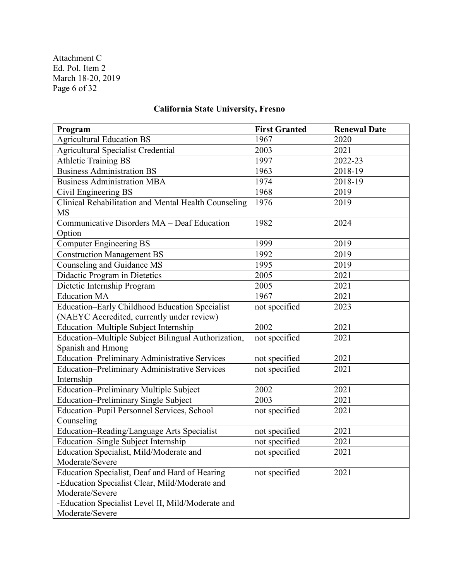Attachment C Ed. Pol. Item 2 March 18-20, 2019 Page 6 of 32

# **California State University, Fresno**

| Program                                              | <b>First Granted</b> | <b>Renewal Date</b> |
|------------------------------------------------------|----------------------|---------------------|
| <b>Agricultural Education BS</b>                     | 1967                 | 2020                |
| <b>Agricultural Specialist Credential</b>            | 2003                 | 2021                |
| <b>Athletic Training BS</b>                          | 1997                 | 2022-23             |
| <b>Business Administration BS</b>                    | 1963                 | 2018-19             |
| <b>Business Administration MBA</b>                   | 1974                 | 2018-19             |
| Civil Engineering BS                                 | 1968                 | 2019                |
| Clinical Rehabilitation and Mental Health Counseling | 1976                 | 2019                |
| <b>MS</b>                                            |                      |                     |
| Communicative Disorders MA - Deaf Education          | 1982                 | 2024                |
| Option                                               |                      |                     |
| Computer Engineering BS                              | 1999                 | 2019                |
| <b>Construction Management BS</b>                    | 1992                 | 2019                |
| Counseling and Guidance MS                           | 1995                 | 2019                |
| Didactic Program in Dietetics                        | 2005                 | 2021                |
| Dietetic Internship Program                          | 2005                 | 2021                |
| <b>Education MA</b>                                  | 1967                 | 2021                |
| Education-Early Childhood Education Specialist       | not specified        | 2023                |
| (NAEYC Accredited, currently under review)           |                      |                     |
| Education-Multiple Subject Internship                | 2002                 | 2021                |
| Education-Multiple Subject Bilingual Authorization,  | not specified        | 2021                |
| Spanish and Hmong                                    |                      |                     |
| Education-Preliminary Administrative Services        | not specified        | 2021                |
| <b>Education-Preliminary Administrative Services</b> | not specified        | 2021                |
| Internship                                           |                      |                     |
| Education-Preliminary Multiple Subject               | 2002                 | 2021                |
| <b>Education-Preliminary Single Subject</b>          | 2003                 | 2021                |
| Education-Pupil Personnel Services, School           | not specified        | 2021                |
| Counseling                                           |                      |                     |
| Education-Reading/Language Arts Specialist           | not specified        | 2021                |
| Education-Single Subject Internship                  | not specified        | 2021                |
| Education Specialist, Mild/Moderate and              | not specified        | 2021                |
| Moderate/Severe                                      |                      |                     |
| Education Specialist, Deaf and Hard of Hearing       | not specified        | 2021                |
| -Education Specialist Clear, Mild/Moderate and       |                      |                     |
| Moderate/Severe                                      |                      |                     |
| -Education Specialist Level II, Mild/Moderate and    |                      |                     |
| Moderate/Severe                                      |                      |                     |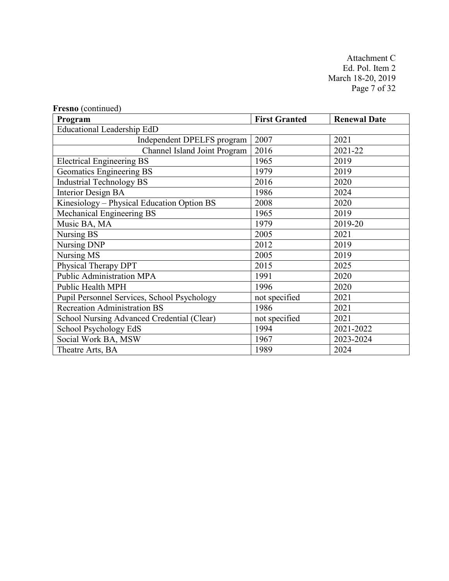Attachment C Ed. Pol. Item 2 March 18-20, 2019 Page 7 of 32

| Program                                     | <b>First Granted</b> | <b>Renewal Date</b> |
|---------------------------------------------|----------------------|---------------------|
| Educational Leadership EdD                  |                      |                     |
| Independent DPELFS program                  | 2007                 | 2021                |
| Channel Island Joint Program                | 2016                 | 2021-22             |
| <b>Electrical Engineering BS</b>            | 1965                 | 2019                |
| Geomatics Engineering BS                    | 1979                 | 2019                |
| <b>Industrial Technology BS</b>             | 2016                 | 2020                |
| <b>Interior Design BA</b>                   | 1986                 | 2024                |
| Kinesiology - Physical Education Option BS  | 2008                 | 2020                |
| Mechanical Engineering BS                   | 1965                 | 2019                |
| Music BA, MA                                | 1979                 | 2019-20             |
| Nursing BS                                  | 2005                 | 2021                |
| Nursing DNP                                 | 2012                 | 2019                |
| Nursing MS                                  | 2005                 | 2019                |
| Physical Therapy DPT                        | 2015                 | 2025                |
| <b>Public Administration MPA</b>            | 1991                 | 2020                |
| <b>Public Health MPH</b>                    | 1996                 | 2020                |
| Pupil Personnel Services, School Psychology | not specified        | 2021                |
| Recreation Administration BS                | 1986                 | 2021                |
| School Nursing Advanced Credential (Clear)  | not specified        | 2021                |
| School Psychology EdS                       | 1994                 | 2021-2022           |
| Social Work BA, MSW                         | 1967                 | 2023-2024           |
| Theatre Arts, BA                            | 1989                 | 2024                |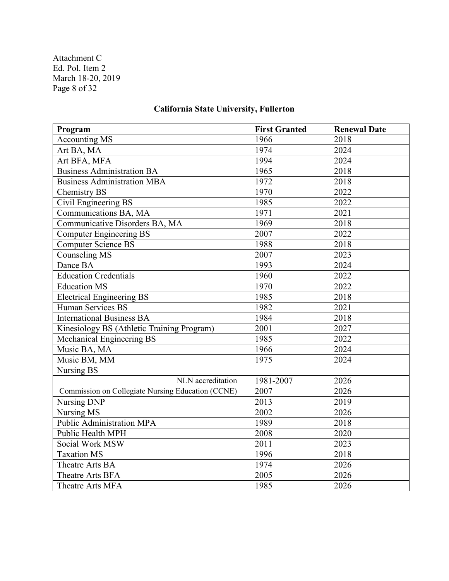Attachment C Ed. Pol. Item 2 March 18-20, 2019 Page 8 of 32

## **Program First Granted Renewal Date**<br>Accounting MS 1966 2018 Accounting MS 1966 Art BA, MA 2024 Art BFA, MFA 1994 2024<br>
Business Administration BA 1965 2018 Business Administration BA 1965 2018 Business Administration MBA 1972 2018 Chemistry BS 1970 2022 Civil Engineering BS 1985 2022 Communications BA, MA 1971 2021 Communicative Disorders BA, MA 1969 2018 Computer Engineering BS 2007 2022 Computer Science BS 1988 2018 Counseling MS 2007 2023 Dance BA 1993 2024 Education Credentials 1960 2022 Education MS 1970 2022 Electrical Engineering BS 1985 2018 Human Services BS<br>
International Business BA<br>
1984 2018 International Business BA 1984 2018 Kinesiology BS (Athletic Training Program) 2001 2027 Mechanical Engineering BS<br>
Music BA, MA<br>
1966 12024 Music BA, MA 1966 Music BM, MM 1975 2024 Nursing BS NLN accreditation 1981-2007 2026 Commission on Collegiate Nursing Education (CCNE) 2007 2026 Nursing DNP 2013 2019 Nursing MS 2002 2026 Public Administration MPA 1989 2018 Public Health MPH 2020 Social Work MSW 2011 2023 Taxation MS 1996 2018 Theatre Arts BA 1974 2026 Theatre Arts BFA 2005 2026 Theatre Arts MFA 1985 2026

#### **California State University, Fullerton**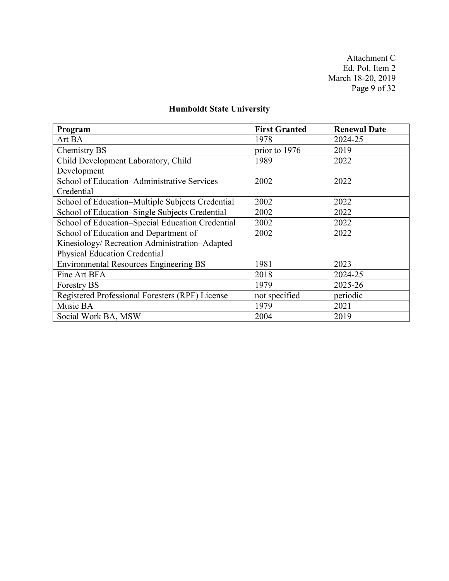Attachment C Ed. Pol. Item 2 March 18-20, 2019 Page 9 of 32

# **Humboldt State University**

| Program                                          | <b>First Granted</b> | <b>Renewal Date</b> |
|--------------------------------------------------|----------------------|---------------------|
| Art BA                                           | 1978                 | 2024-25             |
| Chemistry BS                                     | prior to 1976        | 2019                |
| Child Development Laboratory, Child              | 1989                 | 2022                |
| Development                                      |                      |                     |
| School of Education-Administrative Services      | 2002                 | 2022                |
| Credential                                       |                      |                     |
| School of Education–Multiple Subjects Credential | 2002                 | 2022                |
| School of Education-Single Subjects Credential   | 2002                 | 2022                |
| School of Education-Special Education Credential | 2002                 | 2022                |
| School of Education and Department of            | 2002                 | 2022                |
| Kinesiology/ Recreation Administration-Adapted   |                      |                     |
| <b>Physical Education Credential</b>             |                      |                     |
| <b>Environmental Resources Engineering BS</b>    | 1981                 | 2023                |
| Fine Art BFA                                     | 2018                 | 2024-25             |
| <b>Forestry BS</b>                               | 1979                 | 2025-26             |
| Registered Professional Foresters (RPF) License  | not specified        | periodic            |
| Music BA                                         | 1979                 | 2021                |
| Social Work BA, MSW                              | 2004                 | 2019                |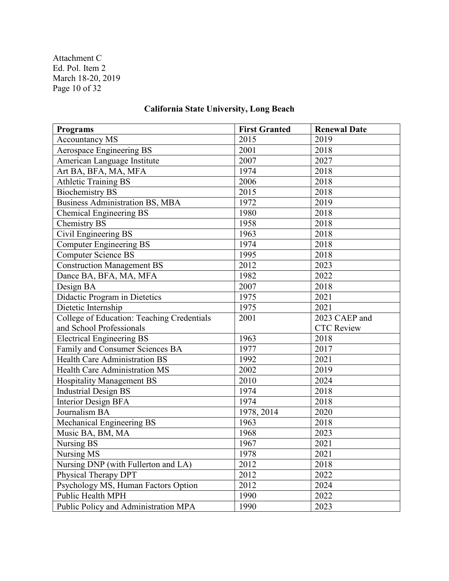Attachment C Ed. Pol. Item 2 March 18-20, 2019 Page 10 of 32

# **California State University, Long Beach**

| <b>Programs</b>                            | <b>First Granted</b> | <b>Renewal Date</b> |
|--------------------------------------------|----------------------|---------------------|
| <b>Accountancy MS</b>                      | 2015                 | 2019                |
| Aerospace Engineering BS                   | 2001                 | 2018                |
| American Language Institute                | 2007                 | 2027                |
| Art BA, BFA, MA, MFA                       | 1974                 | 2018                |
| <b>Athletic Training BS</b>                | 2006                 | 2018                |
| <b>Biochemistry BS</b>                     | 2015                 | 2018                |
| <b>Business Administration BS, MBA</b>     | 1972                 | 2019                |
| <b>Chemical Engineering BS</b>             | 1980                 | 2018                |
| <b>Chemistry BS</b>                        | 1958                 | 2018                |
| Civil Engineering BS                       | 1963                 | 2018                |
| <b>Computer Engineering BS</b>             | 1974                 | 2018                |
| <b>Computer Science BS</b>                 | 1995                 | 2018                |
| <b>Construction Management BS</b>          | 2012                 | 2023                |
| Dance BA, BFA, MA, MFA                     | 1982                 | 2022                |
| Design BA                                  | 2007                 | 2018                |
| Didactic Program in Dietetics              | 1975                 | 2021                |
| Dietetic Internship                        | 1975                 | 2021                |
| College of Education: Teaching Credentials | 2001                 | 2023 CAEP and       |
| and School Professionals                   |                      | <b>CTC Review</b>   |
| <b>Electrical Engineering BS</b>           | 1963                 | 2018                |
| Family and Consumer Sciences BA            | 1977                 | 2017                |
| <b>Health Care Administration BS</b>       | 1992                 | 2021                |
| Health Care Administration MS              | 2002                 | 2019                |
| Hospitality Management BS                  | 2010                 | 2024                |
| <b>Industrial Design BS</b>                | 1974                 | 2018                |
| <b>Interior Design BFA</b>                 | 1974                 | 2018                |
| Journalism BA                              | 1978, 2014           | 2020                |
| Mechanical Engineering BS                  | 1963                 | 2018                |
| Music BA, BM, MA                           | 1968                 | 2023                |
| Nursing BS                                 | 1967                 | 2021                |
| Nursing MS                                 | 1978                 | 2021                |
| Nursing DNP (with Fullerton and LA)        | 2012                 | 2018                |
| Physical Therapy DPT                       | 2012                 | 2022                |
| Psychology MS, Human Factors Option        | 2012                 | 2024                |
| Public Health MPH                          | 1990                 | 2022                |
| Public Policy and Administration MPA       | 1990                 | 2023                |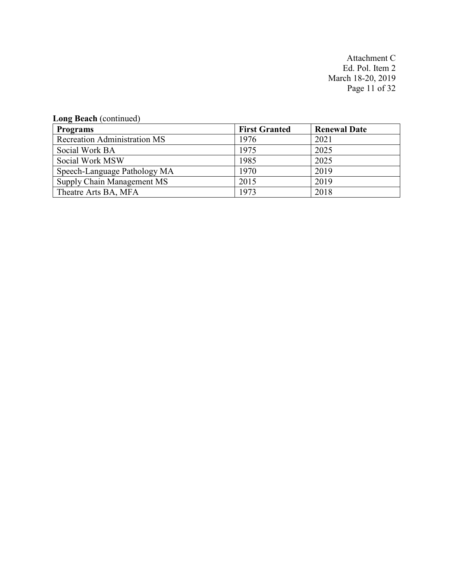Attachment C Ed. Pol. Item 2 March 18-20, 2019 Page 11 of 32

# **Long Beach** (continued)

| <b>Programs</b>                     | <b>First Granted</b> | <b>Renewal Date</b> |
|-------------------------------------|----------------------|---------------------|
| <b>Recreation Administration MS</b> | 1976                 | 2021                |
| Social Work BA                      | 1975                 | 2025                |
| Social Work MSW                     | 1985                 | 2025                |
| Speech-Language Pathology MA        | 1970                 | 2019                |
| Supply Chain Management MS          | 2015                 | 2019                |
| Theatre Arts BA, MFA                | 1973                 | 2018                |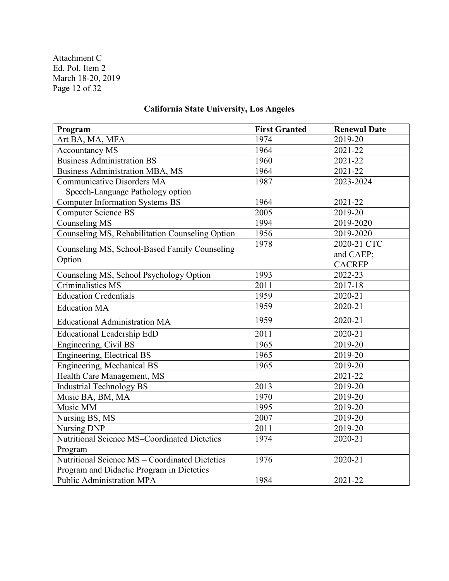Attachment C Ed. Pol. Item 2 March 18-20, 2019 Page 12 of 32

#### **Program First Granted Renewal Date** Art BA, MA, MFA 1974 2019-20 Accountancy MS 1964 2021-22 Pusiness Administration BS<br>
Business Administration MBA, MS<br>
1964 2021-22 Business Administration MBA, MS 1964 2021-22 Communicative Disorders MA Speech-Language Pathology option 1987 2023-2024 Computer Information Systems BS 1964 2021-22 Computer Science BS 2005 2019-20 Counseling MS 1994 2019-2020 Counseling MS, Rehabilitation Counseling Option | 1956 | 2019-2020 Counseling MS, School-Based Family Counseling Option 1978 2020-21 CTC and CAEP; CACREP Counseling MS, School Psychology Option 1993 2022-23 Criminalistics MS 2011 2017-18 Education Credentials 1959 2020-21 Education MA 1959 2020-21 Educational Administration MA 1959 2020-21 Educational Leadership EdD 2011 2020-21 Engineering, Civil BS 1965 2019-20 Engineering, Electrical BS 1965 2019-20 Engineering, Mechanical BS 1965 2019-20 Health Care Management, MS 2021-22 Industrial Technology BS 2013 2013 2019-20 Music BA, BM, MA 1970 2019-20 Music MM 1995 2019-20 Nursing BS, MS 2007 2019-20 Nursing DNP 2011 2011 2019-20 Nutritional Science MS–Coordinated Dietetics Program 1974 2020-21 Nutritional Science MS – Coordinated Dietetics Program and Didactic Program in Dietetics 1976 2020-21 Public Administration MPA 1984 2021-22

#### **California State University, Los Angeles**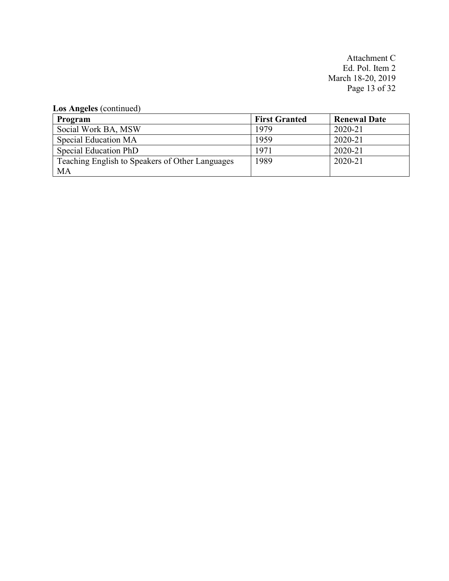Attachment C Ed. Pol. Item 2 March 18-20, 2019 Page 13 of 32

**Los Angeles** (continued)

| Program                                         | <b>First Granted</b> | <b>Renewal Date</b> |
|-------------------------------------------------|----------------------|---------------------|
| Social Work BA, MSW                             | 1979                 | 2020-21             |
| Special Education MA                            | 1959                 | 2020-21             |
| Special Education PhD                           | 1971                 | 2020-21             |
| Teaching English to Speakers of Other Languages | 1989                 | 2020-21             |
| MA                                              |                      |                     |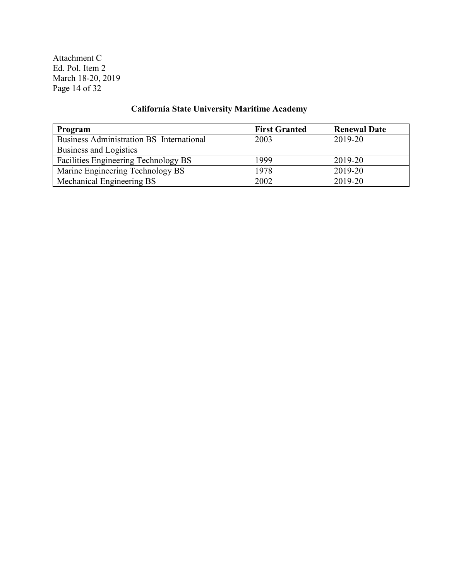Attachment C Ed. Pol. Item 2 March 18-20, 2019 Page 14 of 32

# **California State University Maritime Academy**

| Program                                         | <b>First Granted</b> | <b>Renewal Date</b> |
|-------------------------------------------------|----------------------|---------------------|
| <b>Business Administration BS-International</b> | 2003                 | 2019-20             |
| Business and Logistics                          |                      |                     |
| Facilities Engineering Technology BS            | 1999                 | 2019-20             |
| Marine Engineering Technology BS                | 1978                 | 2019-20             |
| Mechanical Engineering BS                       | 2002                 | 2019-20             |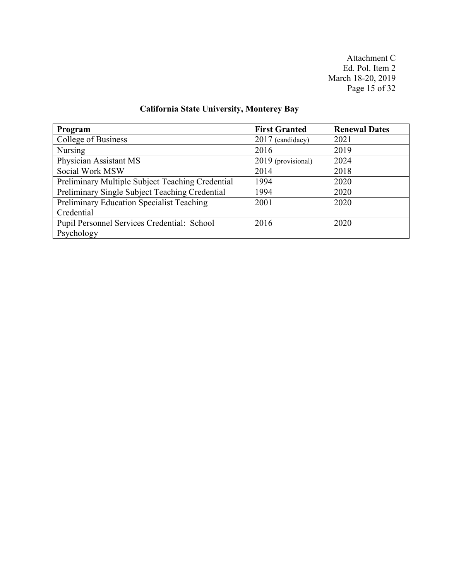Attachment C Ed. Pol. Item 2 March 18-20, 2019 Page 15 of 32

# **California State University, Monterey Bay**

| Program                                          | <b>First Granted</b> | <b>Renewal Dates</b> |
|--------------------------------------------------|----------------------|----------------------|
| College of Business                              | $2017$ (candidacy)   | 2021                 |
| Nursing                                          | 2016                 | 2019                 |
| Physician Assistant MS                           | 2019 (provisional)   | 2024                 |
| Social Work MSW                                  | 2014                 | 2018                 |
| Preliminary Multiple Subject Teaching Credential | 1994                 | 2020                 |
| Preliminary Single Subject Teaching Credential   | 1994                 | 2020                 |
| Preliminary Education Specialist Teaching        | 2001                 | 2020                 |
| Credential                                       |                      |                      |
| Pupil Personnel Services Credential: School      | 2016                 | 2020                 |
| Psychology                                       |                      |                      |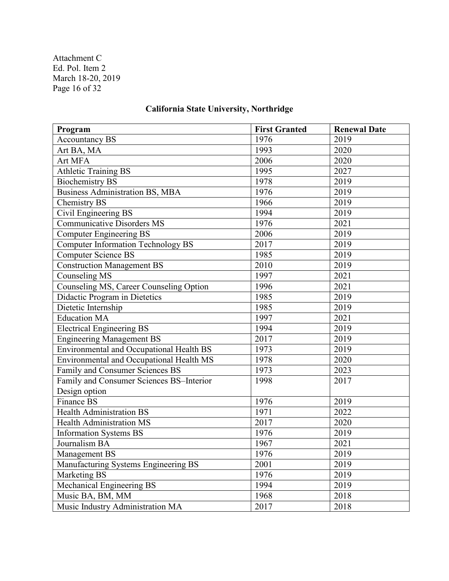Attachment C Ed. Pol. Item 2 March 18-20, 2019 Page 16 of 32

# **California State University, Northridge**

| Program                                   | <b>First Granted</b> | <b>Renewal Date</b> |
|-------------------------------------------|----------------------|---------------------|
| <b>Accountancy BS</b>                     | 1976                 | 2019                |
| Art BA, MA                                | 1993                 | 2020                |
| Art MFA                                   | 2006                 | 2020                |
| <b>Athletic Training BS</b>               | 1995                 | 2027                |
| <b>Biochemistry BS</b>                    | 1978                 | 2019                |
| <b>Business Administration BS, MBA</b>    | 1976                 | 2019                |
| Chemistry BS                              | 1966                 | 2019                |
| Civil Engineering BS                      | 1994                 | 2019                |
| <b>Communicative Disorders MS</b>         | 1976                 | 2021                |
| <b>Computer Engineering BS</b>            | 2006                 | 2019                |
| <b>Computer Information Technology BS</b> | 2017                 | 2019                |
| <b>Computer Science BS</b>                | 1985                 | 2019                |
| <b>Construction Management BS</b>         | 2010                 | 2019                |
| Counseling MS                             | 1997                 | 2021                |
| Counseling MS, Career Counseling Option   | 1996                 | 2021                |
| Didactic Program in Dietetics             | 1985                 | 2019                |
| Dietetic Internship                       | 1985                 | 2019                |
| <b>Education MA</b>                       | 1997                 | 2021                |
| <b>Electrical Engineering BS</b>          | 1994                 | 2019                |
| <b>Engineering Management BS</b>          | 2017                 | 2019                |
| Environmental and Occupational Health BS  | 1973                 | 2019                |
| Environmental and Occupational Health MS  | 1978                 | 2020                |
| Family and Consumer Sciences BS           | 1973                 | 2023                |
| Family and Consumer Sciences BS-Interior  | 1998                 | 2017                |
| Design option                             |                      |                     |
| Finance BS                                | 1976                 | 2019                |
| <b>Health Administration BS</b>           | 1971                 | 2022                |
| <b>Health Administration MS</b>           | 2017                 | 2020                |
| <b>Information Systems BS</b>             | 1976                 | 2019                |
| Journalism BA                             | 1967                 | 2021                |
| Management BS                             | 1976                 | 2019                |
| Manufacturing Systems Engineering BS      | 2001                 | 2019                |
| Marketing BS                              | 1976                 | 2019                |
| Mechanical Engineering BS                 | 1994                 | 2019                |
| Music BA, BM, MM                          | 1968                 | 2018                |
| Music Industry Administration MA          | 2017                 | 2018                |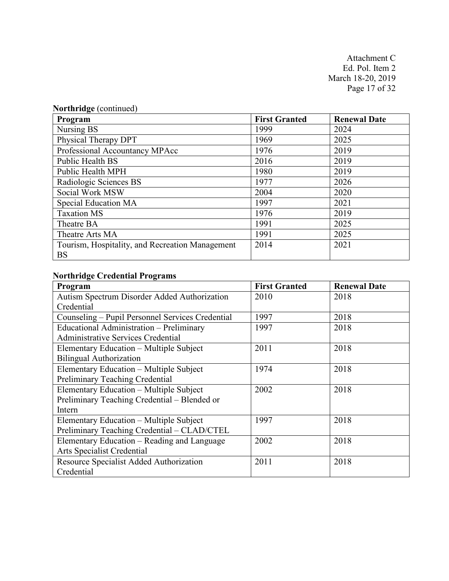Attachment C Ed. Pol. Item 2 March 18-20, 2019 Page 17 of 32

| Program                                                      | <b>First Granted</b> | <b>Renewal Date</b> |
|--------------------------------------------------------------|----------------------|---------------------|
| Nursing BS                                                   | 1999                 | 2024                |
| Physical Therapy DPT                                         | 1969                 | 2025                |
| Professional Accountancy MPAcc                               | 1976                 | 2019                |
| <b>Public Health BS</b>                                      | 2016                 | 2019                |
| Public Health MPH                                            | 1980                 | 2019                |
| Radiologic Sciences BS                                       | 1977                 | 2026                |
| Social Work MSW                                              | 2004                 | 2020                |
| Special Education MA                                         | 1997                 | 2021                |
| <b>Taxation MS</b>                                           | 1976                 | 2019                |
| Theatre BA                                                   | 1991                 | 2025                |
| Theatre Arts MA                                              | 1991                 | 2025                |
| Tourism, Hospitality, and Recreation Management<br><b>BS</b> | 2014                 | 2021                |

## **Northridge Credential Programs**

| Program                                          | <b>First Granted</b> | <b>Renewal Date</b> |
|--------------------------------------------------|----------------------|---------------------|
| Autism Spectrum Disorder Added Authorization     | 2010                 | 2018                |
| Credential                                       |                      |                     |
| Counseling – Pupil Personnel Services Credential | 1997                 | 2018                |
| Educational Administration - Preliminary         | 1997                 | 2018                |
| <b>Administrative Services Credential</b>        |                      |                     |
| Elementary Education – Multiple Subject          | 2011                 | 2018                |
| <b>Bilingual Authorization</b>                   |                      |                     |
| Elementary Education - Multiple Subject          | 1974                 | 2018                |
| Preliminary Teaching Credential                  |                      |                     |
| Elementary Education - Multiple Subject          | 2002                 | 2018                |
| Preliminary Teaching Credential - Blended or     |                      |                     |
| Intern                                           |                      |                     |
| Elementary Education – Multiple Subject          | 1997                 | 2018                |
| Preliminary Teaching Credential - CLAD/CTEL      |                      |                     |
| Elementary Education - Reading and Language      | 2002                 | 2018                |
| Arts Specialist Credential                       |                      |                     |
| Resource Specialist Added Authorization          | 2011                 | 2018                |
| Credential                                       |                      |                     |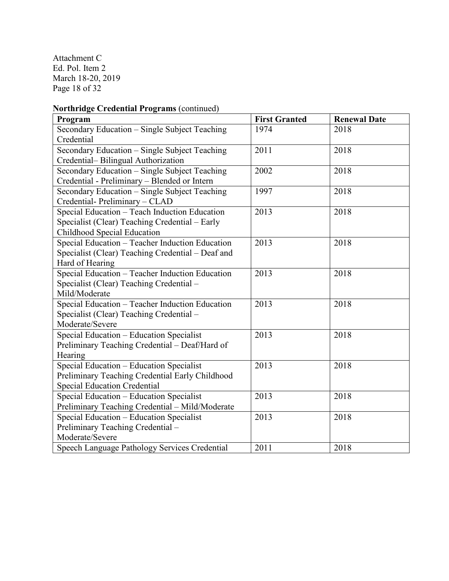Attachment C Ed. Pol. Item 2 March 18-20, 2019 Page 18 of 32

# **Northridge Credential Programs** (continued)

| Program                                           | <b>First Granted</b> | <b>Renewal Date</b> |
|---------------------------------------------------|----------------------|---------------------|
| Secondary Education - Single Subject Teaching     | 1974                 | 2018                |
| Credential                                        |                      |                     |
| Secondary Education - Single Subject Teaching     | 2011                 | 2018                |
| Credential-Bilingual Authorization                |                      |                     |
| Secondary Education - Single Subject Teaching     | 2002                 | 2018                |
| Credential - Preliminary - Blended or Intern      |                      |                     |
| Secondary Education - Single Subject Teaching     | 1997                 | 2018                |
| Credential-Preliminary - CLAD                     |                      |                     |
| Special Education - Teach Induction Education     | 2013                 | 2018                |
| Specialist (Clear) Teaching Credential – Early    |                      |                     |
| Childhood Special Education                       |                      |                     |
| Special Education - Teacher Induction Education   | 2013                 | 2018                |
| Specialist (Clear) Teaching Credential - Deaf and |                      |                     |
| Hard of Hearing                                   |                      |                     |
| Special Education - Teacher Induction Education   | 2013                 | 2018                |
| Specialist (Clear) Teaching Credential -          |                      |                     |
| Mild/Moderate                                     |                      |                     |
| Special Education - Teacher Induction Education   | 2013                 | 2018                |
| Specialist (Clear) Teaching Credential -          |                      |                     |
| Moderate/Severe                                   |                      |                     |
| Special Education - Education Specialist          | 2013                 | 2018                |
| Preliminary Teaching Credential - Deaf/Hard of    |                      |                     |
| Hearing                                           |                      |                     |
| Special Education - Education Specialist          | 2013                 | 2018                |
| Preliminary Teaching Credential Early Childhood   |                      |                     |
| <b>Special Education Credential</b>               |                      |                     |
| Special Education - Education Specialist          | 2013                 | 2018                |
| Preliminary Teaching Credential - Mild/Moderate   |                      |                     |
| Special Education - Education Specialist          | 2013                 | 2018                |
| Preliminary Teaching Credential -                 |                      |                     |
| Moderate/Severe                                   |                      |                     |
| Speech Language Pathology Services Credential     | 2011                 | 2018                |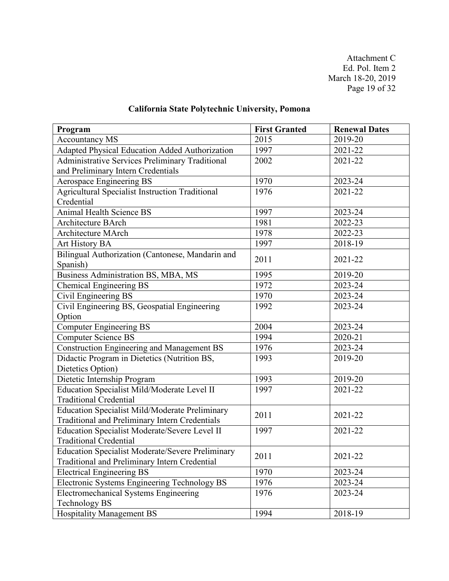Attachment C Ed. Pol. Item 2 March 18-20, 2019 Page 19 of 32

# **California State Polytechnic University, Pomona**

| Program                                                 | <b>First Granted</b> | <b>Renewal Dates</b> |
|---------------------------------------------------------|----------------------|----------------------|
| <b>Accountancy MS</b>                                   | 2015                 | 2019-20              |
| Adapted Physical Education Added Authorization          | 1997                 | 2021-22              |
| Administrative Services Preliminary Traditional         | 2002                 | 2021-22              |
| and Preliminary Intern Credentials                      |                      |                      |
| <b>Aerospace Engineering BS</b>                         | 1970                 | 2023-24              |
| Agricultural Specialist Instruction Traditional         | 1976                 | 2021-22              |
| Credential                                              |                      |                      |
| <b>Animal Health Science BS</b>                         | 1997                 | 2023-24              |
| <b>Architecture BArch</b>                               | 1981                 | 2022-23              |
| <b>Architecture MArch</b>                               | 1978                 | 2022-23              |
| Art History BA                                          | 1997                 | 2018-19              |
| Bilingual Authorization (Cantonese, Mandarin and        | 2011                 | 2021-22              |
| Spanish)                                                |                      |                      |
| Business Administration BS, MBA, MS                     | 1995                 | 2019-20              |
| <b>Chemical Engineering BS</b>                          | 1972                 | 2023-24              |
| Civil Engineering BS                                    | 1970                 | 2023-24              |
| Civil Engineering BS, Geospatial Engineering            | 1992                 | 2023-24              |
| Option                                                  |                      |                      |
| <b>Computer Engineering BS</b>                          | 2004                 | 2023-24              |
| <b>Computer Science BS</b>                              | 1994                 | 2020-21              |
| <b>Construction Engineering and Management BS</b>       | 1976                 | 2023-24              |
| Didactic Program in Dietetics (Nutrition BS,            | 1993                 | 2019-20              |
| Dietetics Option)                                       |                      |                      |
| Dietetic Internship Program                             | 1993                 | 2019-20              |
| Education Specialist Mild/Moderate Level II             | 1997                 | 2021-22              |
| <b>Traditional Credential</b>                           |                      |                      |
| <b>Education Specialist Mild/Moderate Preliminary</b>   | 2011                 | 2021-22              |
| Traditional and Preliminary Intern Credentials          |                      |                      |
| Education Specialist Moderate/Severe Level II           | 1997                 | 2021-22              |
| <b>Traditional Credential</b>                           |                      |                      |
| <b>Education Specialist Moderate/Severe Preliminary</b> | 2011                 | 2021-22              |
| Traditional and Preliminary Intern Credential           |                      |                      |
| <b>Electrical Engineering BS</b>                        | 1970                 | 2023-24              |
| Electronic Systems Engineering Technology BS            | 1976                 | 2023-24              |
| <b>Electromechanical Systems Engineering</b>            | 1976                 | 2023-24              |
| <b>Technology BS</b>                                    |                      |                      |
| <b>Hospitality Management BS</b>                        | 1994                 | 2018-19              |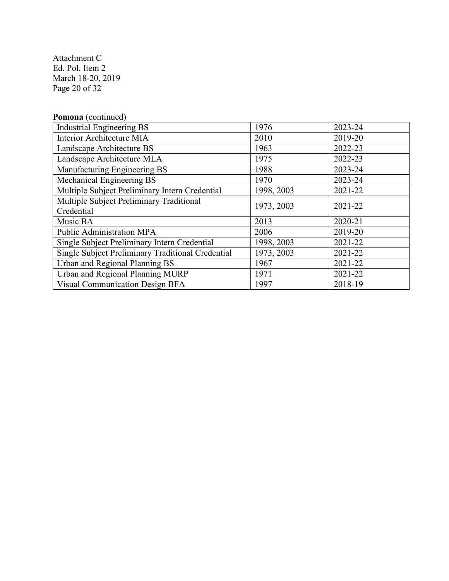Attachment C Ed. Pol. Item 2 March 18-20, 2019 Page 20 of 32

| Pomona (continued)                                |            |         |
|---------------------------------------------------|------------|---------|
| <b>Industrial Engineering BS</b>                  | 1976       | 2023-24 |
| Interior Architecture MIA                         | 2010       | 2019-20 |
| Landscape Architecture BS                         | 1963       | 2022-23 |
| Landscape Architecture MLA                        | 1975       | 2022-23 |
| Manufacturing Engineering BS                      | 1988       | 2023-24 |
| Mechanical Engineering BS                         | 1970       | 2023-24 |
| Multiple Subject Preliminary Intern Credential    | 1998, 2003 | 2021-22 |
| Multiple Subject Preliminary Traditional          | 1973, 2003 | 2021-22 |
| Credential                                        |            |         |
| Music BA                                          | 2013       | 2020-21 |
| <b>Public Administration MPA</b>                  | 2006       | 2019-20 |
| Single Subject Preliminary Intern Credential      | 1998, 2003 | 2021-22 |
| Single Subject Preliminary Traditional Credential | 1973, 2003 | 2021-22 |
| Urban and Regional Planning BS                    | 1967       | 2021-22 |
| Urban and Regional Planning MURP                  | 1971       | 2021-22 |
| <b>Visual Communication Design BFA</b>            | 1997       | 2018-19 |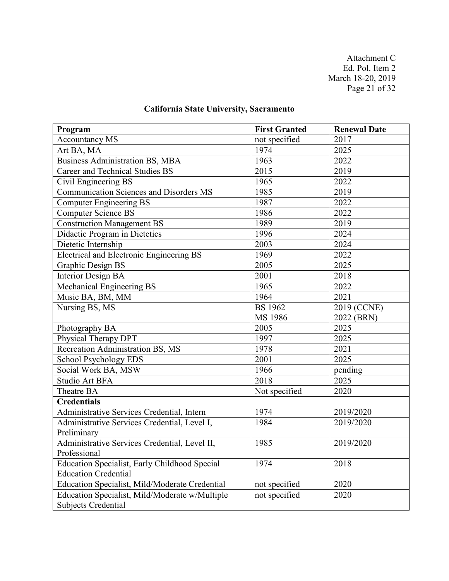Attachment C Ed. Pol. Item 2 March 18-20, 2019 Page 21 of 32

# **California State University, Sacramento**

| Program                                        | <b>First Granted</b> | <b>Renewal Date</b> |
|------------------------------------------------|----------------------|---------------------|
| <b>Accountancy MS</b>                          | not specified        | 2017                |
| Art BA, MA                                     | 1974                 | 2025                |
| <b>Business Administration BS, MBA</b>         | 1963                 | 2022                |
| <b>Career and Technical Studies BS</b>         | 2015                 | 2019                |
| Civil Engineering BS                           | 1965                 | 2022                |
| <b>Communication Sciences and Disorders MS</b> | 1985                 | 2019                |
| <b>Computer Engineering BS</b>                 | 1987                 | 2022                |
| <b>Computer Science BS</b>                     | 1986                 | 2022                |
| <b>Construction Management BS</b>              | 1989                 | 2019                |
| Didactic Program in Dietetics                  | 1996                 | 2024                |
| Dietetic Internship                            | 2003                 | 2024                |
| Electrical and Electronic Engineering BS       | 1969                 | 2022                |
| <b>Graphic Design BS</b>                       | 2005                 | 2025                |
| <b>Interior Design BA</b>                      | 2001                 | 2018                |
| Mechanical Engineering BS                      | 1965                 | 2022                |
| Music BA, BM, MM                               | 1964                 | 2021                |
| Nursing BS, MS                                 | <b>BS</b> 1962       | 2019 (CCNE)         |
|                                                | MS 1986              | 2022 (BRN)          |
| Photography BA                                 | 2005                 | 2025                |
| Physical Therapy DPT                           | 1997                 | 2025                |
| Recreation Administration BS, MS               | 1978                 | 2021                |
| <b>School Psychology EDS</b>                   | 2001                 | 2025                |
| Social Work BA, MSW                            | 1966                 | pending             |
| Studio Art BFA                                 | 2018                 | 2025                |
| Theatre BA                                     | Not specified        | 2020                |
| <b>Credentials</b>                             |                      |                     |
| Administrative Services Credential, Intern     | 1974                 | 2019/2020           |
| Administrative Services Credential, Level I,   | 1984                 | 2019/2020           |
| Preliminary                                    |                      |                     |
| Administrative Services Credential, Level II,  | 1985                 | 2019/2020           |
| Professional                                   |                      |                     |
| Education Specialist, Early Childhood Special  | 1974                 | 2018                |
| <b>Education Credential</b>                    |                      |                     |
| Education Specialist, Mild/Moderate Credential | not specified        | 2020                |
| Education Specialist, Mild/Moderate w/Multiple | not specified        | 2020                |
| Subjects Credential                            |                      |                     |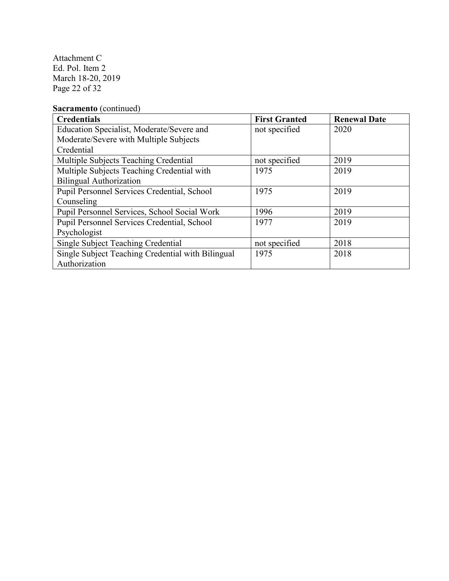Attachment C Ed. Pol. Item 2 March 18-20, 2019 Page 22 of 32

# **Sacramento** (continued)

| <b>Credentials</b>                                | <b>First Granted</b> | <b>Renewal Date</b> |
|---------------------------------------------------|----------------------|---------------------|
| Education Specialist, Moderate/Severe and         | not specified        | 2020                |
| Moderate/Severe with Multiple Subjects            |                      |                     |
| Credential                                        |                      |                     |
| Multiple Subjects Teaching Credential             | not specified        | 2019                |
| Multiple Subjects Teaching Credential with        | 1975                 | 2019                |
| <b>Bilingual Authorization</b>                    |                      |                     |
| Pupil Personnel Services Credential, School       | 1975                 | 2019                |
| Counseling                                        |                      |                     |
| Pupil Personnel Services, School Social Work      | 1996                 | 2019                |
| Pupil Personnel Services Credential, School       | 1977                 | 2019                |
| Psychologist                                      |                      |                     |
| <b>Single Subject Teaching Credential</b>         | not specified        | 2018                |
| Single Subject Teaching Credential with Bilingual | 1975                 | 2018                |
| Authorization                                     |                      |                     |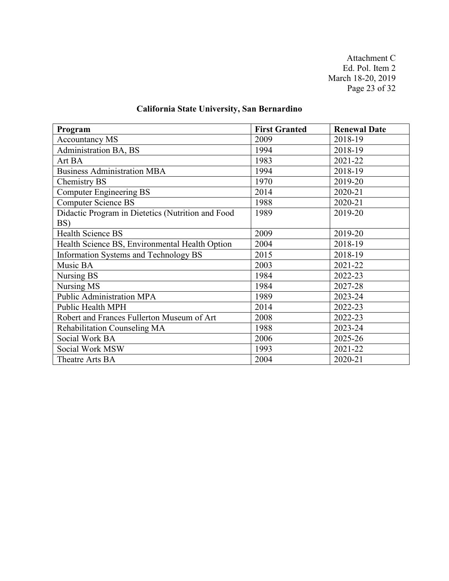Attachment C Ed. Pol. Item 2 March 18-20, 2019 Page 23 of 32

# **California State University, San Bernardino**

| Program                                           | <b>First Granted</b> | <b>Renewal Date</b> |
|---------------------------------------------------|----------------------|---------------------|
| <b>Accountancy MS</b>                             | 2009                 | 2018-19             |
| Administration BA, BS                             | 1994                 | 2018-19             |
| Art BA                                            | 1983                 | 2021-22             |
| <b>Business Administration MBA</b>                | 1994                 | 2018-19             |
| Chemistry BS                                      | 1970                 | 2019-20             |
| <b>Computer Engineering BS</b>                    | 2014                 | 2020-21             |
| <b>Computer Science BS</b>                        | 1988                 | 2020-21             |
| Didactic Program in Dietetics (Nutrition and Food | 1989                 | 2019-20             |
| BS)                                               |                      |                     |
| <b>Health Science BS</b>                          | 2009                 | 2019-20             |
| Health Science BS, Environmental Health Option    | 2004                 | 2018-19             |
| Information Systems and Technology BS             | 2015                 | 2018-19             |
| Music BA                                          | 2003                 | 2021-22             |
| Nursing BS                                        | 1984                 | 2022-23             |
| Nursing MS                                        | 1984                 | 2027-28             |
| Public Administration MPA                         | 1989                 | 2023-24             |
| <b>Public Health MPH</b>                          | 2014                 | 2022-23             |
| Robert and Frances Fullerton Museum of Art        | 2008                 | 2022-23             |
| Rehabilitation Counseling MA                      | 1988                 | 2023-24             |
| Social Work BA                                    | 2006                 | 2025-26             |
| Social Work MSW                                   | 1993                 | 2021-22             |
| Theatre Arts BA                                   | 2004                 | 2020-21             |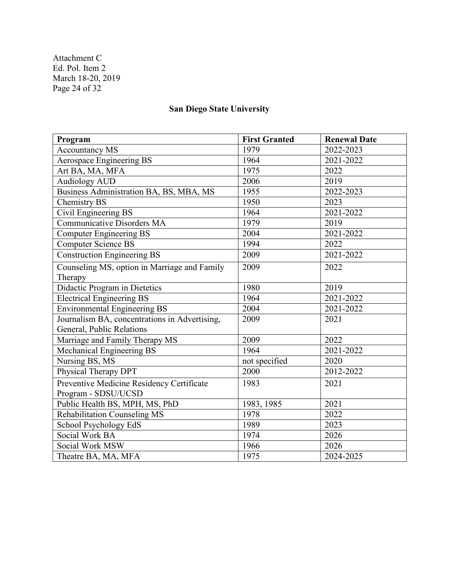Attachment C Ed. Pol. Item 2 March 18-20, 2019 Page 24 of 32

# **San Diego State University**

| Program                                       | <b>First Granted</b> | <b>Renewal Date</b> |
|-----------------------------------------------|----------------------|---------------------|
| <b>Accountancy MS</b>                         | 1979                 | 2022-2023           |
| Aerospace Engineering BS                      | 1964                 | 2021-2022           |
| Art BA, MA, MFA                               | 1975                 | 2022                |
| <b>Audiology AUD</b>                          | 2006                 | 2019                |
| Business Administration BA, BS, MBA, MS       | 1955                 | 2022-2023           |
| Chemistry BS                                  | 1950                 | 2023                |
| Civil Engineering BS                          | 1964                 | 2021-2022           |
| <b>Communicative Disorders MA</b>             | 1979                 | 2019                |
| <b>Computer Engineering BS</b>                | 2004                 | 2021-2022           |
| <b>Computer Science BS</b>                    | 1994                 | 2022                |
| Construction Engineering BS                   | 2009                 | 2021-2022           |
| Counseling MS, option in Marriage and Family  | 2009                 | 2022                |
| Therapy                                       |                      |                     |
| Didactic Program in Dietetics                 | 1980                 | 2019                |
| <b>Electrical Engineering BS</b>              | 1964                 | 2021-2022           |
| <b>Environmental Engineering BS</b>           | 2004                 | 2021-2022           |
| Journalism BA, concentrations in Advertising, | 2009                 | 2021                |
| General, Public Relations                     |                      |                     |
| Marriage and Family Therapy MS                | 2009                 | 2022                |
| Mechanical Engineering BS                     | 1964                 | 2021-2022           |
| Nursing BS, MS                                | not specified        | 2020                |
| Physical Therapy DPT                          | 2000                 | 2012-2022           |
| Preventive Medicine Residency Certificate     | 1983                 | 2021                |
| Program - SDSU/UCSD                           |                      |                     |
| Public Health BS, MPH, MS, PhD                | 1983, 1985           | 2021                |
| Rehabilitation Counseling MS                  | 1978                 | 2022                |
| School Psychology EdS                         | 1989                 | 2023                |
| Social Work BA                                | 1974                 | 2026                |
| Social Work MSW                               | 1966                 | 2026                |
| Theatre BA, MA, MFA                           | 1975                 | 2024-2025           |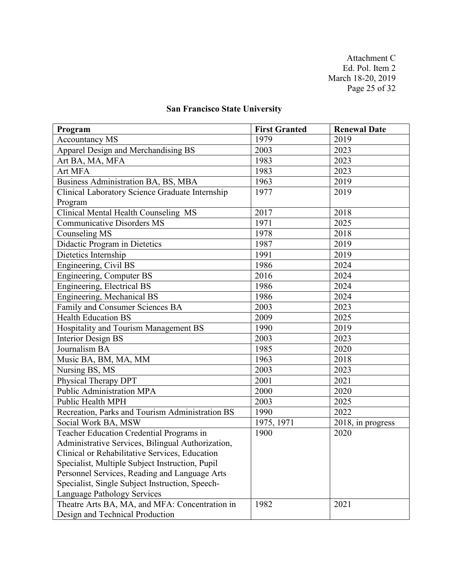Attachment C Ed. Pol. Item 2 March 18-20, 2019 Page 25 of 32

# **San Francisco State University**

| Program                                           | <b>First Granted</b> | <b>Renewal Date</b> |
|---------------------------------------------------|----------------------|---------------------|
| <b>Accountancy MS</b>                             | 1979                 | 2019                |
| Apparel Design and Merchandising BS               | 2003                 | 2023                |
| Art BA, MA, MFA                                   | 1983                 | 2023                |
| Art MFA                                           | 1983                 | 2023                |
| Business Administration BA, BS, MBA               | 1963                 | 2019                |
| Clinical Laboratory Science Graduate Internship   | 1977                 | 2019                |
| Program                                           |                      |                     |
| Clinical Mental Health Counseling MS              | 2017                 | 2018                |
| <b>Communicative Disorders MS</b>                 | 1971                 | 2025                |
| Counseling MS                                     | 1978                 | 2018                |
| Didactic Program in Dietetics                     | 1987                 | 2019                |
| Dietetics Internship                              | 1991                 | 2019                |
| Engineering, Civil BS                             | 1986                 | 2024                |
| Engineering, Computer BS                          | 2016                 | $202\overline{4}$   |
| Engineering, Electrical BS                        | 1986                 | 2024                |
| Engineering, Mechanical BS                        | 1986                 | 2024                |
| Family and Consumer Sciences BA                   | 2003                 | 2023                |
| <b>Health Education BS</b>                        | 2009                 | 2025                |
| Hospitality and Tourism Management BS             | 1990                 | 2019                |
| <b>Interior Design BS</b>                         | 2003                 | 2023                |
| Journalism BA                                     | 1985                 | 2020                |
| Music BA, BM, MA, MM                              | 1963                 | 2018                |
| Nursing BS, MS                                    | 2003                 | 2023                |
| Physical Therapy DPT                              | 2001                 | 2021                |
| <b>Public Administration MPA</b>                  | 2000                 | 2020                |
| Public Health MPH                                 | 2003                 | 2025                |
| Recreation, Parks and Tourism Administration BS   | 1990                 | 2022                |
| Social Work BA, MSW                               | 1975, 1971           | 2018, in progress   |
| Teacher Education Credential Programs in          | 1900                 | 2020                |
| Administrative Services, Bilingual Authorization, |                      |                     |
| Clinical or Rehabilitative Services, Education    |                      |                     |
| Specialist, Multiple Subject Instruction, Pupil   |                      |                     |
| Personnel Services, Reading and Language Arts     |                      |                     |
| Specialist, Single Subject Instruction, Speech-   |                      |                     |
| <b>Language Pathology Services</b>                |                      |                     |
| Theatre Arts BA, MA, and MFA: Concentration in    | 1982                 | 2021                |
| Design and Technical Production                   |                      |                     |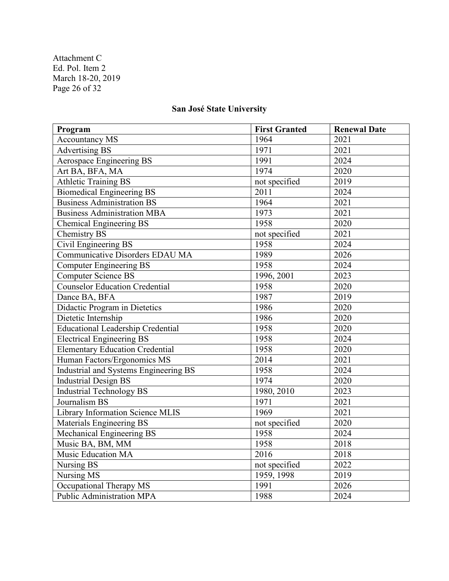Attachment C Ed. Pol. Item 2 March 18-20, 2019 Page 26 of 32

# **San José State University**

| Program                                  | <b>First Granted</b> | <b>Renewal Date</b> |
|------------------------------------------|----------------------|---------------------|
| <b>Accountancy MS</b>                    | 1964                 | 2021                |
| <b>Advertising BS</b>                    | 1971                 | 2021                |
| Aerospace Engineering BS                 | 1991                 | 2024                |
| Art BA, BFA, MA                          | 1974                 | 2020                |
| <b>Athletic Training BS</b>              | not specified        | 2019                |
| <b>Biomedical Engineering BS</b>         | 2011                 | 2024                |
| <b>Business Administration BS</b>        | 1964                 | 2021                |
| <b>Business Administration MBA</b>       | 1973                 | 2021                |
| Chemical Engineering BS                  | 1958                 | 2020                |
| Chemistry BS                             | not specified        | 2021                |
| Civil Engineering BS                     | 1958                 | 2024                |
| Communicative Disorders EDAU MA          | 1989                 | 2026                |
| <b>Computer Engineering BS</b>           | 1958                 | 2024                |
| <b>Computer Science BS</b>               | 1996, 2001           | 2023                |
| Counselor Education Credential           | 1958                 | 2020                |
| Dance BA, BFA                            | 1987                 | 2019                |
| Didactic Program in Dietetics            | 1986                 | 2020                |
| Dietetic Internship                      | 1986                 | 2020                |
| <b>Educational Leadership Credential</b> | 1958                 | 2020                |
| <b>Electrical Engineering BS</b>         | 1958                 | 2024                |
| <b>Elementary Education Credential</b>   | 1958                 | 2020                |
| Human Factors/Ergonomics MS              | 2014                 | 2021                |
| Industrial and Systems Engineering BS    | 1958                 | 2024                |
| <b>Industrial Design BS</b>              | 1974                 | 2020                |
| <b>Industrial Technology BS</b>          | 1980, 2010           | 2023                |
| Journalism BS                            | 1971                 | 2021                |
| Library Information Science MLIS         | 1969                 | 2021                |
| Materials Engineering BS                 | not specified        | 2020                |
| Mechanical Engineering BS                | 1958                 | 2024                |
| Music BA, BM, MM                         | 1958                 | 2018                |
| Music Education MA                       | 2016                 | 2018                |
| Nursing BS                               | not specified        | 2022                |
| Nursing MS                               | 1959, 1998           | 2019                |
| Occupational Therapy MS                  | 1991                 | 2026                |
| Public Administration MPA                | 1988                 | 2024                |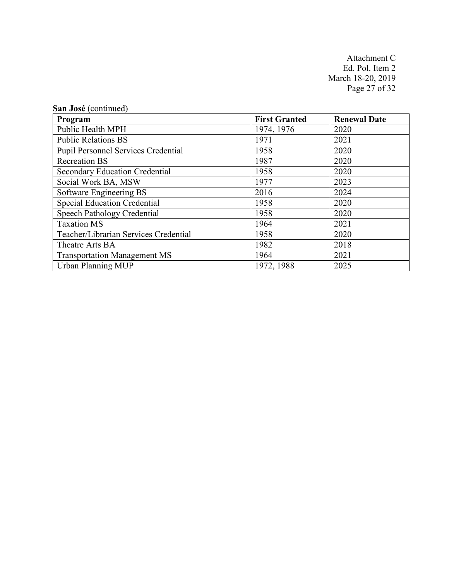Attachment C Ed. Pol. Item 2 March 18-20, 2019 Page 27 of 32

| San José (continued)                       |                      |                     |
|--------------------------------------------|----------------------|---------------------|
| Program                                    | <b>First Granted</b> | <b>Renewal Date</b> |
| Public Health MPH                          | 1974, 1976           | 2020                |
| <b>Public Relations BS</b>                 | 1971                 | 2021                |
| <b>Pupil Personnel Services Credential</b> | 1958                 | 2020                |
| <b>Recreation BS</b>                       | 1987                 | 2020                |
| <b>Secondary Education Credential</b>      | 1958                 | 2020                |
| Social Work BA, MSW                        | 1977                 | 2023                |
| Software Engineering BS                    | 2016                 | 2024                |
| <b>Special Education Credential</b>        | 1958                 | 2020                |
| <b>Speech Pathology Credential</b>         | 1958                 | 2020                |
| <b>Taxation MS</b>                         | 1964                 | 2021                |
| Teacher/Librarian Services Credential      | 1958                 | 2020                |
| Theatre Arts BA                            | 1982                 | 2018                |
| <b>Transportation Management MS</b>        | 1964                 | 2021                |
| <b>Urban Planning MUP</b>                  | 1972, 1988           | 2025                |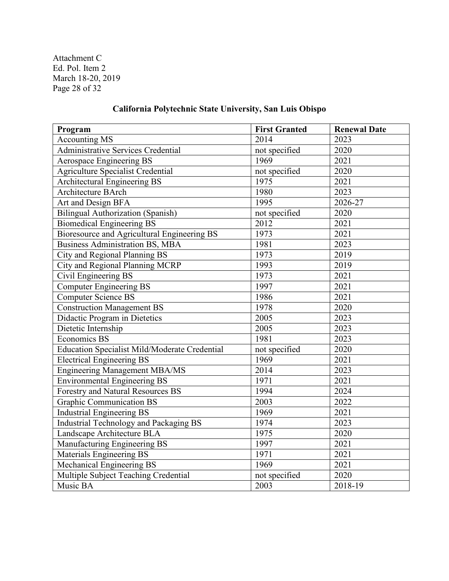Attachment C Ed. Pol. Item 2 March 18-20, 2019 Page 28 of 32

# **California Polytechnic State University, San Luis Obispo**

| Program                                              | <b>First Granted</b> | <b>Renewal Date</b> |
|------------------------------------------------------|----------------------|---------------------|
| <b>Accounting MS</b>                                 | 2014                 | 2023                |
| Administrative Services Credential                   | not specified        | 2020                |
| Aerospace Engineering BS                             | 1969                 | 2021                |
| <b>Agriculture Specialist Credential</b>             | not specified        | 2020                |
| Architectural Engineering BS                         | 1975                 | 2021                |
| Architecture BArch                                   | 1980                 | 2023                |
| Art and Design BFA                                   | 1995                 | 2026-27             |
| <b>Bilingual Authorization (Spanish)</b>             | not specified        | 2020                |
| <b>Biomedical Engineering BS</b>                     | 2012                 | 2021                |
| Bioresource and Agricultural Engineering BS          | 1973                 | 2021                |
| <b>Business Administration BS, MBA</b>               | 1981                 | 2023                |
| City and Regional Planning BS                        | 1973                 | 2019                |
| City and Regional Planning MCRP                      | 1993                 | 2019                |
| Civil Engineering BS                                 | 1973                 | 2021                |
| <b>Computer Engineering BS</b>                       | 1997                 | 2021                |
| <b>Computer Science BS</b>                           | 1986                 | 2021                |
| <b>Construction Management BS</b>                    | 1978                 | 2020                |
| Didactic Program in Dietetics                        | 2005                 | 2023                |
| Dietetic Internship                                  | 2005                 | 2023                |
| Economics BS                                         | 1981                 | 2023                |
| <b>Education Specialist Mild/Moderate Credential</b> | not specified        | 2020                |
| <b>Electrical Engineering BS</b>                     | 1969                 | 2021                |
| <b>Engineering Management MBA/MS</b>                 | 2014                 | 2023                |
| <b>Environmental Engineering BS</b>                  | 1971                 | 2021                |
| Forestry and Natural Resources BS                    | 1994                 | 2024                |
| <b>Graphic Communication BS</b>                      | 2003                 | 2022                |
| <b>Industrial Engineering BS</b>                     | 1969                 | 2021                |
| Industrial Technology and Packaging BS               | 1974                 | 2023                |
| Landscape Architecture BLA                           | 1975                 | 2020                |
| Manufacturing Engineering BS                         | 1997                 | 2021                |
| Materials Engineering BS                             | 1971                 | 2021                |
| Mechanical Engineering BS                            | 1969                 | 2021                |
| Multiple Subject Teaching Credential                 | not specified        | 2020                |
| Music BA                                             | $\overline{2003}$    | 2018-19             |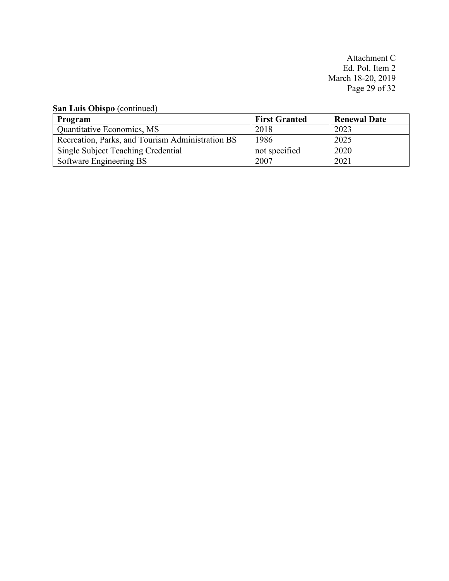Attachment C Ed. Pol. Item 2 March 18-20, 2019 Page 29 of 32

**San Luis Obispo** (continued)

| Program                                          | <b>First Granted</b> | <b>Renewal Date</b> |
|--------------------------------------------------|----------------------|---------------------|
| Quantitative Economics, MS                       | 2018                 | 2023                |
| Recreation, Parks, and Tourism Administration BS | 1986                 | 2025                |
| Single Subject Teaching Credential               | not specified        | 2020                |
| Software Engineering BS                          | 2007                 | 2021                |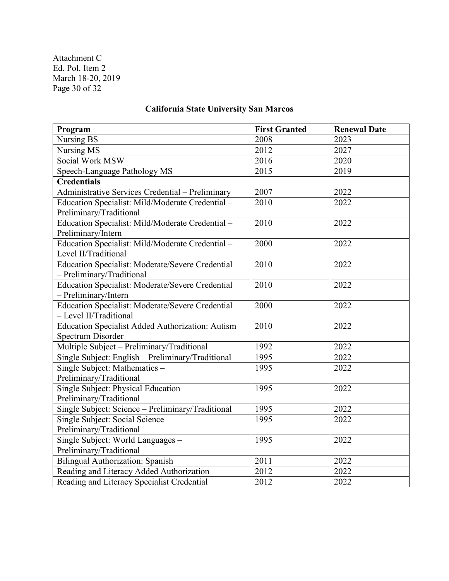Attachment C Ed. Pol. Item 2 March 18-20, 2019 Page 30 of 32

# **California State University San Marcos**

| Program                                                 | <b>First Granted</b> | <b>Renewal Date</b> |
|---------------------------------------------------------|----------------------|---------------------|
| Nursing BS                                              | 2008                 | 2023                |
| Nursing MS                                              | 2012                 | 2027                |
| Social Work MSW                                         | 2016                 | 2020                |
| Speech-Language Pathology MS                            | 2015                 | 2019                |
| <b>Credentials</b>                                      |                      |                     |
| Administrative Services Credential - Preliminary        | 2007                 | 2022                |
| Education Specialist: Mild/Moderate Credential -        | 2010                 | 2022                |
| Preliminary/Traditional                                 |                      |                     |
| Education Specialist: Mild/Moderate Credential -        | 2010                 | 2022                |
| Preliminary/Intern                                      |                      |                     |
| Education Specialist: Mild/Moderate Credential -        | 2000                 | 2022                |
| Level II/Traditional                                    |                      |                     |
| Education Specialist: Moderate/Severe Credential        | 2010                 | 2022                |
| - Preliminary/Traditional                               |                      |                     |
| Education Specialist: Moderate/Severe Credential        | 2010                 | 2022                |
| - Preliminary/Intern                                    |                      |                     |
| <b>Education Specialist: Moderate/Severe Credential</b> | 2000                 | 2022                |
| - Level II/Traditional                                  |                      |                     |
| Education Specialist Added Authorization: Autism        | 2010                 | 2022                |
| Spectrum Disorder                                       |                      |                     |
| Multiple Subject - Preliminary/Traditional              | 1992                 | 2022                |
| Single Subject: English - Preliminary/Traditional       | 1995                 | 2022                |
| Single Subject: Mathematics -                           | 1995                 | 2022                |
| Preliminary/Traditional                                 |                      |                     |
| Single Subject: Physical Education -                    | 1995                 | 2022                |
| Preliminary/Traditional                                 |                      |                     |
| Single Subject: Science - Preliminary/Traditional       | 1995                 | 2022                |
| Single Subject: Social Science -                        | 1995                 | 2022                |
| Preliminary/Traditional                                 |                      |                     |
| Single Subject: World Languages -                       | 1995                 | 2022                |
| Preliminary/Traditional                                 |                      |                     |
| <b>Bilingual Authorization: Spanish</b>                 | 2011                 | 2022                |
| Reading and Literacy Added Authorization                | 2012                 | 2022                |
| Reading and Literacy Specialist Credential              | 2012                 | 2022                |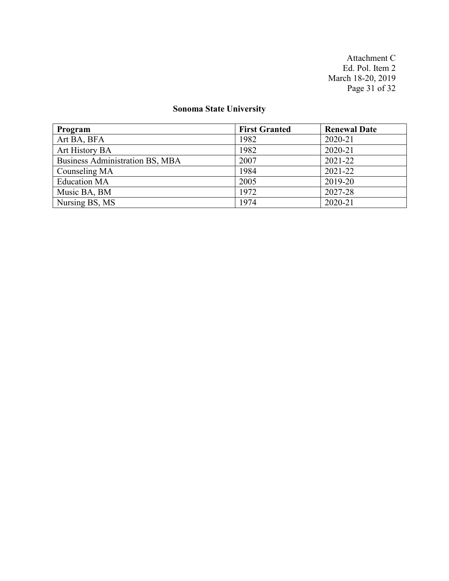Attachment C Ed. Pol. Item 2 March 18-20, 2019 Page 31 of 32

# **Sonoma State University**

| Program                         | <b>First Granted</b> | <b>Renewal Date</b> |
|---------------------------------|----------------------|---------------------|
| Art BA, BFA                     | 1982                 | 2020-21             |
| Art History BA                  | 1982                 | 2020-21             |
| Business Administration BS, MBA | 2007                 | 2021-22             |
| Counseling MA                   | 1984                 | 2021-22             |
| <b>Education MA</b>             | 2005                 | 2019-20             |
| Music BA, BM                    | 1972                 | 2027-28             |
| Nursing BS, MS                  | 1974                 | 2020-21             |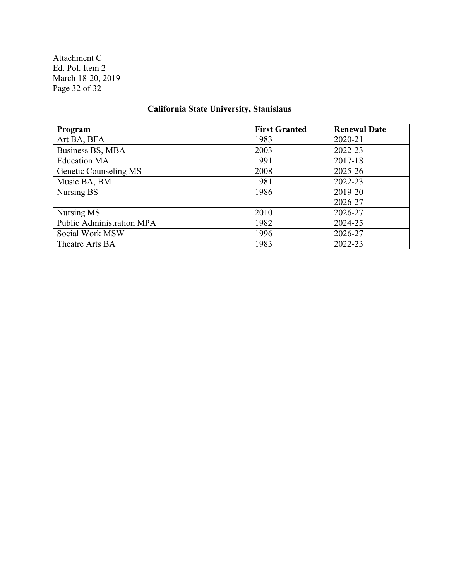Attachment C Ed. Pol. Item 2 March 18-20, 2019 Page 32 of 32

# **California State University, Stanislaus**

| Program                   | <b>First Granted</b> | <b>Renewal Date</b> |
|---------------------------|----------------------|---------------------|
| Art BA, BFA               | 1983                 | 2020-21             |
| Business BS, MBA          | 2003                 | 2022-23             |
| <b>Education MA</b>       | 1991                 | 2017-18             |
| Genetic Counseling MS     | 2008                 | 2025-26             |
| Music BA, BM              | 1981                 | 2022-23             |
| Nursing BS                | 1986                 | 2019-20             |
|                           |                      | 2026-27             |
| Nursing MS                | 2010                 | 2026-27             |
| Public Administration MPA | 1982                 | 2024-25             |
| Social Work MSW           | 1996                 | 2026-27             |
| Theatre Arts BA           | 1983                 | 2022-23             |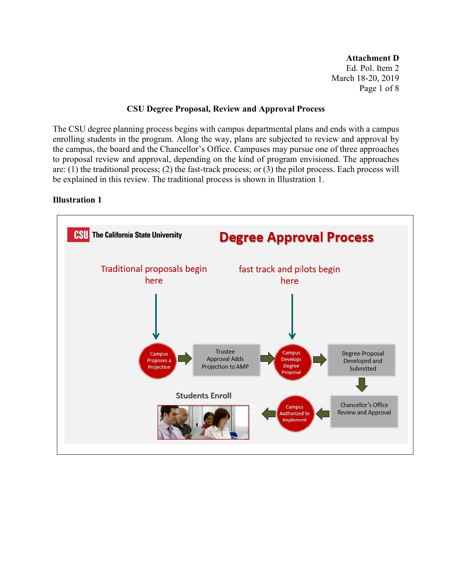**Attachment D** Ed. Pol. Item 2 March 18-20, 2019 Page 1 of 8

#### **CSU Degree Proposal, Review and Approval Process**

The CSU degree planning process begins with campus departmental plans and ends with a campus enrolling students in the program. Along the way, plans are subjected to review and approval by the campus, the board and the Chancellor's Office. Campuses may pursue one of three approaches to proposal review and approval, depending on the kind of program envisioned. The approaches are: (1) the traditional process; (2) the fast-track process; or (3) the pilot process. Each process will be explained in this review. The traditional process is shown in Illustration 1.

### **Illustration 1**

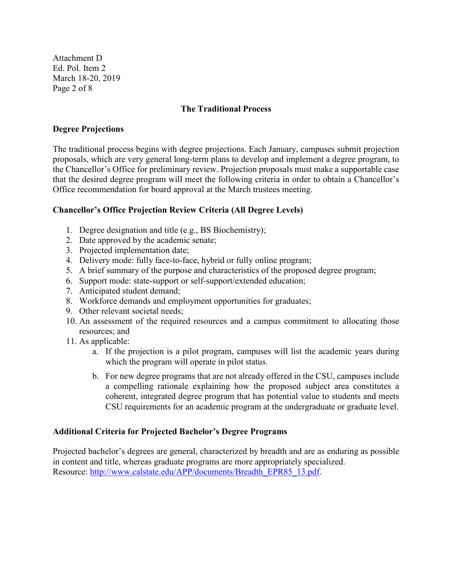Attachment D Ed. Pol. Item 2 March 18-20, 2019 Page 2 of 8

### **The Traditional Process**

#### **Degree Projections**

The traditional process begins with degree projections. Each January, campuses submit projection proposals, which are very general long-term plans to develop and implement a degree program, to the Chancellor's Office for preliminary review. Projection proposals must make a supportable case that the desired degree program will meet the following criteria in order to obtain a Chancellor's Office recommendation for board approval at the March trustees meeting.

### **Chancellor's Office Projection Review Criteria (All Degree Levels)**

- 1. Degree designation and title (e.g., BS Biochemistry);
- 2. Date approved by the academic senate;
- 3. Projected implementation date;
- 4. Delivery mode: fully face-to-face, hybrid or fully online program;
- 5. A brief summary of the purpose and characteristics of the proposed degree program;
- 6. Support mode: state-support or self-support/extended education;
- 7. Anticipated student demand;
- 8. Workforce demands and employment opportunities for graduates;
- 9. Other relevant societal needs;
- 10. An assessment of the required resources and a campus commitment to allocating those resources; and
- 11. As applicable:
	- a. If the projection is a pilot program, campuses will list the academic years during which the program will operate in pilot status.
	- b. For new degree programs that are not already offered in the CSU, campuses include a compelling rationale explaining how the proposed subject area constitutes a coherent, integrated degree program that has potential value to students and meets CSU requirements for an academic program at the undergraduate or graduate level.

#### **Additional Criteria for Projected Bachelor's Degree Programs**

Projected bachelor's degrees are general, characterized by breadth and are as enduring as possible in content and title, whereas graduate programs are more appropriately specialized. Resource: [http://www.calstate.edu/APP/documents/Breadth\\_EPR85\\_13.pdf.](http://www.calstate.edu/APP/documents/Breadth_EPR85_13.pdf)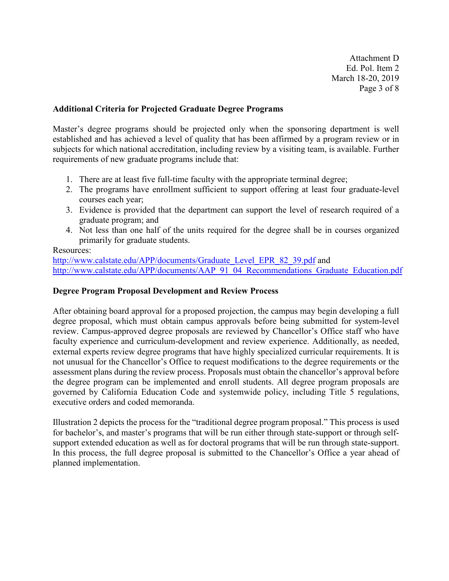Attachment D Ed. Pol. Item 2 March 18-20, 2019 Page 3 of 8

### **Additional Criteria for Projected Graduate Degree Programs**

Master's degree programs should be projected only when the sponsoring department is well established and has achieved a level of quality that has been affirmed by a program review or in subjects for which national accreditation, including review by a visiting team, is available. Further requirements of new graduate programs include that:

- 1. There are at least five full-time faculty with the appropriate terminal degree;
- 2. The programs have enrollment sufficient to support offering at least four graduate-level courses each year;
- 3. Evidence is provided that the department can support the level of research required of a graduate program; and
- 4. Not less than one half of the units required for the degree shall be in courses organized primarily for graduate students.

### Resources:

[http://www.calstate.edu/APP/documents/Graduate\\_Level\\_EPR\\_82\\_39.pdf](http://www.calstate.edu/APP/documents/Graduate_Level_EPR_82_39.pdf) and [http://www.calstate.edu/APP/documents/AAP\\_91\\_04\\_Recommendations\\_Graduate\\_Education.pdf](http://www.calstate.edu/APP/documents/AAP_91_04_Recommendations_Graduate_Education.pdf)

#### **Degree Program Proposal Development and Review Process**

After obtaining board approval for a proposed projection, the campus may begin developing a full degree proposal, which must obtain campus approvals before being submitted for system-level review. Campus-approved degree proposals are reviewed by Chancellor's Office staff who have faculty experience and curriculum-development and review experience. Additionally, as needed, external experts review degree programs that have highly specialized curricular requirements. It is not unusual for the Chancellor's Office to request modifications to the degree requirements or the assessment plans during the review process. Proposals must obtain the chancellor's approval before the degree program can be implemented and enroll students. All degree program proposals are governed by California Education Code and systemwide policy, including Title 5 regulations, executive orders and coded memoranda.

Illustration 2 depicts the process for the "traditional degree program proposal." This process is used for bachelor's, and master's programs that will be run either through state-support or through selfsupport extended education as well as for doctoral programs that will be run through state-support. In this process, the full degree proposal is submitted to the Chancellor's Office a year ahead of planned implementation.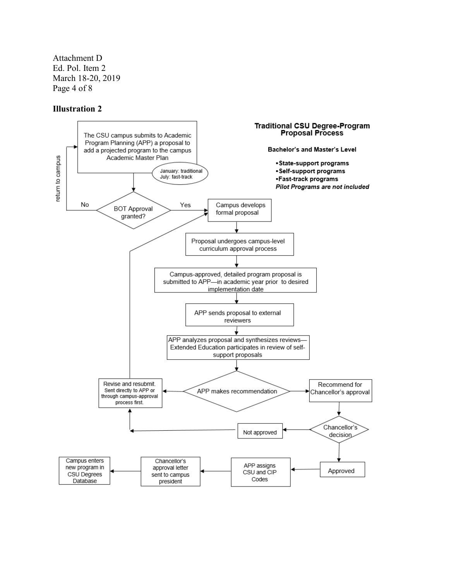Attachment D Ed. Pol. Item 2 March 18-20, 2019 Page 4 of 8

#### **Illustration 2**

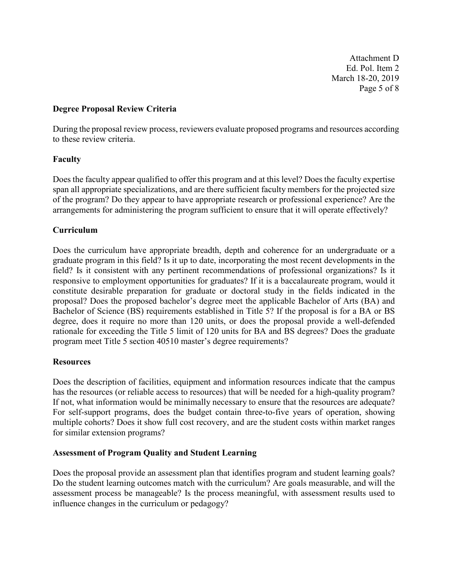Attachment D Ed. Pol. Item 2 March 18-20, 2019 Page 5 of 8

### **Degree Proposal Review Criteria**

During the proposal review process, reviewers evaluate proposed programs and resources according to these review criteria.

### **Faculty**

Does the faculty appear qualified to offer this program and at this level? Does the faculty expertise span all appropriate specializations, and are there sufficient faculty members for the projected size of the program? Do they appear to have appropriate research or professional experience? Are the arrangements for administering the program sufficient to ensure that it will operate effectively?

### **Curriculum**

Does the curriculum have appropriate breadth, depth and coherence for an undergraduate or a graduate program in this field? Is it up to date, incorporating the most recent developments in the field? Is it consistent with any pertinent recommendations of professional organizations? Is it responsive to employment opportunities for graduates? If it is a baccalaureate program, would it constitute desirable preparation for graduate or doctoral study in the fields indicated in the proposal? Does the proposed bachelor's degree meet the applicable Bachelor of Arts (BA) and Bachelor of Science (BS) requirements established in Title 5? If the proposal is for a BA or BS degree, does it require no more than 120 units, or does the proposal provide a well-defended rationale for exceeding the Title 5 limit of 120 units for BA and BS degrees? Does the graduate program meet Title 5 section 40510 master's degree requirements?

#### **Resources**

Does the description of facilities, equipment and information resources indicate that the campus has the resources (or reliable access to resources) that will be needed for a high-quality program? If not, what information would be minimally necessary to ensure that the resources are adequate? For self-support programs, does the budget contain three-to-five years of operation, showing multiple cohorts? Does it show full cost recovery, and are the student costs within market ranges for similar extension programs?

#### **Assessment of Program Quality and Student Learning**

Does the proposal provide an assessment plan that identifies program and student learning goals? Do the student learning outcomes match with the curriculum? Are goals measurable, and will the assessment process be manageable? Is the process meaningful, with assessment results used to influence changes in the curriculum or pedagogy?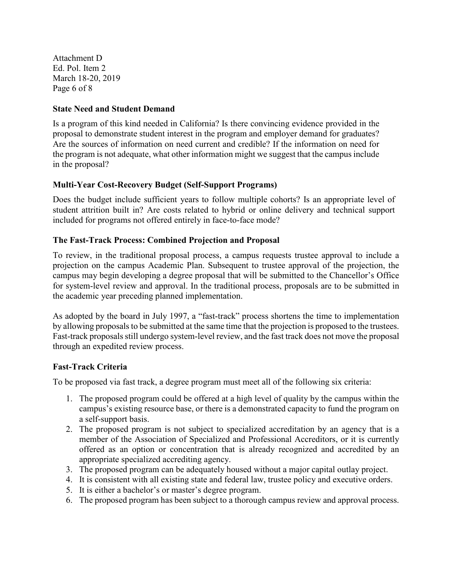Attachment D Ed. Pol. Item 2 March 18-20, 2019 Page 6 of 8

### **State Need and Student Demand**

Is a program of this kind needed in California? Is there convincing evidence provided in the proposal to demonstrate student interest in the program and employer demand for graduates? Are the sources of information on need current and credible? If the information on need for the program is not adequate, what other information might we suggest that the campus include in the proposal?

## **Multi-Year Cost-Recovery Budget (Self-Support Programs)**

Does the budget include sufficient years to follow multiple cohorts? Is an appropriate level of student attrition built in? Are costs related to hybrid or online delivery and technical support included for programs not offered entirely in face-to-face mode?

### **The Fast-Track Process: Combined Projection and Proposal**

To review, in the traditional proposal process, a campus requests trustee approval to include a projection on the campus Academic Plan. Subsequent to trustee approval of the projection, the campus may begin developing a degree proposal that will be submitted to the Chancellor's Office for system-level review and approval. In the traditional process, proposals are to be submitted in the academic year preceding planned implementation.

As adopted by the board in July 1997, a "fast-track" process shortens the time to implementation by allowing proposals to be submitted at the same time that the projection is proposed to the trustees. Fast-track proposals still undergo system-level review, and the fast track does not move the proposal through an expedited review process.

## **Fast-Track Criteria**

To be proposed via fast track, a degree program must meet all of the following six criteria:

- 1. The proposed program could be offered at a high level of quality by the campus within the campus's existing resource base, or there is a demonstrated capacity to fund the program on a self-support basis.
- 2. The proposed program is not subject to specialized accreditation by an agency that is a member of the Association of Specialized and Professional Accreditors, or it is currently offered as an option or concentration that is already recognized and accredited by an appropriate specialized accrediting agency.
- 3. The proposed program can be adequately housed without a major capital outlay project.
- 4. It is consistent with all existing state and federal law, trustee policy and executive orders.
- 5. It is either a bachelor's or master's degree program.
- 6. The proposed program has been subject to a thorough campus review and approval process.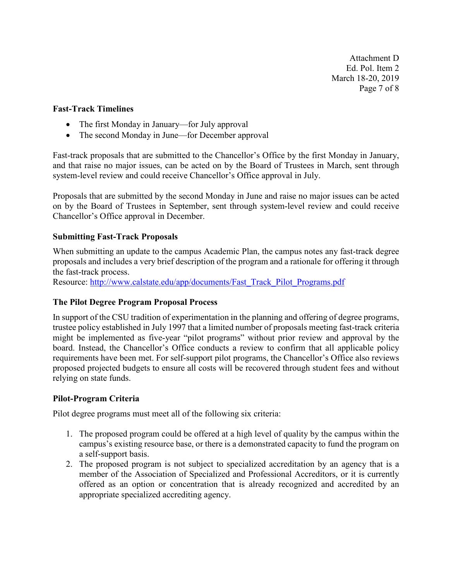Attachment D Ed. Pol. Item 2 March 18-20, 2019 Page 7 of 8

#### **Fast-Track Timelines**

- The first Monday in January—for July approval
- The second Monday in June—for December approval

Fast-track proposals that are submitted to the Chancellor's Office by the first Monday in January, and that raise no major issues, can be acted on by the Board of Trustees in March, sent through system-level review and could receive Chancellor's Office approval in July.

Proposals that are submitted by the second Monday in June and raise no major issues can be acted on by the Board of Trustees in September, sent through system-level review and could receive Chancellor's Office approval in December.

## **Submitting Fast-Track Proposals**

When submitting an update to the campus Academic Plan, the campus notes any fast-track degree proposals and includes a very brief description of the program and a rationale for offering it through the fast-track process.

Resource: [http://www.calstate.edu/app/documents/Fast\\_Track\\_Pilot\\_Programs.pdf](http://www.calstate.edu/app/documents/Fast_Track_Pilot_Programs.pdf)

#### **The Pilot Degree Program Proposal Process**

In support of the CSU tradition of experimentation in the planning and offering of degree programs, trustee policy established in July 1997 that a limited number of proposals meeting fast-track criteria might be implemented as five-year "pilot programs" without prior review and approval by the board. Instead, the Chancellor's Office conducts a review to confirm that all applicable policy requirements have been met. For self-support pilot programs, the Chancellor's Office also reviews proposed projected budgets to ensure all costs will be recovered through student fees and without relying on state funds.

## **Pilot-Program Criteria**

Pilot degree programs must meet all of the following six criteria:

- 1. The proposed program could be offered at a high level of quality by the campus within the campus's existing resource base, or there is a demonstrated capacity to fund the program on a self-support basis.
- 2. The proposed program is not subject to specialized accreditation by an agency that is a member of the Association of Specialized and Professional Accreditors, or it is currently offered as an option or concentration that is already recognized and accredited by an appropriate specialized accrediting agency.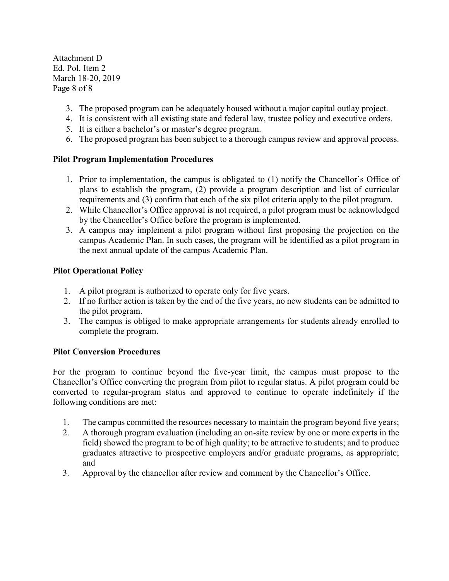Attachment D Ed. Pol. Item 2 March 18-20, 2019 Page 8 of 8

- 3. The proposed program can be adequately housed without a major capital outlay project.
- 4. It is consistent with all existing state and federal law, trustee policy and executive orders.
- 5. It is either a bachelor's or master's degree program.
- 6. The proposed program has been subject to a thorough campus review and approval process.

## **Pilot Program Implementation Procedures**

- 1. Prior to implementation, the campus is obligated to (1) notify the Chancellor's Office of plans to establish the program, (2) provide a program description and list of curricular requirements and (3) confirm that each of the six pilot criteria apply to the pilot program.
- 2. While Chancellor's Office approval is not required, a pilot program must be acknowledged by the Chancellor's Office before the program is implemented.
- 3. A campus may implement a pilot program without first proposing the projection on the campus Academic Plan. In such cases, the program will be identified as a pilot program in the next annual update of the campus Academic Plan.

## **Pilot Operational Policy**

- 1. A pilot program is authorized to operate only for five years.
- 2. If no further action is taken by the end of the five years, no new students can be admitted to the pilot program.
- 3. The campus is obliged to make appropriate arrangements for students already enrolled to complete the program.

## **Pilot Conversion Procedures**

For the program to continue beyond the five-year limit, the campus must propose to the Chancellor's Office converting the program from pilot to regular status. A pilot program could be converted to regular-program status and approved to continue to operate indefinitely if the following conditions are met:

- 1. The campus committed the resources necessary to maintain the program beyond five years;
- 2. A thorough program evaluation (including an on-site review by one or more experts in the field) showed the program to be of high quality; to be attractive to students; and to produce graduates attractive to prospective employers and/or graduate programs, as appropriate; and
- 3. Approval by the chancellor after review and comment by the Chancellor's Office.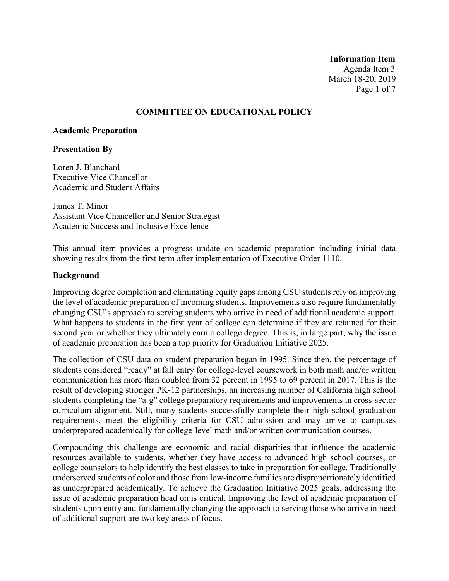**Information Item** Agenda Item 3 March 18-20, 2019 Page 1 of 7

#### **COMMITTEE ON EDUCATIONAL POLICY**

#### **Academic Preparation**

#### **Presentation By**

Loren J. Blanchard Executive Vice Chancellor Academic and Student Affairs

James T. Minor Assistant Vice Chancellor and Senior Strategist Academic Success and Inclusive Excellence

This annual item provides a progress update on academic preparation including initial data showing results from the first term after implementation of Executive Order 1110.

#### **Background**

Improving degree completion and eliminating equity gaps among CSU students rely on improving the level of academic preparation of incoming students. Improvements also require fundamentally changing CSU's approach to serving students who arrive in need of additional academic support. What happens to students in the first year of college can determine if they are retained for their second year or whether they ultimately earn a college degree. This is, in large part, why the issue of academic preparation has been a top priority for Graduation Initiative 2025.

The collection of CSU data on student preparation began in 1995. Since then, the percentage of students considered "ready" at fall entry for college-level coursework in both math and/or written communication has more than doubled from 32 percent in 1995 to 69 percent in 2017. This is the result of developing stronger PK-12 partnerships, an increasing number of California high school students completing the "a-g" college preparatory requirements and improvements in cross-sector curriculum alignment. Still, many students successfully complete their high school graduation requirements, meet the eligibility criteria for CSU admission and may arrive to campuses underprepared academically for college-level math and/or written communication courses.

Compounding this challenge are economic and racial disparities that influence the academic resources available to students, whether they have access to advanced high school courses, or college counselors to help identify the best classes to take in preparation for college. Traditionally underserved students of color and those from low-income families are disproportionately identified as underprepared academically. To achieve the Graduation Initiative 2025 goals, addressing the issue of academic preparation head on is critical. Improving the level of academic preparation of students upon entry and fundamentally changing the approach to serving those who arrive in need of additional support are two key areas of focus.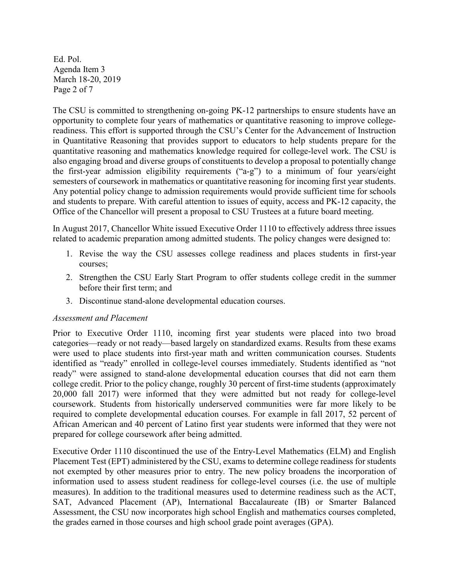Ed. Pol. Agenda Item 3 March 18-20, 2019 Page 2 of 7

The CSU is committed to strengthening on-going PK-12 partnerships to ensure students have an opportunity to complete four years of mathematics or quantitative reasoning to improve collegereadiness. This effort is supported through the CSU's Center for the Advancement of Instruction in Quantitative Reasoning that provides support to educators to help students prepare for the quantitative reasoning and mathematics knowledge required for college-level work. The CSU is also engaging broad and diverse groups of constituents to develop a proposal to potentially change the first-year admission eligibility requirements ("a-g") to a minimum of four years/eight semesters of coursework in mathematics or quantitative reasoning for incoming first year students. Any potential policy change to admission requirements would provide sufficient time for schools and students to prepare. With careful attention to issues of equity, access and PK-12 capacity, the Office of the Chancellor will present a proposal to CSU Trustees at a future board meeting.

In August 2017, Chancellor White issued Executive Order 1110 to effectively address three issues related to academic preparation among admitted students. The policy changes were designed to:

- 1. Revise the way the CSU assesses college readiness and places students in first-year courses;
- 2. Strengthen the CSU Early Start Program to offer students college credit in the summer before their first term; and
- 3. Discontinue stand-alone developmental education courses.

#### *Assessment and Placement*

Prior to Executive Order 1110, incoming first year students were placed into two broad categories—ready or not ready—based largely on standardized exams. Results from these exams were used to place students into first-year math and written communication courses. Students identified as "ready" enrolled in college-level courses immediately. Students identified as "not ready" were assigned to stand-alone developmental education courses that did not earn them college credit. Prior to the policy change, roughly 30 percent of first-time students (approximately 20,000 fall 2017) were informed that they were admitted but not ready for college-level coursework. Students from historically underserved communities were far more likely to be required to complete developmental education courses. For example in fall 2017, 52 percent of African American and 40 percent of Latino first year students were informed that they were not prepared for college coursework after being admitted.

Executive Order 1110 discontinued the use of the Entry-Level Mathematics (ELM) and English Placement Test (EPT) administered by the CSU, exams to determine college readiness for students not exempted by other measures prior to entry. The new policy broadens the incorporation of information used to assess student readiness for college-level courses (i.e. the use of multiple measures). In addition to the traditional measures used to determine readiness such as the ACT, SAT, Advanced Placement (AP), International Baccalaureate (IB) or Smarter Balanced Assessment, the CSU now incorporates high school English and mathematics courses completed, the grades earned in those courses and high school grade point averages (GPA).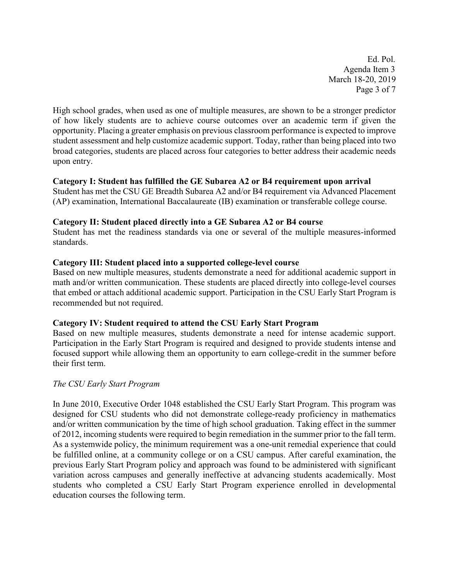Ed. Pol. Agenda Item 3 March 18-20, 2019 Page 3 of 7

High school grades, when used as one of multiple measures, are shown to be a stronger predictor of how likely students are to achieve course outcomes over an academic term if given the opportunity. Placing a greater emphasis on previous classroom performance is expected to improve student assessment and help customize academic support. Today, rather than being placed into two broad categories, students are placed across four categories to better address their academic needs upon entry.

#### **Category I: Student has fulfilled the GE Subarea A2 or B4 requirement upon arrival**

Student has met the CSU GE Breadth Subarea A2 and/or B4 requirement via Advanced Placement (AP) examination, International Baccalaureate (IB) examination or transferable college course.

#### **Category II: Student placed directly into a GE Subarea A2 or B4 course**

Student has met the readiness standards via one or several of the multiple measures-informed standards.

#### **Category III: Student placed into a supported college-level course**

Based on new multiple measures, students demonstrate a need for additional academic support in math and/or written communication. These students are placed directly into college-level courses that embed or attach additional academic support. Participation in the CSU Early Start Program is recommended but not required.

#### **Category IV: Student required to attend the CSU Early Start Program**

Based on new multiple measures, students demonstrate a need for intense academic support. Participation in the Early Start Program is required and designed to provide students intense and focused support while allowing them an opportunity to earn college-credit in the summer before their first term.

#### *The CSU Early Start Program*

In June 2010, Executive Order 1048 established the CSU Early Start Program. This program was designed for CSU students who did not demonstrate college-ready proficiency in mathematics and/or written communication by the time of high school graduation. Taking effect in the summer of 2012, incoming students were required to begin remediation in the summer prior to the fall term. As a systemwide policy, the minimum requirement was a one-unit remedial experience that could be fulfilled online, at a community college or on a CSU campus. After careful examination, the previous Early Start Program policy and approach was found to be administered with significant variation across campuses and generally ineffective at advancing students academically. Most students who completed a CSU Early Start Program experience enrolled in developmental education courses the following term.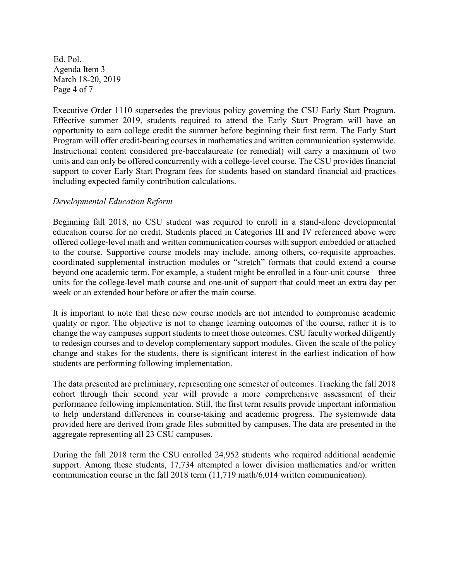Ed. Pol. Agenda Item 3 March 18-20, 2019 Page 4 of 7

Executive Order 1110 supersedes the previous policy governing the CSU Early Start Program. Effective summer 2019, students required to attend the Early Start Program will have an opportunity to earn college credit the summer before beginning their first term. The Early Start Program will offer credit-bearing courses in mathematics and written communication systemwide. Instructional content considered pre-baccalaureate (or remedial) will carry a maximum of two units and can only be offered concurrently with a college-level course. The CSU provides financial support to cover Early Start Program fees for students based on standard financial aid practices including expected family contribution calculations.

#### *Developmental Education Reform*

Beginning fall 2018, no CSU student was required to enroll in a stand-alone developmental education course for no credit. Students placed in Categories III and IV referenced above were offered college-level math and written communication courses with support embedded or attached to the course. Supportive course models may include, among others, co-requisite approaches, coordinated supplemental instruction modules or "stretch" formats that could extend a course beyond one academic term. For example, a student might be enrolled in a four-unit course—three units for the college-level math course and one-unit of support that could meet an extra day per week or an extended hour before or after the main course.

It is important to note that these new course models are not intended to compromise academic quality or rigor. The objective is not to change learning outcomes of the course, rather it is to change the way campuses support students to meet those outcomes. CSU faculty worked diligently to redesign courses and to develop complementary support modules. Given the scale of the policy change and stakes for the students, there is significant interest in the earliest indication of how students are performing following implementation.

The data presented are preliminary, representing one semester of outcomes. Tracking the fall 2018 cohort through their second year will provide a more comprehensive assessment of their performance following implementation. Still, the first term results provide important information to help understand differences in course-taking and academic progress. The systemwide data provided here are derived from grade files submitted by campuses. The data are presented in the aggregate representing all 23 CSU campuses.

During the fall 2018 term the CSU enrolled 24,952 students who required additional academic support. Among these students, 17,734 attempted a lower division mathematics and/or written communication course in the fall 2018 term (11,719 math/6,014 written communication).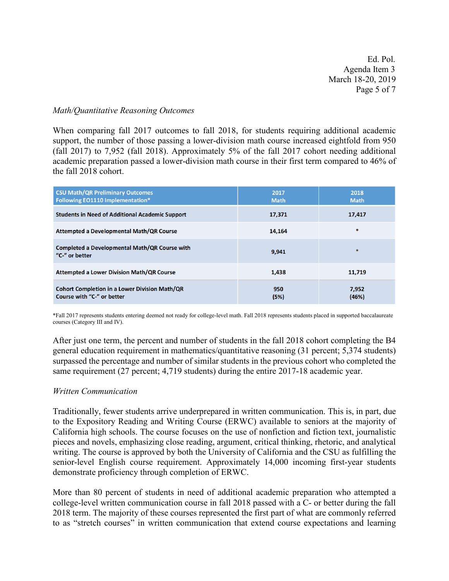Ed. Pol. Agenda Item 3 March 18-20, 2019 Page 5 of 7

#### *Math/Quantitative Reasoning Outcomes*

When comparing fall 2017 outcomes to fall 2018, for students requiring additional academic support, the number of those passing a lower-division math course increased eightfold from 950 (fall 2017) to 7,952 (fall 2018). Approximately 5% of the fall 2017 cohort needing additional academic preparation passed a lower-division math course in their first term compared to 46% of the fall 2018 cohort.

| <b>CSU Math/QR Preliminary Outcomes</b><br><b>Following EO1110 Implementation*</b> | 2017<br><b>Math</b> | 2018<br><b>Math</b> |
|------------------------------------------------------------------------------------|---------------------|---------------------|
| <b>Students in Need of Additional Academic Support</b>                             | 17,371              | 17,417              |
| Attempted a Developmental Math/QR Course                                           | 14.164              | $\ast$              |
| Completed a Developmental Math/QR Course with<br>"C-" or better                    | 9.941               | $\ast$              |
| <b>Attempted a Lower Division Math/QR Course</b>                                   | 1,438               | 11,719              |
| <b>Cohort Completion in a Lower Division Math/QR</b><br>Course with "C-" or better | 950<br>(5%)         | 7,952<br>(46%)      |

\*Fall 2017 represents students entering deemed not ready for college-level math. Fall 2018 represents students placed in supported baccalaureate courses (Category III and IV).

After just one term, the percent and number of students in the fall 2018 cohort completing the B4 general education requirement in mathematics/quantitative reasoning (31 percent; 5,374 students) surpassed the percentage and number of similar students in the previous cohort who completed the same requirement (27 percent; 4,719 students) during the entire 2017-18 academic year.

#### *Written Communication*

Traditionally, fewer students arrive underprepared in written communication. This is, in part, due to the Expository Reading and Writing Course (ERWC) available to seniors at the majority of California high schools. The course focuses on the use of nonfiction and fiction text, journalistic pieces and novels, emphasizing close reading, argument, critical thinking, rhetoric, and analytical writing. The course is approved by both the University of California and the CSU as fulfilling the senior-level English course requirement. Approximately 14,000 incoming first-year students demonstrate proficiency through completion of ERWC.

More than 80 percent of students in need of additional academic preparation who attempted a college-level written communication course in fall 2018 passed with a C- or better during the fall 2018 term. The majority of these courses represented the first part of what are commonly referred to as "stretch courses" in written communication that extend course expectations and learning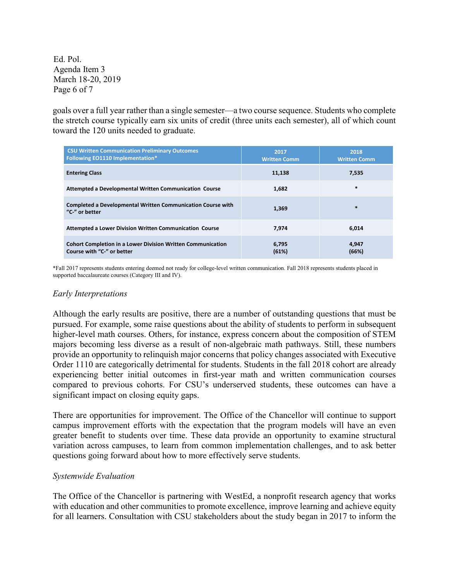Ed. Pol. Agenda Item 3 March 18-20, 2019 Page 6 of 7

goals over a full year rather than a single semester—a two course sequence. Students who complete the stretch course typically earn six units of credit (three units each semester), all of which count toward the 120 units needed to graduate.

| <b>CSU Written Communication Preliminary Outcomes</b><br><b>Following EO1110 Implementation*</b> | 2017<br><b>Written Comm</b> | 2018<br><b>Written Comm</b> |
|--------------------------------------------------------------------------------------------------|-----------------------------|-----------------------------|
| <b>Entering Class</b>                                                                            | 11,138                      | 7,535                       |
| Attempted a Developmental Written Communication Course                                           | 1.682                       | $\ast$                      |
| Completed a Developmental Written Communication Course with<br>"C-" or better                    | 1,369                       | $\ast$                      |
| Attempted a Lower Division Written Communication Course                                          | 7.974                       | 6,014                       |
| <b>Cohort Completion in a Lower Division Written Communication</b><br>Course with "C-" or better | 6,795<br>(61%)              | 4,947<br>(66%)              |

\*Fall 2017 represents students entering deemed not ready for college-level written communication. Fall 2018 represents students placed in supported baccalaureate courses (Category III and IV).

#### *Early Interpretations*

Although the early results are positive, there are a number of outstanding questions that must be pursued. For example, some raise questions about the ability of students to perform in subsequent higher-level math courses. Others, for instance, express concern about the composition of STEM majors becoming less diverse as a result of non-algebraic math pathways. Still, these numbers provide an opportunity to relinquish major concerns that policy changes associated with Executive Order 1110 are categorically detrimental for students. Students in the fall 2018 cohort are already experiencing better initial outcomes in first-year math and written communication courses compared to previous cohorts. For CSU's underserved students, these outcomes can have a significant impact on closing equity gaps.

There are opportunities for improvement. The Office of the Chancellor will continue to support campus improvement efforts with the expectation that the program models will have an even greater benefit to students over time. These data provide an opportunity to examine structural variation across campuses, to learn from common implementation challenges, and to ask better questions going forward about how to more effectively serve students.

#### *Systemwide Evaluation*

The Office of the Chancellor is partnering with WestEd, a nonprofit research agency that works with education and other communities to promote excellence, improve learning and achieve equity for all learners. Consultation with CSU stakeholders about the study began in 2017 to inform the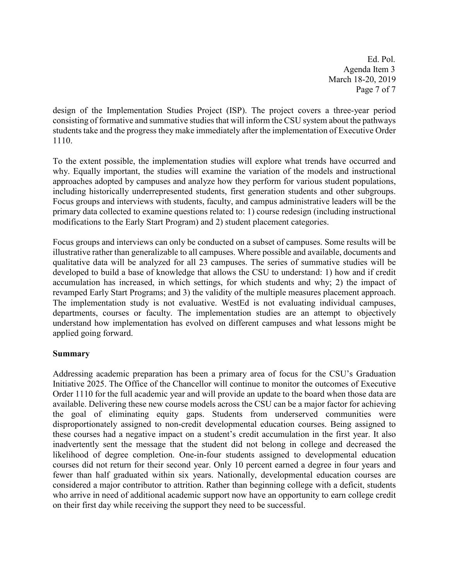Ed. Pol. Agenda Item 3 March 18-20, 2019 Page 7 of 7

design of the Implementation Studies Project (ISP). The project covers a three-year period consisting of formative and summative studies that will inform the CSU system about the pathways students take and the progress they make immediately after the implementation of Executive Order 1110.

To the extent possible, the implementation studies will explore what trends have occurred and why. Equally important, the studies will examine the variation of the models and instructional approaches adopted by campuses and analyze how they perform for various student populations, including historically underrepresented students, first generation students and other subgroups. Focus groups and interviews with students, faculty, and campus administrative leaders will be the primary data collected to examine questions related to: 1) course redesign (including instructional modifications to the Early Start Program) and 2) student placement categories.

Focus groups and interviews can only be conducted on a subset of campuses. Some results will be illustrative rather than generalizable to all campuses. Where possible and available, documents and qualitative data will be analyzed for all 23 campuses. The series of summative studies will be developed to build a base of knowledge that allows the CSU to understand: 1) how and if credit accumulation has increased, in which settings, for which students and why; 2) the impact of revamped Early Start Programs; and 3) the validity of the multiple measures placement approach. The implementation study is not evaluative. WestEd is not evaluating individual campuses, departments, courses or faculty. The implementation studies are an attempt to objectively understand how implementation has evolved on different campuses and what lessons might be applied going forward.

# **Summary**

Addressing academic preparation has been a primary area of focus for the CSU's Graduation Initiative 2025. The Office of the Chancellor will continue to monitor the outcomes of Executive Order 1110 for the full academic year and will provide an update to the board when those data are available. Delivering these new course models across the CSU can be a major factor for achieving the goal of eliminating equity gaps. Students from underserved communities were disproportionately assigned to non-credit developmental education courses. Being assigned to these courses had a negative impact on a student's credit accumulation in the first year. It also inadvertently sent the message that the student did not belong in college and decreased the likelihood of degree completion. One-in-four students assigned to developmental education courses did not return for their second year. Only 10 percent earned a degree in four years and fewer than half graduated within six years. Nationally, developmental education courses are considered a major contributor to attrition. Rather than beginning college with a deficit, students who arrive in need of additional academic support now have an opportunity to earn college credit on their first day while receiving the support they need to be successful.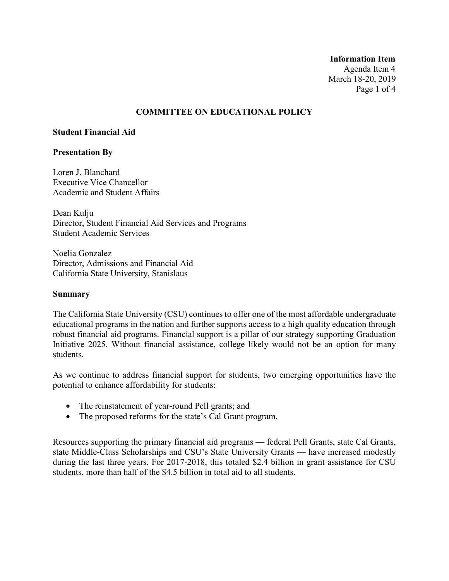# **Information Item** Agenda Item 4 March 18-20, 2019 Page 1 of 4

# **COMMITTEE ON EDUCATIONAL POLICY**

#### **Student Financial Aid**

#### **Presentation By**

Loren J. Blanchard Executive Vice Chancellor Academic and Student Affairs

Dean Kulju Director, Student Financial Aid Services and Programs Student Academic Services

Noelia Gonzalez Director, Admissions and Financial Aid California State University, Stanislaus

#### **Summary**

The California State University (CSU) continues to offer one of the most affordable undergraduate educational programs in the nation and further supports access to a high quality education through robust financial aid programs. Financial support is a pillar of our strategy supporting Graduation Initiative 2025. Without financial assistance, college likely would not be an option for many students.

As we continue to address financial support for students, two emerging opportunities have the potential to enhance affordability for students:

- The reinstatement of year-round Pell grants; and
- The proposed reforms for the state's Cal Grant program.

Resources supporting the primary financial aid programs — federal Pell Grants, state Cal Grants, state Middle-Class Scholarships and CSU's State University Grants — have increased modestly during the last three years. For 2017-2018, this totaled \$2.4 billion in grant assistance for CSU students, more than half of the \$4.5 billion in total aid to all students.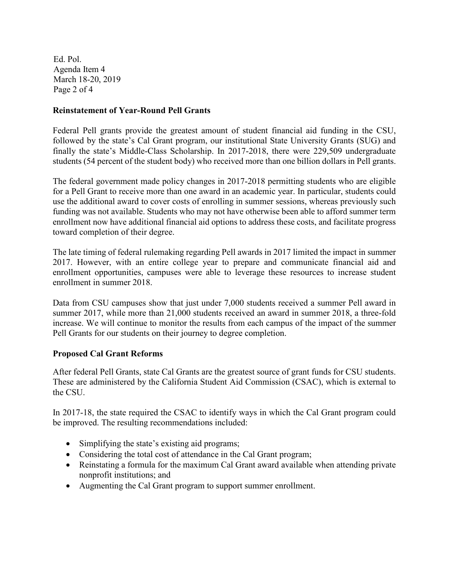Ed. Pol. Agenda Item 4 March 18-20, 2019 Page 2 of 4

# **Reinstatement of Year-Round Pell Grants**

Federal Pell grants provide the greatest amount of student financial aid funding in the CSU, followed by the state's Cal Grant program, our institutional State University Grants (SUG) and finally the state's Middle-Class Scholarship. In 2017-2018, there were 229,509 undergraduate students (54 percent of the student body) who received more than one billion dollars in Pell grants.

The federal government made policy changes in 2017-2018 permitting students who are eligible for a Pell Grant to receive more than one award in an academic year. In particular, students could use the additional award to cover costs of enrolling in summer sessions, whereas previously such funding was not available. Students who may not have otherwise been able to afford summer term enrollment now have additional financial aid options to address these costs, and facilitate progress toward completion of their degree.

The late timing of federal rulemaking regarding Pell awards in 2017 limited the impact in summer 2017. However, with an entire college year to prepare and communicate financial aid and enrollment opportunities, campuses were able to leverage these resources to increase student enrollment in summer 2018.

Data from CSU campuses show that just under 7,000 students received a summer Pell award in summer 2017, while more than 21,000 students received an award in summer 2018, a three-fold increase. We will continue to monitor the results from each campus of the impact of the summer Pell Grants for our students on their journey to degree completion.

# **Proposed Cal Grant Reforms**

After federal Pell Grants, state Cal Grants are the greatest source of grant funds for CSU students. These are administered by the California Student Aid Commission (CSAC), which is external to the CSU.

In 2017-18, the state required the CSAC to identify ways in which the Cal Grant program could be improved. The resulting recommendations included:

- Simplifying the state's existing aid programs;
- Considering the total cost of attendance in the Cal Grant program;
- Reinstating a formula for the maximum Cal Grant award available when attending private nonprofit institutions; and
- Augmenting the Cal Grant program to support summer enrollment.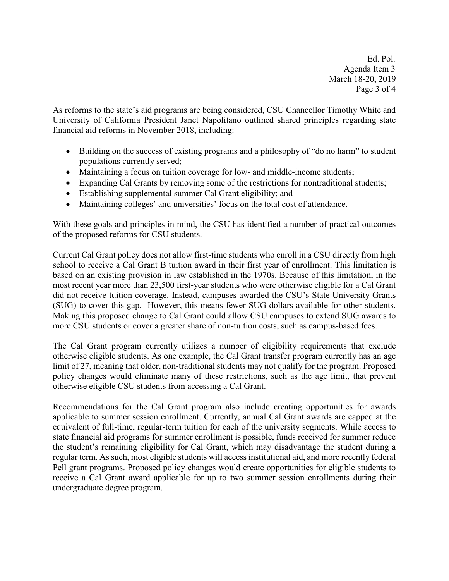Ed. Pol. Agenda Item 3 March 18-20, 2019 Page 3 of 4

As reforms to the state's aid programs are being considered, CSU Chancellor Timothy White and University of California President Janet Napolitano outlined shared principles regarding state financial aid reforms in November 2018, including:

- Building on the success of existing programs and a philosophy of "do no harm" to student populations currently served;
- Maintaining a focus on tuition coverage for low- and middle-income students;
- Expanding Cal Grants by removing some of the restrictions for nontraditional students;
- Establishing supplemental summer Cal Grant eligibility; and
- Maintaining colleges' and universities' focus on the total cost of attendance.

With these goals and principles in mind, the CSU has identified a number of practical outcomes of the proposed reforms for CSU students.

Current Cal Grant policy does not allow first-time students who enroll in a CSU directly from high school to receive a Cal Grant B tuition award in their first year of enrollment. This limitation is based on an existing provision in law established in the 1970s. Because of this limitation, in the most recent year more than 23,500 first-year students who were otherwise eligible for a Cal Grant did not receive tuition coverage. Instead, campuses awarded the CSU's State University Grants (SUG) to cover this gap. However, this means fewer SUG dollars available for other students. Making this proposed change to Cal Grant could allow CSU campuses to extend SUG awards to more CSU students or cover a greater share of non-tuition costs, such as campus-based fees.

The Cal Grant program currently utilizes a number of eligibility requirements that exclude otherwise eligible students. As one example, the Cal Grant transfer program currently has an age limit of 27, meaning that older, non-traditional students may not qualify for the program. Proposed policy changes would eliminate many of these restrictions, such as the age limit, that prevent otherwise eligible CSU students from accessing a Cal Grant.

Recommendations for the Cal Grant program also include creating opportunities for awards applicable to summer session enrollment. Currently, annual Cal Grant awards are capped at the equivalent of full-time, regular-term tuition for each of the university segments. While access to state financial aid programs for summer enrollment is possible, funds received for summer reduce the student's remaining eligibility for Cal Grant, which may disadvantage the student during a regular term. As such, most eligible students will access institutional aid, and more recently federal Pell grant programs. Proposed policy changes would create opportunities for eligible students to receive a Cal Grant award applicable for up to two summer session enrollments during their undergraduate degree program.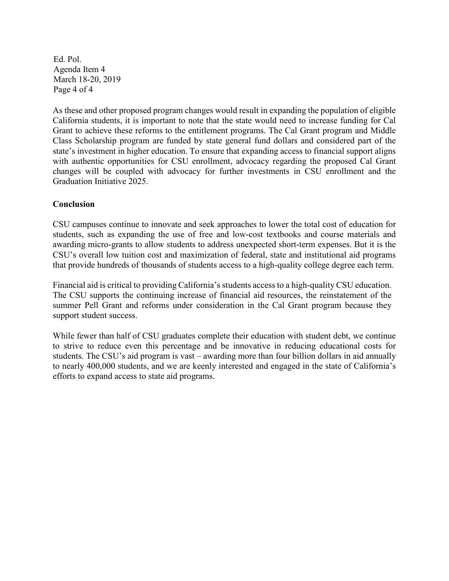Ed. Pol. Agenda Item 4 March 18-20, 2019 Page 4 of 4

As these and other proposed program changes would result in expanding the population of eligible California students, it is important to note that the state would need to increase funding for Cal Grant to achieve these reforms to the entitlement programs. The Cal Grant program and Middle Class Scholarship program are funded by state general fund dollars and considered part of the state's investment in higher education. To ensure that expanding access to financial support aligns with authentic opportunities for CSU enrollment, advocacy regarding the proposed Cal Grant changes will be coupled with advocacy for further investments in CSU enrollment and the Graduation Initiative 2025.

# **Conclusion**

CSU campuses continue to innovate and seek approaches to lower the total cost of education for students, such as expanding the use of free and low-cost textbooks and course materials and awarding micro-grants to allow students to address unexpected short-term expenses. But it is the CSU's overall low tuition cost and maximization of federal, state and institutional aid programs that provide hundreds of thousands of students access to a high-quality college degree each term.

Financial aid is critical to providing California's students access to a high-quality CSU education. The CSU supports the continuing increase of financial aid resources, the reinstatement of the summer Pell Grant and reforms under consideration in the Cal Grant program because they support student success.

While fewer than half of CSU graduates complete their education with student debt, we continue to strive to reduce even this percentage and be innovative in reducing educational costs for students. The CSU's aid program is vast – awarding more than four billion dollars in aid annually to nearly 400,000 students, and we are keenly interested and engaged in the state of California's efforts to expand access to state aid programs.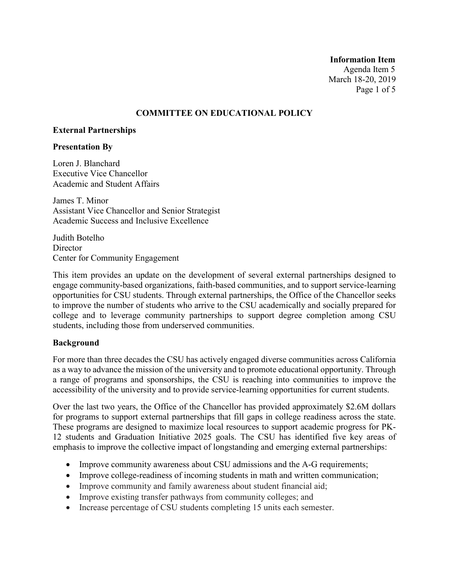**Information Item** Agenda Item 5 March 18-20, 2019 Page 1 of 5

# **COMMITTEE ON EDUCATIONAL POLICY**

#### **External Partnerships**

#### **Presentation By**

Loren J. Blanchard Executive Vice Chancellor Academic and Student Affairs

James T. Minor Assistant Vice Chancellor and Senior Strategist Academic Success and Inclusive Excellence

Judith Botelho **Director** Center for Community Engagement

This item provides an update on the development of several external partnerships designed to engage community-based organizations, faith-based communities, and to support service-learning opportunities for CSU students. Through external partnerships, the Office of the Chancellor seeks to improve the number of students who arrive to the CSU academically and socially prepared for college and to leverage community partnerships to support degree completion among CSU students, including those from underserved communities.

#### **Background**

For more than three decades the CSU has actively engaged diverse communities across California as a way to advance the mission of the university and to promote educational opportunity. Through a range of programs and sponsorships, the CSU is reaching into communities to improve the accessibility of the university and to provide service-learning opportunities for current students.

Over the last two years, the Office of the Chancellor has provided approximately \$2.6M dollars for programs to support external partnerships that fill gaps in college readiness across the state. These programs are designed to maximize local resources to support academic progress for PK-12 students and Graduation Initiative 2025 goals. The CSU has identified five key areas of emphasis to improve the collective impact of longstanding and emerging external partnerships:

- Improve community awareness about CSU admissions and the A-G requirements;
- Improve college-readiness of incoming students in math and written communication;
- Improve community and family awareness about student financial aid;
- Improve existing transfer pathways from community colleges; and
- Increase percentage of CSU students completing 15 units each semester.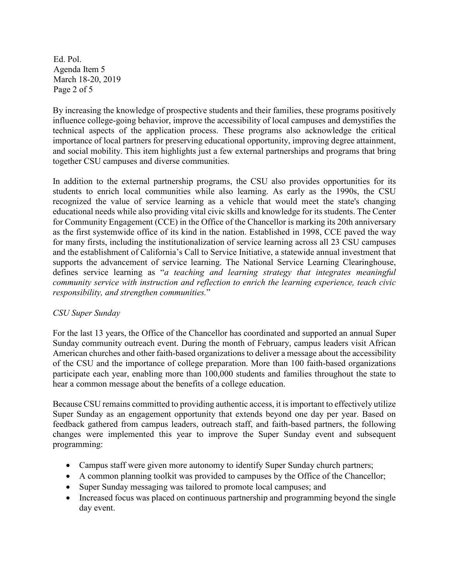Ed. Pol. Agenda Item 5 March 18-20, 2019 Page 2 of 5

By increasing the knowledge of prospective students and their families, these programs positively influence college-going behavior, improve the accessibility of local campuses and demystifies the technical aspects of the application process. These programs also acknowledge the critical importance of local partners for preserving educational opportunity, improving degree attainment, and social mobility. This item highlights just a few external partnerships and programs that bring together CSU campuses and diverse communities.

In addition to the external partnership programs, the CSU also provides opportunities for its students to enrich local communities while also learning. As early as the 1990s, the CSU recognized the value of service learning as a vehicle that would meet the state's changing educational needs while also providing vital civic skills and knowledge for its students. The Center for Community Engagement (CCE) in the Office of the Chancellor is marking its 20th anniversary as the first systemwide office of its kind in the nation. Established in 1998, CCE paved the way for many firsts, including the institutionalization of service learning across all 23 CSU campuses and the establishment of California's Call to Service Initiative, a statewide annual investment that supports the advancement of service learning. The National Service Learning Clearinghouse, defines service learning as "*a teaching and learning strategy that integrates meaningful community service with instruction and reflection to enrich the learning experience, teach civic responsibility, and strengthen communities.*"

# *CSU Super Sunday*

For the last 13 years, the Office of the Chancellor has coordinated and supported an annual Super Sunday community outreach event. During the month of February, campus leaders visit African American churches and other faith-based organizations to deliver a message about the accessibility of the CSU and the importance of college preparation. More than 100 faith-based organizations participate each year, enabling more than 100,000 students and families throughout the state to hear a common message about the benefits of a college education.

Because CSU remains committed to providing authentic access, it is important to effectively utilize Super Sunday as an engagement opportunity that extends beyond one day per year. Based on feedback gathered from campus leaders, outreach staff, and faith-based partners, the following changes were implemented this year to improve the Super Sunday event and subsequent programming:

- Campus staff were given more autonomy to identify Super Sunday church partners;
- A common planning toolkit was provided to campuses by the Office of the Chancellor;
- Super Sunday messaging was tailored to promote local campuses; and
- Increased focus was placed on continuous partnership and programming beyond the single day event.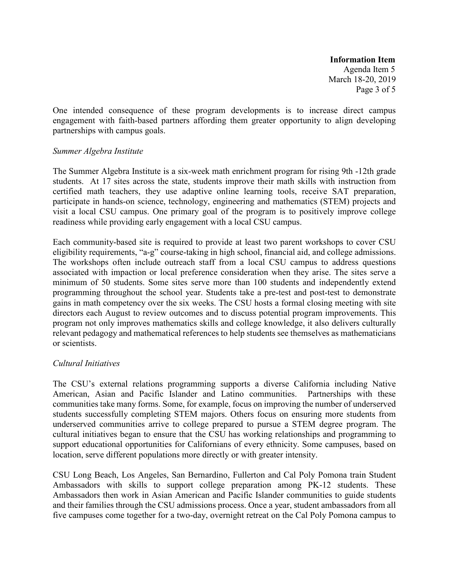**Information Item** Agenda Item 5 March 18-20, 2019 Page 3 of 5

One intended consequence of these program developments is to increase direct campus engagement with faith-based partners affording them greater opportunity to align developing partnerships with campus goals.

#### *Summer Algebra Institute*

The Summer Algebra Institute is a six-week math enrichment program for rising 9th -12th grade students. At 17 sites across the state, students improve their math skills with instruction from certified math teachers, they use adaptive online learning tools, receive SAT preparation, participate in hands-on science, technology, engineering and mathematics (STEM) projects and visit a local CSU campus. One primary goal of the program is to positively improve college readiness while providing early engagement with a local CSU campus.

Each community-based site is required to provide at least two parent workshops to cover CSU eligibility requirements, "a-g" course-taking in high school, financial aid, and college admissions. The workshops often include outreach staff from a local CSU campus to address questions associated with impaction or local preference consideration when they arise. The sites serve a minimum of 50 students. Some sites serve more than 100 students and independently extend programming throughout the school year. Students take a pre-test and post-test to demonstrate gains in math competency over the six weeks. The CSU hosts a formal closing meeting with site directors each August to review outcomes and to discuss potential program improvements. This program not only improves mathematics skills and college knowledge, it also delivers culturally relevant pedagogy and mathematical references to help students see themselves as mathematicians or scientists.

# *Cultural Initiatives*

The CSU's external relations programming supports a diverse California including Native American, Asian and Pacific Islander and Latino communities. Partnerships with these communities take many forms. Some, for example, focus on improving the number of underserved students successfully completing STEM majors. Others focus on ensuring more students from underserved communities arrive to college prepared to pursue a STEM degree program. The cultural initiatives began to ensure that the CSU has working relationships and programming to support educational opportunities for Californians of every ethnicity. Some campuses, based on location, serve different populations more directly or with greater intensity.

CSU Long Beach, Los Angeles, San Bernardino, Fullerton and Cal Poly Pomona train Student Ambassadors with skills to support college preparation among PK-12 students. These Ambassadors then work in Asian American and Pacific Islander communities to guide students and their families through the CSU admissions process. Once a year, student ambassadors from all five campuses come together for a two-day, overnight retreat on the Cal Poly Pomona campus to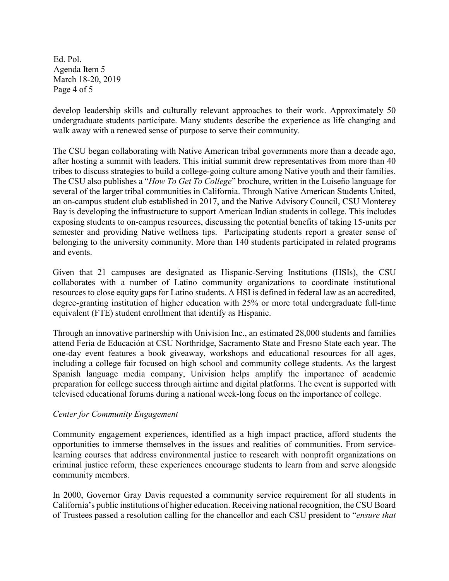Ed. Pol. Agenda Item 5 March 18-20, 2019 Page 4 of 5

develop leadership skills and culturally relevant approaches to their work. Approximately 50 undergraduate students participate. Many students describe the experience as life changing and walk away with a renewed sense of purpose to serve their community.

The CSU began collaborating with Native American tribal governments more than a decade ago, after hosting a summit with leaders. This initial summit drew representatives from more than 40 tribes to discuss strategies to build a college-going culture among Native youth and their families. The CSU also publishes a "*How To Get To College*" brochure, written in the Luiseño language for several of the larger tribal communities in California. Through Native American Students United, an on-campus student club established in 2017, and the Native Advisory Council, CSU Monterey Bay is developing the infrastructure to support American Indian students in college. This includes exposing students to on-campus resources, discussing the potential benefits of taking 15-units per semester and providing Native wellness tips. Participating students report a greater sense of belonging to the university community. More than 140 students participated in related programs and events.

Given that 21 campuses are designated as Hispanic-Serving Institutions (HSIs), the CSU collaborates with a number of Latino community organizations to coordinate institutional resources to close equity gaps for Latino students. A HSI is defined in federal law as an accredited, degree-granting institution of higher education with 25% or more total undergraduate full-time equivalent (FTE) student enrollment that identify as Hispanic.

Through an innovative partnership with Univision Inc., an estimated 28,000 students and families attend Feria de Educación at CSU Northridge, Sacramento State and Fresno State each year. The one-day event features a book giveaway, workshops and educational resources for all ages, including a college fair focused on high school and community college students. As the largest Spanish language media company, Univision helps amplify the importance of academic preparation for college success through airtime and digital platforms. The event is supported with televised educational forums during a national week-long focus on the importance of college.

# *Center for Community Engagement*

Community engagement experiences, identified as a high impact practice, afford students the opportunities to immerse themselves in the issues and realities of communities. From servicelearning courses that address environmental justice to research with nonprofit organizations on criminal justice reform, these experiences encourage students to learn from and serve alongside community members.

In 2000, Governor Gray Davis requested a community service requirement for all students in California's public institutions of higher education. Receiving national recognition, the CSU Board of Trustees passed a resolution calling for the chancellor and each CSU president to "*ensure that*